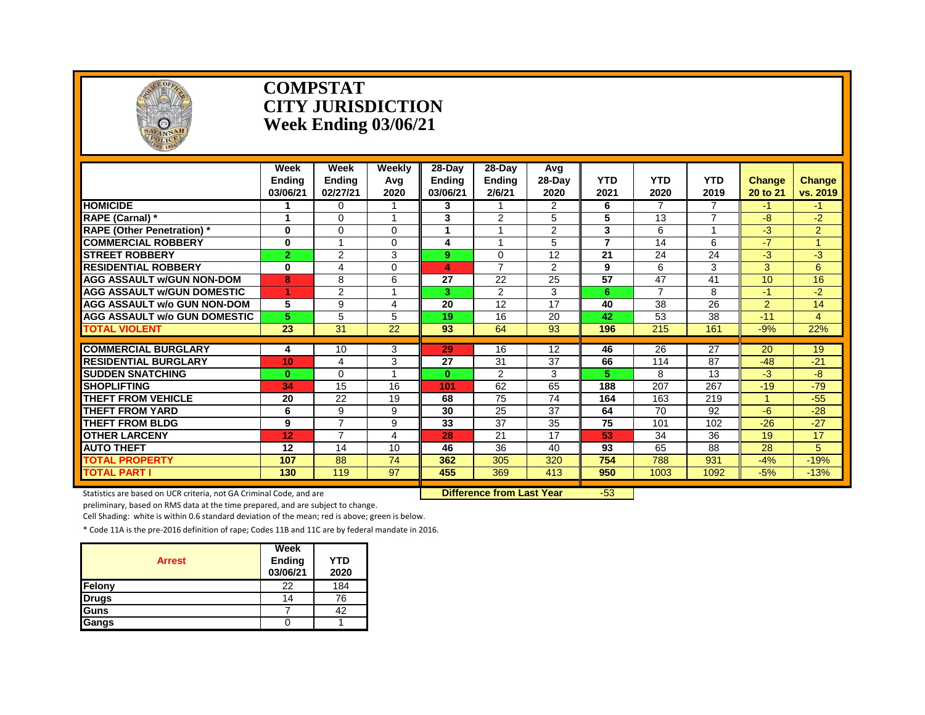

#### **COMPSTAT CITY JURISDICTION Week Ending 03/06/21**

|                                          | Week<br><b>Endina</b><br>03/06/21 | <b>Week</b><br><b>Ending</b><br>02/27/21 | Weekly<br>Avg<br>2020   | 28-Day<br>Endina<br>03/06/21 | 28-Day<br><b>Ending</b><br>2/6/21 | Avq<br>28-Day<br>2020 | <b>YTD</b><br>2021       | <b>YTD</b><br>2020 | <b>YTD</b><br>2019 | <b>Change</b><br>20 to 21 | <b>Change</b><br>vs. 2019 |
|------------------------------------------|-----------------------------------|------------------------------------------|-------------------------|------------------------------|-----------------------------------|-----------------------|--------------------------|--------------------|--------------------|---------------------------|---------------------------|
| <b>HOMICIDE</b>                          |                                   | $\Omega$                                 |                         | 3                            |                                   | 2                     | 6                        | 7                  | 7                  | -1                        | -1.                       |
| RAPE (Carnal) *                          |                                   | $\Omega$                                 | 4                       | 3                            | 2                                 | 5                     | 5                        | 13                 | 7                  | -8                        | -2.                       |
| <b>RAPE (Other Penetration)</b> *        | $\bf{0}$                          | $\Omega$                                 | 0                       |                              |                                   | $\overline{2}$        | 3                        | 6                  |                    | $-3$                      | $\overline{2}$            |
| <b>COMMERCIAL ROBBERY</b>                | $\bf{0}$                          |                                          | 0                       | 4                            |                                   | 5                     | $\overline{\phantom{a}}$ | 14                 | 6                  | $-7$                      | $\blacktriangleleft$      |
| <b>ISTREET ROBBERY</b>                   | $\overline{2}$                    | 2                                        | 3                       | 9                            | $\Omega$                          | 12                    | 21                       | 24                 | 24                 | -3                        | -3                        |
| <b>RESIDENTIAL ROBBERY</b>               | 0                                 | 4                                        | 0                       | 4                            | $\overline{7}$                    | $\overline{2}$        | 9                        | 6                  | 3                  | 3                         | 6                         |
| <b>AGG ASSAULT w/GUN NON-DOM</b>         | 8                                 | 8                                        | 6                       | 27                           | 22                                | 25                    | $\overline{57}$          | 47                 | 41                 | 10                        | 16                        |
| <b>AGG ASSAULT w/GUN DOMESTIC</b>        |                                   | $\overline{2}$                           | $\overline{\mathbf{A}}$ | 3.                           | 2                                 | 3                     | 6                        | $\overline{7}$     | 8                  | $-1$                      | $-2$                      |
| <b>AGG ASSAULT w/o GUN NON-DOM</b>       | 5                                 | 9                                        | 4                       | 20                           | 12                                | 17                    | 40                       | 38                 | 26                 | $\overline{2}$            | 14                        |
| <b>AGG ASSAULT w/o GUN DOMESTIC</b>      | 5                                 | 5                                        | 5                       | 19                           | 16                                | 20                    | 42                       | 53                 | 38                 | $-11$                     | $\overline{4}$            |
| <b>TOTAL VIOLENT</b>                     | $\overline{23}$                   | $\overline{31}$                          | $\overline{22}$         | 93                           | 64                                | 93                    | 196                      | 215                | 161                | $-9%$                     | 22%                       |
| <b>COMMERCIAL BURGLARY</b>               |                                   | 10                                       |                         | 29                           | 16                                | 12                    | 46                       | 26                 | $\overline{27}$    | 20                        |                           |
| <b>RESIDENTIAL BURGLARY</b>              | 4                                 |                                          | 3<br>3                  | 27                           | 31                                | 37                    | 66                       |                    | 87                 | $-48$                     | 19<br>$-21$               |
|                                          | 10                                | 4                                        |                         |                              |                                   |                       |                          | 114                |                    |                           |                           |
| <b>SUDDEN SNATCHING</b>                  | $\bf{0}$                          | $\Omega$                                 |                         | $\mathbf{0}$                 | 2                                 | 3                     | 5                        | 8                  | 13                 | -3                        | -8                        |
| <b>SHOPLIFTING</b><br>THEFT FROM VEHICLE | 34                                | 15                                       | 16                      | 101                          | 62                                | 65                    | 188                      | 207                | 267                | $-19$                     | $-79$                     |
|                                          | 20                                | 22                                       | 19                      | 68                           | 75                                | 74                    | 164                      | 163                | 219                |                           | $-55$                     |
| <b>THEFT FROM YARD</b>                   | 6                                 | 9<br>$\overline{7}$                      | 9                       | 30                           | 25                                | 37                    | 64                       | 70                 | 92                 | -6                        | $-28$                     |
| <b>THEFT FROM BLDG</b>                   | 9                                 | $\overline{7}$                           | 9                       | 33                           | 37                                | 35<br>17              | 75                       | 101                | 102                | $-26$                     | $-27$                     |
| <b>OTHER LARCENY</b>                     | 12                                |                                          | 4                       | 28                           | 21                                |                       | 53                       | 34                 | 36                 | 19                        | 17                        |
| <b>AUTO THEFT</b>                        | 12                                | 14                                       | 10                      | 46                           | 36                                | 40                    | 93                       | 65                 | 88                 | 28                        | 5                         |
| <b>TOTAL PROPERTY</b>                    | 107                               | 88                                       | 74                      | 362                          | 305                               | 320                   | 754                      | 788                | 931                | $-4%$                     | $-19%$                    |
| <b>TOTAL PART I</b>                      | 130                               | 119                                      | 97                      | 455                          | 369                               | 413                   | 950                      | 1003               | 1092               | $-5%$                     | $-13%$                    |

Statistics are based on UCR criteria, not GA Criminal Code, and are **Difference from Last Year** -53

preliminary, based on RMS data at the time prepared, and are subject to change.

Cell Shading: white is within 0.6 standard deviation of the mean; red is above; green is below.

| <b>Arrest</b> | Week<br>Ending<br>03/06/21 | <b>YTD</b><br>2020 |
|---------------|----------------------------|--------------------|
| Felony        | 22                         | 184                |
| <b>Drugs</b>  | 14                         | 76                 |
| Guns          |                            | 42                 |
| Gangs         |                            |                    |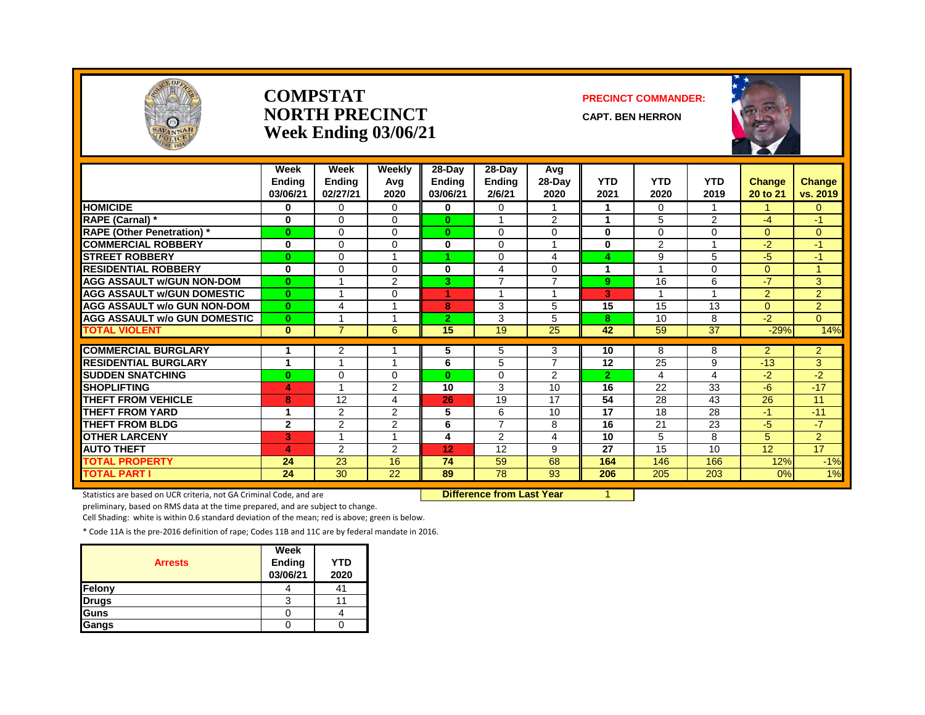

#### **COMPSTAT PRECINCT COMMANDER: NORTH PRECINCT** CAPT. BEN HERRON **Week Ending 03/06/21**





|                                     | Week<br><b>Ending</b><br>03/06/21 | Week<br><b>Ending</b><br>02/27/21 | Weekly<br>Avg<br>2020 | 28-Day<br><b>Ending</b><br>03/06/21 | 28-Day<br><b>Ending</b><br>2/6/21 | Avg<br>$28-Day$<br>2020 | <b>YTD</b><br>2021 | <b>YTD</b><br>2020 | <b>YTD</b><br>2019      | Change<br>20 to 21 | <b>Change</b><br>vs. 2019 |
|-------------------------------------|-----------------------------------|-----------------------------------|-----------------------|-------------------------------------|-----------------------------------|-------------------------|--------------------|--------------------|-------------------------|--------------------|---------------------------|
| <b>HOMICIDE</b>                     | 0                                 | $\Omega$                          | $\Omega$              | 0                                   | 0                                 |                         |                    | $\Omega$           |                         |                    | $\overline{0}$            |
| RAPE (Carnal) *                     | 0                                 | 0                                 | $\Omega$              | $\bf{0}$                            | $\overline{A}$                    | 2                       | 1                  | 5                  | 2                       | -4                 | $-1$                      |
| <b>RAPE (Other Penetration)</b> *   | $\bf{0}$                          | 0                                 | $\Omega$              | $\bf{0}$                            | $\Omega$                          | $\Omega$                | 0                  | 0                  | $\Omega$                | $\Omega$           | $\Omega$                  |
| <b>COMMERCIAL ROBBERY</b>           | $\bf{0}$                          | 0                                 | $\Omega$              | $\mathbf{0}$                        | $\Omega$                          |                         | 0                  | $\overline{2}$     |                         | $-2$               | $-1$                      |
| <b>STREET ROBBERY</b>               | $\bf{0}$                          | 0                                 |                       | A.                                  | $\Omega$                          | $\overline{4}$          | 4                  | 9                  | 5                       | $-5$               | $-1$                      |
| <b>RESIDENTIAL ROBBERY</b>          | $\bf{0}$                          | $\Omega$                          | $\Omega$              | 0                                   | 4                                 | $\Omega$                |                    |                    | $\Omega$                | $\Omega$           | 4                         |
| <b>AGG ASSAULT w/GUN NON-DOM</b>    | $\mathbf{0}$                      |                                   | 2                     | 3                                   | $\overline{7}$                    | $\overline{7}$          | 9                  | 16                 | 6                       | -7                 | 3                         |
| <b>AGG ASSAULT w/GUN DOMESTIC</b>   | $\mathbf{0}$                      | $\overline{A}$                    | $\Omega$              | 4                                   | $\overline{A}$                    | $\overline{ }$          | 3                  | 1                  | $\overline{\mathbf{A}}$ | 2                  | $\overline{2}$            |
| <b>AGG ASSAULT w/o GUN NON-DOM</b>  | $\bf{0}$                          | 4                                 |                       | 8                                   | 3                                 | 5                       | 15                 | 15                 | 13                      | $\Omega$           | $\overline{2}$            |
| <b>AGG ASSAULT w/o GUN DOMESTIC</b> | $\mathbf{0}$                      |                                   |                       | $\overline{2}$                      | 3                                 | 5                       | 8                  | 10                 | 8                       | $-2$               | $\overline{0}$            |
| <b>TOTAL VIOLENT</b>                | $\bf{0}$                          | $\overline{7}$                    | 6                     | 15                                  | 19                                | 25                      | 42                 | 59                 | 37                      | $-29%$             | 14%                       |
|                                     | 1                                 |                                   |                       |                                     |                                   |                         |                    |                    |                         |                    |                           |
| <b>COMMERCIAL BURGLARY</b>          |                                   | 2<br>$\overline{ }$               | 4                     | 5                                   | 5                                 | 3<br>$\overline{7}$     | 10                 | 8                  | 8                       | $\overline{2}$     | $\overline{2}$            |
| <b>RESIDENTIAL BURGLARY</b>         | 1                                 |                                   |                       | 6                                   | 5                                 |                         | 12                 | 25                 | 9                       | $-13$              | 3                         |
| <b>SUDDEN SNATCHING</b>             | $\bf{0}$                          | 0<br>4                            | $\Omega$              | $\mathbf{0}$                        | $\Omega$                          | 2                       | $\overline{2}$     | 4                  | 4                       | $-2$               | $-2$                      |
| <b>SHOPLIFTING</b>                  | 4                                 |                                   | 2                     | 10                                  | 3                                 | 10                      | 16                 | 22                 | 33                      | $-6$               | $-17$                     |
| <b>THEFT FROM VEHICLE</b>           | 8                                 | 12                                | 4                     | 26                                  | 19                                | 17                      | 54                 | 28                 | 43                      | 26                 | 11                        |
| <b>THEFT FROM YARD</b>              | 1                                 | $\overline{2}$                    | 2                     | 5                                   | 6                                 | 10                      | 17                 | 18                 | 28                      | $-1$               | $-11$                     |
| <b>THEFT FROM BLDG</b>              | $\mathbf{2}$                      | $\overline{2}$                    | $\overline{2}$        | 6                                   | $\overline{7}$                    | 8                       | 16                 | 21                 | $\overline{23}$         | $-5$               | $-7$                      |
| <b>OTHER LARCENY</b>                | 3                                 | 1                                 |                       | 4                                   | 2                                 | $\overline{4}$          | 10                 | 5                  | 8                       | 5                  | $\overline{2}$            |
| <b>AUTO THEFT</b>                   | 4                                 | $\overline{2}$                    | 2                     | 12                                  | 12                                | 9                       | 27                 | 15                 | 10                      | 12                 | 17                        |
| <b>TOTAL PROPERTY</b>               | 24                                | 23                                | 16                    | 74                                  | 59                                | 68                      | 164                | 146                | 166                     | 12%                | $-1%$                     |
| <b>TOTAL PART I</b>                 | 24                                | 30                                | 22                    | 89                                  | 78                                | 93                      | 206                | 205                | 203                     | 0%                 | 1%                        |

Statistics are based on UCR criteria, not GA Criminal Code, and are **Difference from Last Year** 1

preliminary, based on RMS data at the time prepared, and are subject to change.

Cell Shading: white is within 0.6 standard deviation of the mean; red is above; green is below.

| <b>Arrests</b> | Week<br>Ending<br>03/06/21 | YTD<br>2020 |
|----------------|----------------------------|-------------|
| Felony         |                            | 41          |
| <b>Drugs</b>   |                            |             |
| Guns           |                            |             |
| Gangs          |                            |             |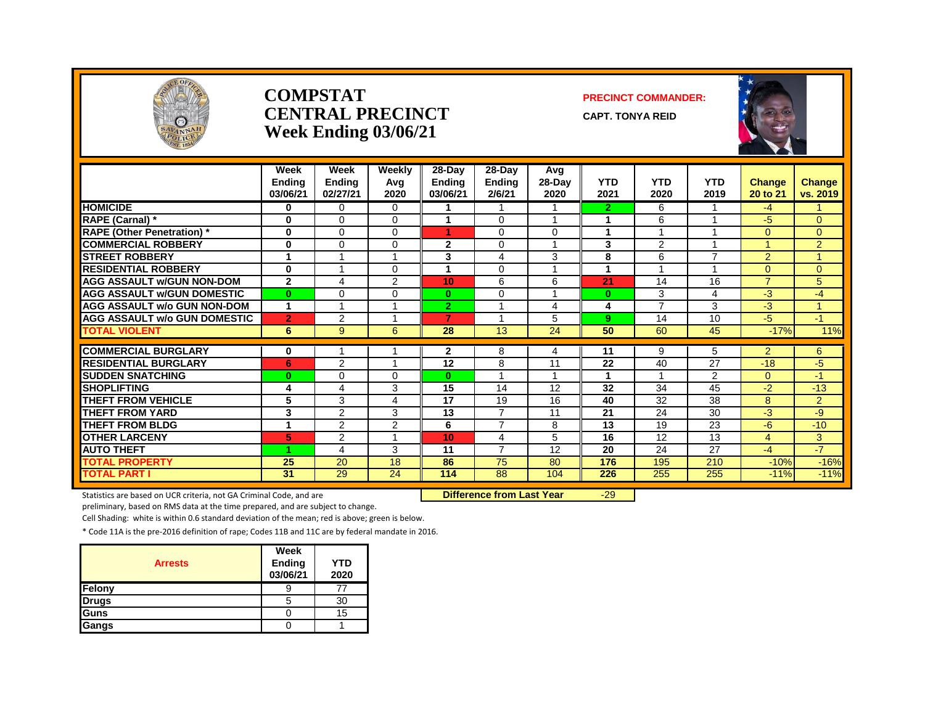

#### **COMPSTAT PRECINCT COMMANDER: CENTRAL PRECINCT** CAPT. TONYA REID **Week Ending 03/06/21**





|                                     | Week<br><b>Ending</b><br>03/06/21 | Week<br><b>Ending</b><br>02/27/21 | Weekly<br>Avg<br>2020 | $28-Day$<br><b>Ending</b><br>03/06/21 | $28-Dav$<br><b>Ending</b><br>2/6/21 | Avg<br>28-Day<br>2020   | <b>YTD</b><br>2021 | <b>YTD</b><br>2020 | <b>YTD</b><br>2019 | <b>Change</b><br>20 to 21 | <b>Change</b><br>vs. 2019 |
|-------------------------------------|-----------------------------------|-----------------------------------|-----------------------|---------------------------------------|-------------------------------------|-------------------------|--------------------|--------------------|--------------------|---------------------------|---------------------------|
| <b>HOMICIDE</b>                     | 0                                 | $\Omega$                          | 0                     |                                       |                                     |                         | $\mathbf{2}$       | 6                  |                    | $-4$                      |                           |
| RAPE (Carnal) *                     | 0                                 | $\Omega$                          | 0                     | 1                                     | $\Omega$                            |                         |                    | 6                  |                    | $-5$                      | $\mathbf{0}$              |
| <b>RAPE (Other Penetration)</b> *   | $\bf{0}$                          | $\Omega$                          | 0                     | 1                                     | $\Omega$                            | $\Omega$                |                    |                    |                    | $\Omega$                  | $\mathbf{0}$              |
| <b>COMMERCIAL ROBBERY</b>           | $\bf{0}$                          | $\Omega$                          | 0                     | $\mathbf{2}$                          | $\Omega$                            |                         | 3                  | $\overline{2}$     |                    |                           | 2                         |
| <b>STREET ROBBERY</b>               |                                   |                                   |                       | 3                                     | 4                                   | 3                       | 8                  | 6                  | $\overline{7}$     | $\overline{2}$            | $\blacktriangleleft$      |
| <b>RESIDENTIAL ROBBERY</b>          | $\bf{0}$                          |                                   | 0                     | 4                                     | $\Omega$                            |                         |                    |                    |                    | $\mathbf{0}$              | $\overline{0}$            |
| <b>AGG ASSAULT w/GUN NON-DOM</b>    | $\mathbf{2}$                      | 4                                 | $\overline{2}$        | 10                                    | 6                                   | 6                       | 21                 | 14                 | 16                 | $\overline{7}$            | 5                         |
| <b>AGG ASSAULT w/GUN DOMESTIC</b>   | $\bf{0}$                          | $\Omega$                          | 0                     | $\bf{0}$                              | $\Omega$                            | 1                       | $\bf{0}$           | 3                  | 4                  | -3                        | $-4$                      |
| <b>AGG ASSAULT w/o GUN NON-DOM</b>  | 1                                 |                                   |                       | $\overline{2}$                        |                                     | 4                       | 4                  | $\overline{7}$     | 3                  | $-3$                      | 1                         |
| <b>AGG ASSAULT w/o GUN DOMESTIC</b> | $\overline{2}$                    | $\overline{2}$                    |                       | 7                                     |                                     | 5                       | 9                  | 14                 | 10                 | $-5$                      | $-1$                      |
| TOTAL VIOLENT                       | 6                                 | 9                                 | 6                     | 28                                    | 13                                  | 24                      | 50                 | 60                 | 45                 | $-17%$                    | 11%                       |
| <b>COMMERCIAL BURGLARY</b>          |                                   |                                   |                       |                                       |                                     |                         |                    |                    |                    |                           |                           |
| <b>RESIDENTIAL BURGLARY</b>         | 0                                 |                                   |                       | 2<br>12                               | 8<br>8                              | 4<br>11                 | 11<br>22           | 9<br>40            | 5<br>27            | $\overline{2}$<br>$-18$   | 6                         |
| <b>SUDDEN SNATCHING</b>             | 6                                 | $\overline{2}$<br>$\Omega$        |                       |                                       |                                     | $\overline{\mathbf{A}}$ |                    |                    |                    |                           | $-5$                      |
|                                     | $\bf{0}$                          |                                   | 0                     | $\bf{0}$                              |                                     |                         |                    |                    | $\overline{2}$     | $\Omega$                  | $-1$                      |
| <b>SHOPLIFTING</b>                  | 4                                 | 4                                 | 3                     | 15                                    | 14                                  | 12                      | 32                 | 34                 | 45                 | $-2$                      | $-13$                     |
| <b>THEFT FROM VEHICLE</b>           | 5                                 | 3                                 | 4                     | 17                                    | 19                                  | 16                      | 40                 | 32                 | 38                 | 8                         | 2                         |
| <b>THEFT FROM YARD</b>              | 3                                 | $\overline{2}$                    | 3                     | 13                                    | $\overline{7}$                      | 11                      | 21                 | 24                 | 30                 | $-3$                      | -9                        |
| <b>THEFT FROM BLDG</b>              | 1                                 | $\overline{2}$                    | $\overline{2}$        | 6                                     | $\overline{7}$                      | 8                       | 13                 | 19                 | 23                 | $-6$                      | $-10$                     |
| <b>OTHER LARCENY</b>                | $\overline{\mathbf{5}}$           | $\overline{2}$                    |                       | 10                                    | 4                                   | 5                       | 16                 | 12                 | 13                 | $\overline{4}$            | 3                         |
| <b>AUTO THEFT</b>                   | л                                 | 4                                 | 3                     | 11                                    | $\overline{7}$                      | 12                      | 20                 | 24                 | 27                 | $-4$                      | $-7$                      |
| <b>TOTAL PROPERTY</b>               | 25                                | 20                                | 18                    | 86                                    | 75                                  | 80                      | 176                | 195                | 210                | $-10%$                    | $-16%$                    |
| <b>TOTAL PART I</b>                 | 31                                | 29                                | 24                    | 114                                   | 88                                  | 104                     | 226                | 255                | 255                | $-11%$                    | $-11%$                    |

Statistics are based on UCR criteria, not GA Criminal Code, and are **Difference from Last Year** -29

preliminary, based on RMS data at the time prepared, and are subject to change.

Cell Shading: white is within 0.6 standard deviation of the mean; red is above; green is below.

| <b>Arrests</b> | Week<br>Ending<br>03/06/21 | YTD<br>2020 |
|----------------|----------------------------|-------------|
| Felony         | У                          | 77          |
| <b>Drugs</b>   | 5                          | 30          |
| Guns           |                            | 15          |
| Gangs          |                            |             |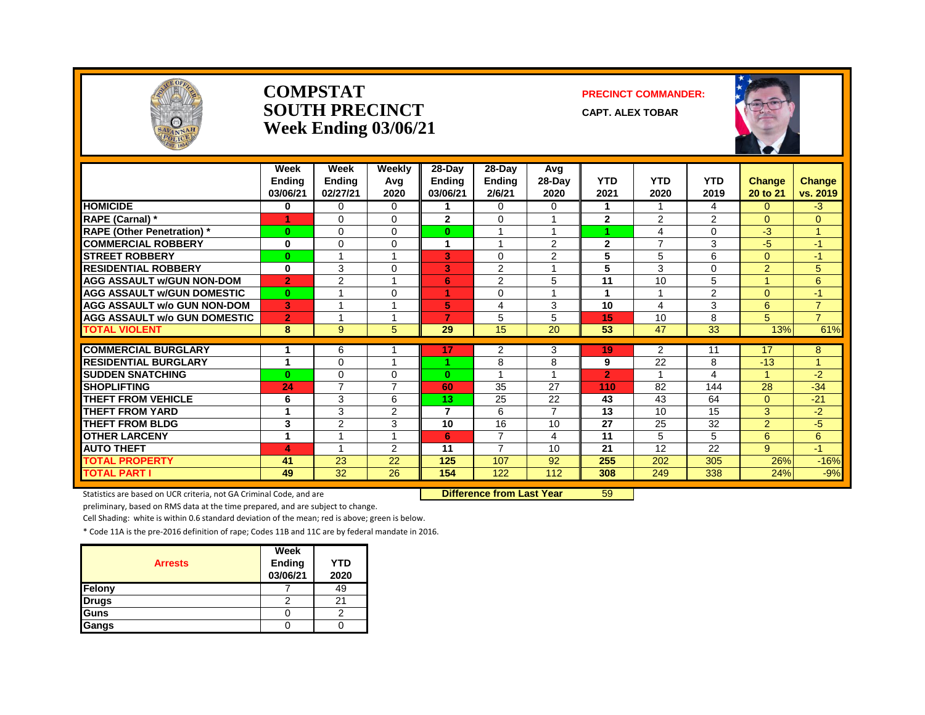

#### **COMPSTAT PRECINCT COMMANDER: SOUTH PRECINCT CAPT. ALEX TOBAR Week Ending 03/06/21**



|                                     | Week<br><b>Ending</b><br>03/06/21 | Week<br><b>Ending</b><br>02/27/21 | Weekly<br>Avg<br>2020    | 28-Day<br><b>Endina</b><br>03/06/21 | 28-Day<br><b>Ending</b><br>2/6/21 | <b>Avg</b><br>$28$ -Day<br>2020 | <b>YTD</b><br>2021 | <b>YTD</b><br>2020      | <b>YTD</b><br>2019 | <b>Change</b><br>20 to 21 | Change<br>vs. 2019  |
|-------------------------------------|-----------------------------------|-----------------------------------|--------------------------|-------------------------------------|-----------------------------------|---------------------------------|--------------------|-------------------------|--------------------|---------------------------|---------------------|
| <b>HOMICIDE</b>                     | 0                                 | $\Omega$                          | 0                        |                                     | $\Omega$                          | 0                               | 1                  |                         | 4                  | 0                         | $-3$                |
| RAPE (Carnal) *                     |                                   | $\Omega$                          | 0                        | $\overline{2}$                      | $\Omega$                          | 1                               | $\mathbf{2}$       | 2                       | $\overline{2}$     | $\Omega$                  | 0                   |
| <b>RAPE (Other Penetration)*</b>    | 0                                 | $\Omega$                          | 0                        | $\bf{0}$                            |                                   | 1                               | 4                  | 4                       | $\Omega$           | $-3$                      | 4                   |
| <b>COMMERCIAL ROBBERY</b>           | 0                                 | $\Omega$                          | $\Omega$                 | 1                                   |                                   | $\overline{2}$                  | $\mathbf{2}$       | $\overline{7}$          | 3                  | $-5$                      | $-1$                |
| <b>STREET ROBBERY</b>               | $\bf{0}$                          |                                   |                          | 3                                   | $\Omega$                          | 2                               | 5                  | 5                       | 6                  | $\Omega$                  | $-1$                |
| <b>RESIDENTIAL ROBBERY</b>          | 0                                 | 3                                 | $\Omega$                 | 3                                   | $\overline{2}$                    |                                 | 5                  | 3                       | 0                  | $\overline{2}$            | 5                   |
| <b>AGG ASSAULT w/GUN NON-DOM</b>    | $\overline{2}$                    | 2                                 |                          | 6                                   | 2                                 | 5                               | 11                 | 10                      | 5                  |                           | 6                   |
| <b>AGG ASSAULT W/GUN DOMESTIC</b>   | $\bf{0}$                          | $\overline{A}$                    | $\Omega$                 | 4.                                  | $\Omega$                          | $\overline{A}$                  | 1                  | $\overline{\mathbf{A}}$ | $\overline{2}$     | $\Omega$                  | $\overline{1}$      |
| <b>AGG ASSAULT w/o GUN NON-DOM</b>  | 3                                 |                                   |                          | 5                                   | 4                                 | 3                               | 10                 | 4                       | 3                  | 6                         | $\overline{7}$      |
| <b>AGG ASSAULT w/o GUN DOMESTIC</b> | $\overline{2}$                    |                                   |                          | 7                                   | 5                                 | 5                               | 15                 | 10                      | 8                  | 5                         | $\overline{7}$      |
| <b>TOTAL VIOLENT</b>                | 8                                 | 9                                 | 5                        | 29                                  | $\overline{15}$                   | $\overline{20}$                 | 53                 | 47                      | $\overline{33}$    | 13%                       | 61%                 |
|                                     |                                   |                                   |                          |                                     |                                   |                                 |                    |                         |                    |                           |                     |
| <b>COMMERCIAL BURGLARY</b>          | 1                                 | 6                                 |                          | 17                                  | 2                                 | 3                               | 19                 | 2                       | 11                 | 17                        | 8<br>$\overline{A}$ |
| <b>RESIDENTIAL BURGLARY</b>         | 1                                 | $\Omega$                          |                          | 4                                   | 8                                 | 8                               | 9                  | 22                      | 8                  | $-13$                     |                     |
| <b>SUDDEN SNATCHING</b>             | $\bf{0}$                          | $\Omega$                          | $\Omega$                 | $\mathbf{0}$                        |                                   |                                 | $\overline{2}$     |                         | 4                  |                           | $-2$                |
| <b>SHOPLIFTING</b>                  | 24                                | $\overline{7}$                    | $\overline{\phantom{a}}$ | 60                                  | 35                                | 27                              | 110                | 82                      | 144                | 28                        | $-34$               |
| THEFT FROM VEHICLE                  | 6                                 | 3                                 | 6                        | 13                                  | 25                                | 22                              | 43                 | 43                      | 64                 | $\Omega$                  | $-21$               |
| <b>THEFT FROM YARD</b>              | 1                                 | 3                                 | 2                        | $\overline{7}$                      | 6                                 | $\overline{7}$                  | 13                 | 10                      | 15                 | 3                         | $-2$                |
| <b>THEFT FROM BLDG</b>              | 3                                 | 2                                 | 3                        | 10                                  | 16                                | 10                              | 27                 | 25                      | 32                 | $\overline{2}$            | $-5$                |
| <b>OTHER LARCENY</b>                | 1                                 |                                   |                          | 6                                   | $\overline{7}$                    | 4                               | 11                 | 5                       | 5                  | 6                         | 6                   |
| <b>AUTO THEFT</b>                   | 4                                 |                                   | 2                        | 11                                  | $\overline{7}$                    | 10                              | 21                 | 12                      | 22                 | 9                         | $-1$                |
| <b>TOTAL PROPERTY</b>               | 41                                | 23                                | 22                       | 125                                 | 107                               | 92                              | 255                | 202                     | 305                | 26%                       | $-16%$              |
| <b>TOTAL PART I</b>                 | 49                                | 32                                | 26                       | 154                                 | 122                               | 112                             | 308                | 249                     | 338                | 24%                       | $-9%$               |

Statistics are based on UCR criteria, not GA Criminal Code, and are **Difference from Last Year** 59

preliminary, based on RMS data at the time prepared, and are subject to change.

Cell Shading: white is within 0.6 standard deviation of the mean; red is above; green is below.

| <b>Arrests</b> | Week<br>Ending<br>03/06/21 | <b>YTD</b><br>2020 |
|----------------|----------------------------|--------------------|
| Felony         |                            | 49                 |
| <b>Drugs</b>   |                            | 2.                 |
| Guns           |                            |                    |
| Gangs          |                            |                    |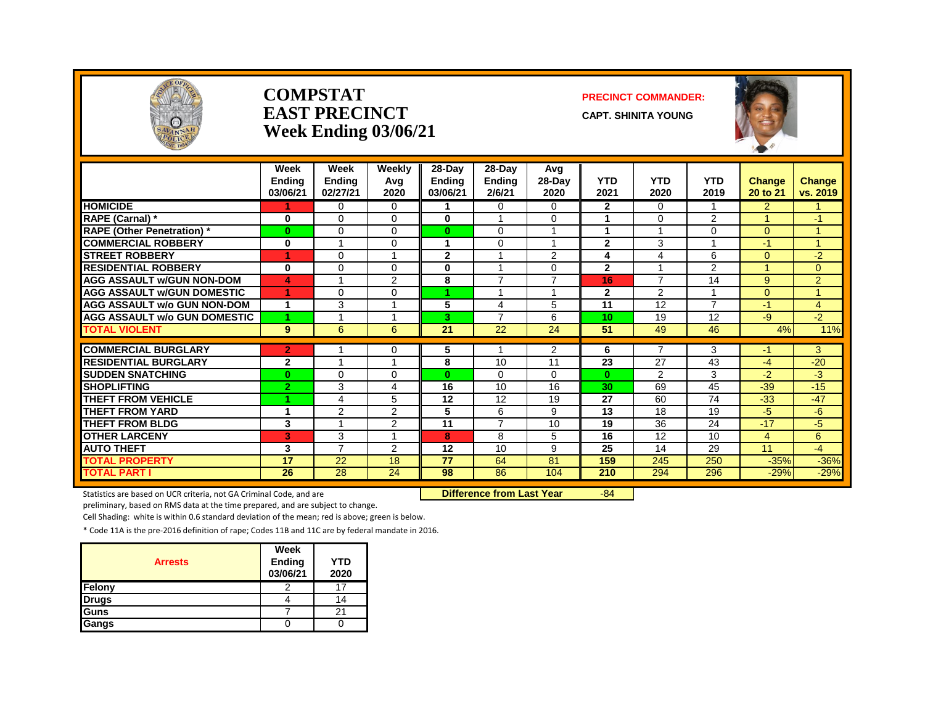

#### **COMPSTAT PRECINCT COMMANDER: EAST PRECINCT** CAPT. SHINITA YOUNG **Week Ending 03/06/21**



|                                     | Week<br><b>Endina</b><br>03/06/21 | Week<br><b>Ending</b><br>02/27/21 | Weekly<br>Avg<br>2020 | 28-Day<br><b>Ending</b><br>03/06/21 | 28-Day<br><b>Ending</b><br>2/6/21 | Avg<br>$28$ -Day<br>2020 | <b>YTD</b><br>2021 | <b>YTD</b><br>2020      | <b>YTD</b><br>2019      | <b>Change</b><br>20 to 21 | Change<br>vs. 2019 |
|-------------------------------------|-----------------------------------|-----------------------------------|-----------------------|-------------------------------------|-----------------------------------|--------------------------|--------------------|-------------------------|-------------------------|---------------------------|--------------------|
| <b>HOMICIDE</b>                     |                                   | $\Omega$                          | 0                     |                                     | $\Omega$                          | $\Omega$                 | $\mathbf{2}$       | $\Omega$                |                         | $\overline{2}$            |                    |
| RAPE (Carnal) *                     | 0                                 | $\Omega$                          | $\Omega$              | 0                                   |                                   | $\Omega$                 | 1                  | $\Omega$                | $\overline{2}$          |                           | $-1$               |
| <b>RAPE (Other Penetration)</b> *   | $\bf{0}$                          | $\Omega$                          | $\Omega$              | $\mathbf{0}$                        | $\Omega$                          | $\overline{A}$           | 1                  | $\overline{\mathbf{A}}$ | $\Omega$                | $\Omega$                  | и                  |
| <b>COMMERCIAL ROBBERY</b>           | 0                                 |                                   | 0                     |                                     | $\Omega$                          |                          | $\overline{2}$     | 3                       |                         | -1                        |                    |
| <b>STREET ROBBERY</b>               | 1                                 | $\Omega$                          |                       | $\mathbf{2}$                        |                                   | 2                        | 4                  | 4                       | 6                       | $\Omega$                  | $-2$               |
| <b>RESIDENTIAL ROBBERY</b>          | 0                                 | $\Omega$                          | 0                     | 0                                   |                                   | $\Omega$                 | $\mathbf{2}$       |                         | $\overline{2}$          |                           | $\Omega$           |
| <b>AGG ASSAULT w/GUN NON-DOM</b>    | 4                                 |                                   | 2                     | 8                                   | $\overline{7}$                    | $\overline{7}$           | 16                 | $\overline{7}$          | 14                      | 9                         | $\overline{2}$     |
| <b>AGG ASSAULT w/GUN DOMESTIC</b>   | 4                                 | $\Omega$                          | $\Omega$              | 4.                                  |                                   | $\overline{A}$           | $\mathbf{2}$       | 2                       | $\overline{\mathbf{A}}$ | $\Omega$                  | $\overline{A}$     |
| <b>AGG ASSAULT w/o GUN NON-DOM</b>  | 1                                 | 3                                 |                       | 5                                   | 4                                 | 5                        | 11                 | 12                      | $\overline{7}$          | -1                        | 4                  |
| <b>AGG ASSAULT w/o GUN DOMESTIC</b> | 4                                 |                                   |                       | 3.                                  | $\overline{7}$                    | 6                        | 10                 | 19                      | 12                      | -9                        | $-2$               |
| <b>TOTAL VIOLENT</b>                | 9                                 | 6                                 | 6                     | $\overline{21}$                     | 22                                | 24                       | 51                 | 49                      | 46                      | 4%                        | 11%                |
|                                     |                                   |                                   |                       |                                     |                                   |                          |                    |                         |                         |                           |                    |
| <b>COMMERCIAL BURGLARY</b>          | $\overline{2}$                    |                                   | 0                     | 5                                   |                                   | $\overline{2}$           | 6                  | 7                       | 3                       | -1                        | 3                  |
| <b>RESIDENTIAL BURGLARY</b>         | $\mathbf{2}$                      |                                   |                       | 8                                   | 10                                | 11                       | 23                 | 27                      | 43                      | $-4$                      | $-20$              |
| <b>SUDDEN SNATCHING</b>             | $\bf{0}$                          | $\Omega$                          | $\Omega$              | $\bf{0}$                            | $\Omega$                          | $\Omega$                 | $\mathbf{0}$       | 2                       | 3                       | $-2$                      | $-3$               |
| <b>SHOPLIFTING</b>                  | $\overline{2}$                    | 3                                 | 4                     | 16                                  | 10                                | 16                       | 30                 | 69                      | 45                      | $-39$                     | $-15$              |
| <b>THEFT FROM VEHICLE</b>           | 4                                 | 4                                 | 5                     | 12                                  | 12                                | 19                       | 27                 | 60                      | 74                      | $-33$                     | $-47$              |
| <b>THEFT FROM YARD</b>              | 1                                 | 2                                 | 2                     | 5                                   | 6                                 | 9                        | 13                 | 18                      | 19                      | $-5$                      | $-6$               |
| <b>THEFT FROM BLDG</b>              | 3                                 |                                   | 2                     | 11                                  | $\overline{7}$                    | 10                       | 19                 | 36                      | 24                      | $-17$                     | $-5$               |
| <b>OTHER LARCENY</b>                | 3                                 | 3                                 |                       | 8                                   | 8                                 | 5                        | 16                 | 12                      | 10                      | 4                         | 6                  |
| <b>AUTO THEFT</b>                   | 3                                 | $\overline{7}$                    | 2                     | 12                                  | 10                                | 9                        | 25                 | 14                      | 29                      | 11                        | $-4$               |
| <b>TOTAL PROPERTY</b>               | 17                                | 22                                | 18                    | 77                                  | 64                                | 81                       | 159                | 245                     | 250                     | $-35%$                    | $-36%$             |
| <b>TOTAL PART I</b>                 | 26                                | 28                                | 24                    | 98                                  | 86                                | 104                      | 210                | 294                     | 296                     | $-29%$                    | $-29%$             |

Statistics are based on UCR criteria, not GA Criminal Code, and are **Difference from Last Year** -84

preliminary, based on RMS data at the time prepared, and are subject to change.

Cell Shading: white is within 0.6 standard deviation of the mean; red is above; green is below.

| <b>Arrests</b> | Week<br>Ending<br>03/06/21 | YTD<br>2020 |
|----------------|----------------------------|-------------|
| Felony         | ◠                          | 17          |
| <b>Drugs</b>   |                            | 14          |
| Guns           |                            | 21          |
| Gangs          |                            |             |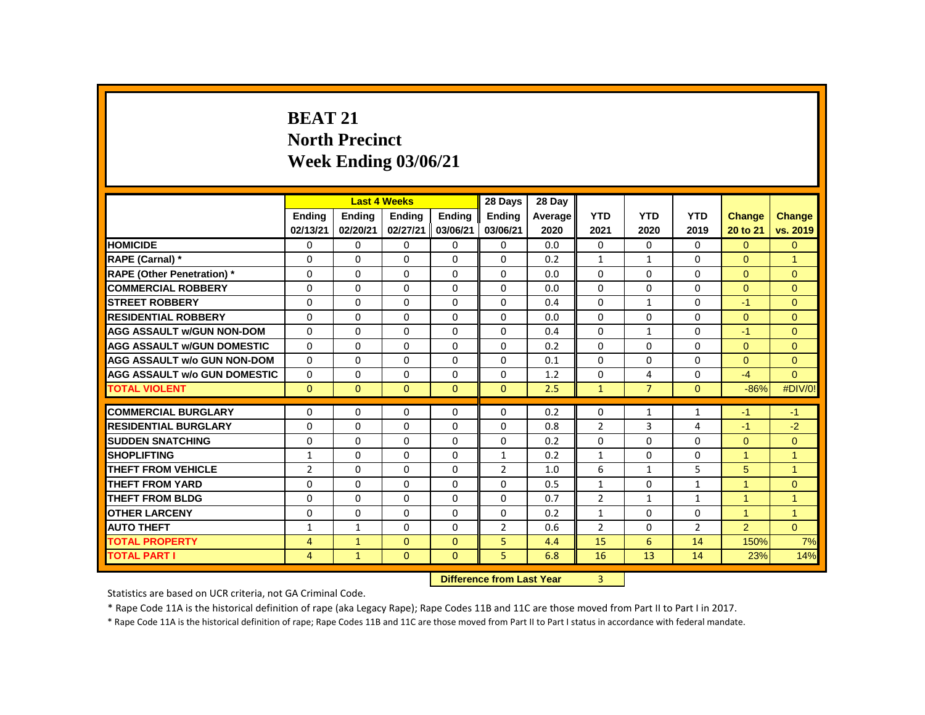# **BEAT 21 North Precinct Week Ending 03/06/21**

|                                     |                |               | <b>Last 4 Weeks</b> |               | 28 Days        | 28 Day                    |                |                |                |                      |                |
|-------------------------------------|----------------|---------------|---------------------|---------------|----------------|---------------------------|----------------|----------------|----------------|----------------------|----------------|
|                                     | <b>Endina</b>  | <b>Endina</b> | <b>Endina</b>       | <b>Endina</b> | <b>Endina</b>  | Average                   | <b>YTD</b>     | <b>YTD</b>     | <b>YTD</b>     | Change               | Change         |
|                                     | 02/13/21       | 02/20/21      | 02/27/21            | 03/06/21      | 03/06/21       | 2020                      | 2021           | 2020           | 2019           | 20 to 21             | vs. 2019       |
| <b>HOMICIDE</b>                     | 0              | 0             | 0                   | 0             | 0              | 0.0                       | 0              | $\Omega$       | 0              | $\Omega$             | $\overline{0}$ |
| RAPE (Carnal) *                     | $\Omega$       | $\Omega$      | $\Omega$            | $\Omega$      | $\Omega$       | 0.2                       | $\mathbf{1}$   | $\mathbf{1}$   | $\Omega$       | $\Omega$             | $\overline{1}$ |
| <b>RAPE (Other Penetration) *</b>   | $\Omega$       | $\Omega$      | $\Omega$            | $\Omega$      | $\Omega$       | 0.0                       | $\Omega$       | 0              | $\Omega$       | $\Omega$             | $\Omega$       |
| <b>COMMERCIAL ROBBERY</b>           | $\Omega$       | $\Omega$      | $\Omega$            | $\Omega$      | $\Omega$       | 0.0                       | $\Omega$       | $\Omega$       | $\Omega$       | $\Omega$             | $\mathbf{0}$   |
| <b>STREET ROBBERY</b>               | $\Omega$       | $\Omega$      | $\Omega$            | $\Omega$      | $\Omega$       | 0.4                       | $\Omega$       | $\mathbf{1}$   | $\Omega$       | $-1$                 | $\Omega$       |
| <b>RESIDENTIAL ROBBERY</b>          | 0              | 0             | 0                   | 0             | 0              | 0.0                       | 0              | 0              | 0              | $\Omega$             | $\mathbf{0}$   |
| <b>AGG ASSAULT W/GUN NON-DOM</b>    | $\Omega$       | $\Omega$      | $\Omega$            | $\Omega$      | $\Omega$       | 0.4                       | $\Omega$       | $\mathbf{1}$   | $\Omega$       | $-1$                 | $\mathbf{0}$   |
| <b>AGG ASSAULT W/GUN DOMESTIC</b>   | $\Omega$       | $\Omega$      | $\Omega$            | $\Omega$      | $\Omega$       | 0.2                       | $\Omega$       | $\Omega$       | $\Omega$       | $\Omega$             | $\mathbf{0}$   |
| <b>AGG ASSAULT w/o GUN NON-DOM</b>  | $\Omega$       | $\Omega$      | $\Omega$            | $\Omega$      | 0              | 0.1                       | $\Omega$       | $\Omega$       | $\Omega$       | $\Omega$             | $\mathbf{0}$   |
| <b>AGG ASSAULT W/o GUN DOMESTIC</b> | $\Omega$       | $\Omega$      | 0                   | $\Omega$      | $\Omega$       | 1.2                       | $\Omega$       | 4              | $\Omega$       | $-4$                 | $\Omega$       |
| <b>TOTAL VIOLENT</b>                | $\Omega$       | $\mathbf{0}$  | $\Omega$            | $\Omega$      | $\Omega$       | 2.5                       | $\mathbf{1}$   | $\overline{7}$ | $\Omega$       | $-86%$               | #DIV/0!        |
| <b>COMMERCIAL BURGLARY</b>          | $\Omega$       | $\Omega$      | $\Omega$            | $\Omega$      | $\Omega$       | 0.2                       | $\Omega$       | $\mathbf{1}$   | $\mathbf{1}$   | $-1$                 | $-1$           |
| <b>RESIDENTIAL BURGLARY</b>         | 0              | $\Omega$      | $\Omega$            | 0             | 0              | 0.8                       | $\overline{2}$ | 3              | 4              | $-1$                 | $-2$           |
| <b>SUDDEN SNATCHING</b>             | 0              | 0             | $\Omega$            | 0             | $\Omega$       | 0.2                       | $\Omega$       | $\Omega$       | $\Omega$       | $\mathbf{0}$         | $\overline{0}$ |
| <b>SHOPLIFTING</b>                  | $\mathbf{1}$   | $\Omega$      | $\Omega$            | $\Omega$      | $\mathbf{1}$   | 0.2                       | $\mathbf{1}$   | $\Omega$       | $\Omega$       | $\blacktriangleleft$ | $\overline{1}$ |
| <b>THEFT FROM VEHICLE</b>           | $\overline{2}$ | $\Omega$      | $\Omega$            | $\Omega$      | $\overline{2}$ | 1.0                       | 6              | $\mathbf{1}$   | 5              | 5                    | $\mathbf{1}$   |
| <b>THEFT FROM YARD</b>              | 0              | $\Omega$      | $\Omega$            | 0             | 0              | 0.5                       | 1              | 0              | $\mathbf{1}$   | 1                    | $\mathbf{0}$   |
| <b>THEFT FROM BLDG</b>              | 0              | $\Omega$      | $\Omega$            | $\Omega$      | $\Omega$       | 0.7                       | $\overline{2}$ | $\mathbf{1}$   | $\mathbf{1}$   | $\overline{1}$       | 1              |
| <b>OTHER LARCENY</b>                | 0              | 0             | 0                   | 0             | 0              | 0.2                       | $\mathbf{1}$   | 0              | 0              | $\mathbf{1}$         | $\mathbf{1}$   |
| <b>AUTO THEFT</b>                   | $\mathbf{1}$   | $\mathbf{1}$  | $\Omega$            | $\Omega$      | $\overline{2}$ | 0.6                       | $\overline{2}$ | $\Omega$       | $\overline{2}$ | $\overline{2}$       | $\Omega$       |
| <b>TOTAL PROPERTY</b>               | 4              | $\mathbf{1}$  | $\Omega$            | $\mathbf{0}$  | 5              | 4.4                       | 15             | 6              | 14             | 150%                 | 7%             |
| <b>TOTAL PART I</b>                 | 4              | $\mathbf{1}$  | $\mathbf{0}$        | $\mathbf{0}$  | 5              | 6.8                       | 16             | 13             | 14             | 23%                  | 14%            |
|                                     |                |               |                     |               |                | Difference from Last Vear | $\overline{2}$ |                |                |                      |                |

**DIFFERENCE FROM LAST YEAR** 

Statistics are based on UCR criteria, not GA Criminal Code.

\* Rape Code 11A is the historical definition of rape (aka Legacy Rape); Rape Codes 11B and 11C are those moved from Part II to Part I in 2017.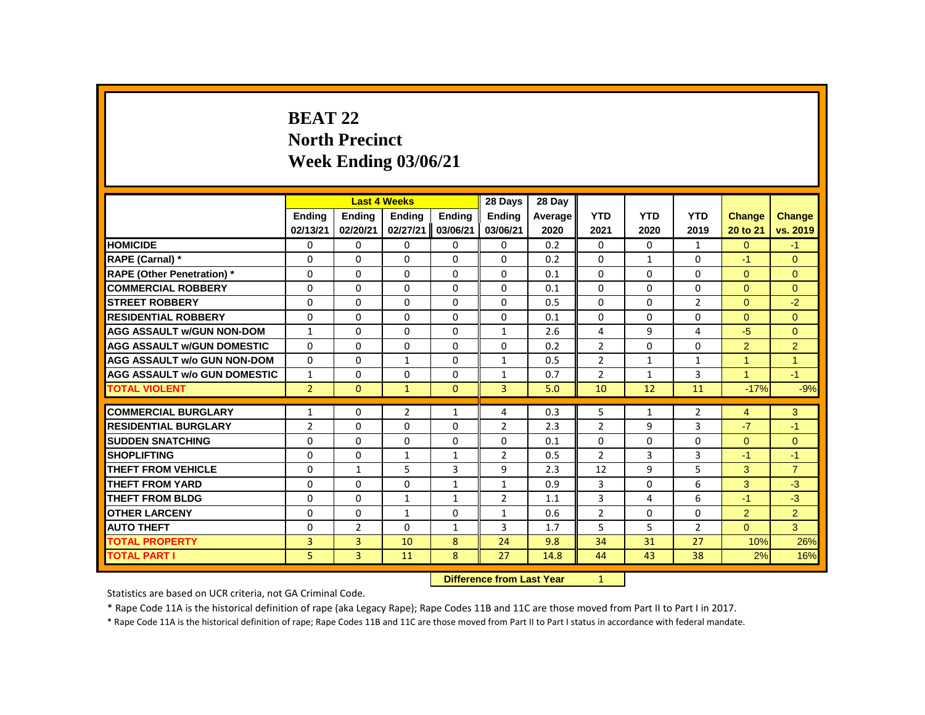# **BEAT 22 North Precinct Week Ending 03/06/21**

|                                     |                |                | <b>Last 4 Weeks</b> |                | 28 Days                   | 28 Day  |                |              |                |                |                |
|-------------------------------------|----------------|----------------|---------------------|----------------|---------------------------|---------|----------------|--------------|----------------|----------------|----------------|
|                                     | <b>Endina</b>  | <b>Endina</b>  | <b>Ending</b>       | <b>Endina</b>  | <b>Endina</b>             | Average | <b>YTD</b>     | <b>YTD</b>   | <b>YTD</b>     | <b>Change</b>  | <b>Change</b>  |
|                                     | 02/13/21       | 02/20/21       | 02/27/21            | 03/06/21       | 03/06/21                  | 2020    | 2021           | 2020         | 2019           | 20 to 21       | vs. 2019       |
| <b>HOMICIDE</b>                     | 0              | 0              | 0                   | 0              | 0                         | 0.2     | 0              | 0            | $\mathbf{1}$   | $\overline{0}$ | $-1$           |
| RAPE (Carnal) *                     | 0              | $\Omega$       | $\Omega$            | $\Omega$       | $\Omega$                  | 0.2     | $\Omega$       | $\mathbf{1}$ | $\Omega$       | $-1$           | $\Omega$       |
| <b>RAPE (Other Penetration)</b> *   | 0              | 0              | $\Omega$            | $\Omega$       | $\Omega$                  | 0.1     | $\Omega$       | $\Omega$     | 0              | $\mathbf{0}$   | $\mathbf{0}$   |
| <b>COMMERCIAL ROBBERY</b>           | $\Omega$       | $\Omega$       | $\Omega$            | $\Omega$       | $\Omega$                  | 0.1     | $\Omega$       | $\Omega$     | $\Omega$       | $\Omega$       | $\Omega$       |
| <b>STREET ROBBERY</b>               | 0              | $\Omega$       | $\Omega$            | $\Omega$       | $\Omega$                  | 0.5     | $\Omega$       | $\Omega$     | $\overline{2}$ | $\Omega$       | $-2$           |
| <b>RESIDENTIAL ROBBERY</b>          | $\Omega$       | $\Omega$       | $\Omega$            | $\Omega$       | $\Omega$                  | 0.1     | $\Omega$       | $\Omega$     | $\Omega$       | $\Omega$       | $\Omega$       |
| <b>AGG ASSAULT W/GUN NON-DOM</b>    | $\mathbf{1}$   | $\Omega$       | $\Omega$            | $\Omega$       | $\mathbf{1}$              | 2.6     | 4              | 9            | 4              | $-5$           | $\Omega$       |
| <b>AGG ASSAULT W/GUN DOMESTIC</b>   | $\Omega$       | $\Omega$       | $\Omega$            | $\Omega$       | $\Omega$                  | 0.2     | $\overline{2}$ | $\Omega$     | $\Omega$       | $\overline{2}$ | $\overline{2}$ |
| <b>AGG ASSAULT w/o GUN NON-DOM</b>  | $\Omega$       | $\Omega$       | $\mathbf{1}$        | $\Omega$       | $\mathbf{1}$              | 0.5     | $\overline{2}$ | $\mathbf{1}$ | $\mathbf{1}$   | $\overline{1}$ | $\mathbf{1}$   |
| <b>AGG ASSAULT W/o GUN DOMESTIC</b> | $\mathbf{1}$   | 0              | $\Omega$            | $\Omega$       | $\mathbf{1}$              | 0.7     | $\overline{2}$ | $\mathbf{1}$ | 3              | $\overline{1}$ | $-1$           |
| <b>TOTAL VIOLENT</b>                | $\overline{2}$ | $\mathbf{0}$   | $\mathbf{1}$        | $\Omega$       | $\overline{3}$            | 5.0     | 10             | 12           | 11             | $-17%$         | $-9%$          |
| <b>COMMERCIAL BURGLARY</b>          | $\mathbf{1}$   | $\Omega$       | 2                   | $\mathbf{1}$   | 4                         | 0.3     | 5              | $\mathbf{1}$ | $\overline{2}$ | $\overline{4}$ | 3              |
| <b>RESIDENTIAL BURGLARY</b>         | $\overline{2}$ | 0              | 0                   | $\mathbf 0$    | $\overline{2}$            | 2.3     | $\overline{2}$ | 9            | 3              | $-7$           | $-1$           |
| <b>SUDDEN SNATCHING</b>             | $\Omega$       | $\Omega$       | $\Omega$            | $\Omega$       | $\Omega$                  | 0.1     | $\Omega$       | $\Omega$     | $\Omega$       | $\Omega$       | $\Omega$       |
| <b>SHOPLIFTING</b>                  | $\Omega$       | 0              | $\mathbf{1}$        | $\mathbf{1}$   | $\overline{2}$            | 0.5     | $\overline{2}$ | 3            | 3              | $-1$           | $-1$           |
| <b>THEFT FROM VEHICLE</b>           | $\Omega$       | $\mathbf{1}$   | 5                   | $\overline{3}$ | 9                         | 2.3     | 12             | 9            | 5              | 3              | $\overline{7}$ |
| <b>THEFT FROM YARD</b>              | 0              | 0              | 0                   | $\mathbf{1}$   | $\mathbf{1}$              | 0.9     | 3              | 0            | 6              | 3              | $-3$           |
| <b>THEFT FROM BLDG</b>              | 0              | $\Omega$       | $\mathbf{1}$        | $\mathbf{1}$   | $\overline{2}$            | 1.1     | 3              | 4            | 6              | $-1$           | $-3$           |
| <b>OTHER LARCENY</b>                | 0              | $\Omega$       | $\mathbf{1}$        | $\Omega$       | $\mathbf{1}$              | 0.6     | $\overline{2}$ | $\Omega$     | $\Omega$       | $\overline{2}$ | $\overline{2}$ |
| <b>AUTO THEFT</b>                   | 0              | $\overline{2}$ | $\Omega$            | $\mathbf{1}$   | $\overline{3}$            | 1.7     | 5              | 5            | $\overline{2}$ | $\Omega$       | $\overline{3}$ |
| <b>TOTAL PROPERTY</b>               | 3              | $\overline{3}$ | 10                  | 8              | 24                        | 9.8     | 34             | 31           | 27             | 10%            | 26%            |
| <b>TOTAL PART I</b>                 | 5              | $\overline{3}$ | 11                  | 8              | 27                        | 14.8    | 44             | 43           | 38             | 2%             | 16%            |
|                                     |                |                |                     |                | Difference from Lost Vear |         | $\sim$         |              |                |                |                |

**Difference from Last Year** 

Statistics are based on UCR criteria, not GA Criminal Code.

\* Rape Code 11A is the historical definition of rape (aka Legacy Rape); Rape Codes 11B and 11C are those moved from Part II to Part I in 2017.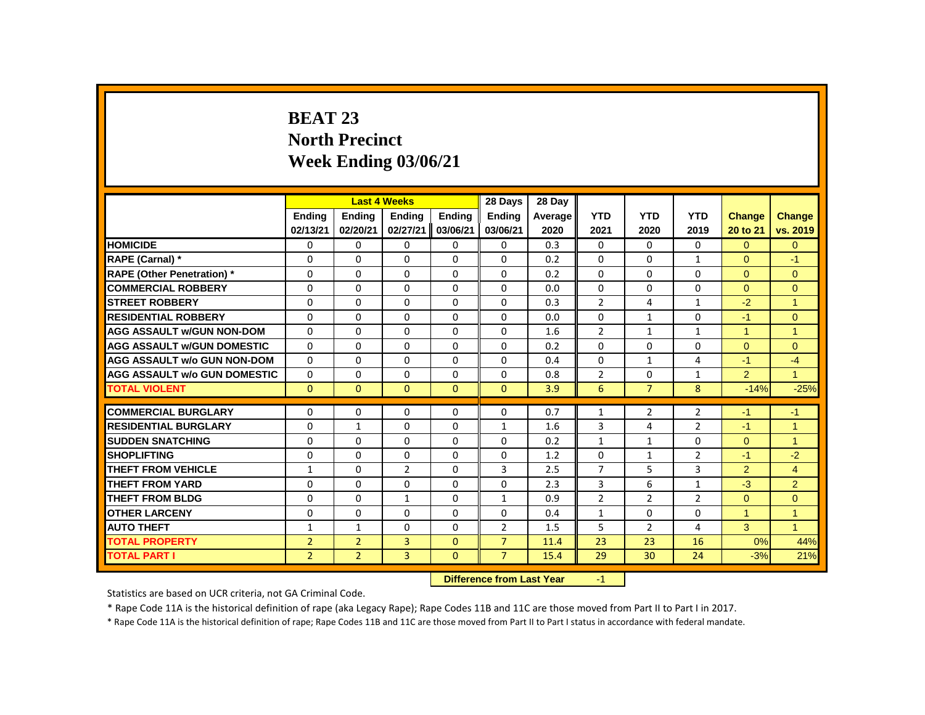# **BEAT 23 North Precinct Week Ending 03/06/21**

|                                     |                |                | <b>Last 4 Weeks</b>       |               | 28 Days        | 28 Day  |                |                |                |                      |                      |
|-------------------------------------|----------------|----------------|---------------------------|---------------|----------------|---------|----------------|----------------|----------------|----------------------|----------------------|
|                                     | <b>Ending</b>  | <b>Ending</b>  | <b>Ending</b>             | <b>Ending</b> | <b>Ending</b>  | Average | <b>YTD</b>     | <b>YTD</b>     | <b>YTD</b>     | <b>Change</b>        | Change               |
|                                     | 02/13/21       | 02/20/21       | 02/27/21                  | 03/06/21      | 03/06/21       | 2020    | 2021           | 2020           | 2019           | 20 to 21             | vs. 2019             |
| <b>HOMICIDE</b>                     | 0              | 0              | 0                         | 0             | 0              | 0.3     | 0              | 0              | 0              | $\Omega$             | $\Omega$             |
| RAPE (Carnal) *                     | 0              | $\Omega$       | $\Omega$                  | $\Omega$      | 0              | 0.2     | $\Omega$       | $\Omega$       | $\mathbf{1}$   | $\Omega$             | $-1$                 |
| <b>RAPE (Other Penetration)</b> *   | $\Omega$       | $\Omega$       | $\Omega$                  | $\Omega$      | 0              | 0.2     | $\Omega$       | $\Omega$       | $\Omega$       | $\Omega$             | $\mathbf{0}$         |
| <b>COMMERCIAL ROBBERY</b>           | $\Omega$       | $\Omega$       | $\Omega$                  | $\Omega$      | 0              | 0.0     | $\Omega$       | $\Omega$       | $\Omega$       | $\Omega$             | $\Omega$             |
| <b>STREET ROBBERY</b>               | 0              | 0              | 0                         | 0             | 0              | 0.3     | 2              | 4              | $\mathbf{1}$   | $-2$                 | $\overline{1}$       |
| <b>RESIDENTIAL ROBBERY</b>          | $\Omega$       | $\Omega$       | $\Omega$                  | $\Omega$      | 0              | 0.0     | $\Omega$       | $\mathbf{1}$   | $\Omega$       | $-1$                 | $\Omega$             |
| <b>AGG ASSAULT w/GUN NON-DOM</b>    | $\Omega$       | $\Omega$       | $\Omega$                  | $\Omega$      | $\Omega$       | 1.6     | 2              | $\mathbf{1}$   | $\mathbf{1}$   | $\blacktriangleleft$ | $\overline{1}$       |
| <b>AGG ASSAULT w/GUN DOMESTIC</b>   | $\Omega$       | $\Omega$       | $\Omega$                  | $\Omega$      | $\Omega$       | 0.2     | $\Omega$       | $\Omega$       | $\Omega$       | $\Omega$             | $\Omega$             |
| <b>AGG ASSAULT w/o GUN NON-DOM</b>  | $\Omega$       | $\Omega$       | $\Omega$                  | $\Omega$      | $\Omega$       | 0.4     | $\Omega$       | $\mathbf{1}$   | 4              | $-1$                 | $-4$                 |
| <b>AGG ASSAULT w/o GUN DOMESTIC</b> | 0              | 0              | 0                         | 0             | 0              | 0.8     | $\overline{2}$ | 0              | $\mathbf{1}$   | 2 <sup>1</sup>       | $\blacktriangleleft$ |
| <b>TOTAL VIOLENT</b>                | $\mathbf{0}$   | $\mathbf{0}$   | $\mathbf{0}$              | $\mathbf{0}$  | $\mathbf{0}$   | 3.9     | 6              | $\overline{7}$ | 8              | $-14%$               | $-25%$               |
| <b>COMMERCIAL BURGLARY</b>          | 0              | 0              | 0                         | 0             | 0              | 0.7     | $\mathbf{1}$   | $\overline{2}$ | $\overline{2}$ | $-1$                 | $-1$                 |
| <b>RESIDENTIAL BURGLARY</b>         | $\Omega$       | $\mathbf{1}$   | $\Omega$                  | $\Omega$      | $\mathbf{1}$   | 1.6     | 3              | 4              | $\overline{2}$ | $-1$                 | $\overline{1}$       |
| <b>SUDDEN SNATCHING</b>             | $\Omega$       | $\Omega$       | $\Omega$                  | $\Omega$      | $\Omega$       | 0.2     | $\mathbf{1}$   | $\mathbf{1}$   | 0              | $\Omega$             | $\mathbf{1}$         |
| <b>SHOPLIFTING</b>                  | $\Omega$       | $\Omega$       | $\Omega$                  | $\Omega$      | $\Omega$       | 1.2     | $\Omega$       | $\mathbf{1}$   | $\overline{2}$ | $-1$                 | $-2$                 |
| <b>THEFT FROM VEHICLE</b>           | $\mathbf{1}$   | $\Omega$       | $\overline{2}$            | $\Omega$      | 3              | 2.5     | $\overline{7}$ | 5              | $\overline{3}$ | $\overline{2}$       | $\overline{4}$       |
| <b>THEFT FROM YARD</b>              | 0              | 0              | 0                         | 0             | 0              | 2.3     | 3              | 6              | $\mathbf{1}$   | $-3$                 | $\overline{2}$       |
| <b>THEFT FROM BLDG</b>              | $\Omega$       | $\Omega$       | $\mathbf{1}$              | $\Omega$      | $\mathbf{1}$   | 0.9     | $\overline{2}$ | $\overline{2}$ | $\overline{2}$ | $\Omega$             | $\Omega$             |
| <b>OTHER LARCENY</b>                | $\Omega$       | $\Omega$       | $\Omega$                  | $\Omega$      | $\Omega$       | 0.4     | $\mathbf{1}$   | $\mathbf 0$    | 0              | $\mathbf{1}$         | $\overline{1}$       |
| <b>AUTO THEFT</b>                   | $\mathbf{1}$   | $\mathbf{1}$   | $\Omega$                  | $\Omega$      | $\overline{2}$ | 1.5     | 5              | $\overline{2}$ | 4              | 3                    | $\mathbf{1}$         |
| <b>TOTAL PROPERTY</b>               | $\overline{2}$ | $\overline{2}$ | 3                         | $\mathbf{0}$  | $\overline{7}$ | 11.4    | 23             | 23             | 16             | 0%                   | 44%                  |
| <b>TOTAL PART I</b>                 | $\overline{2}$ | $\overline{2}$ | $\overline{3}$            | $\mathbf{0}$  | $\overline{7}$ | 15.4    | 29             | 30             | 24             | $-3%$                | 21%                  |
|                                     |                |                | Difference from Last Year |               | $-1$           |         |                |                |                |                      |                      |

**Difference from Last Year -1** 

Statistics are based on UCR criteria, not GA Criminal Code.

\* Rape Code 11A is the historical definition of rape (aka Legacy Rape); Rape Codes 11B and 11C are those moved from Part II to Part I in 2017.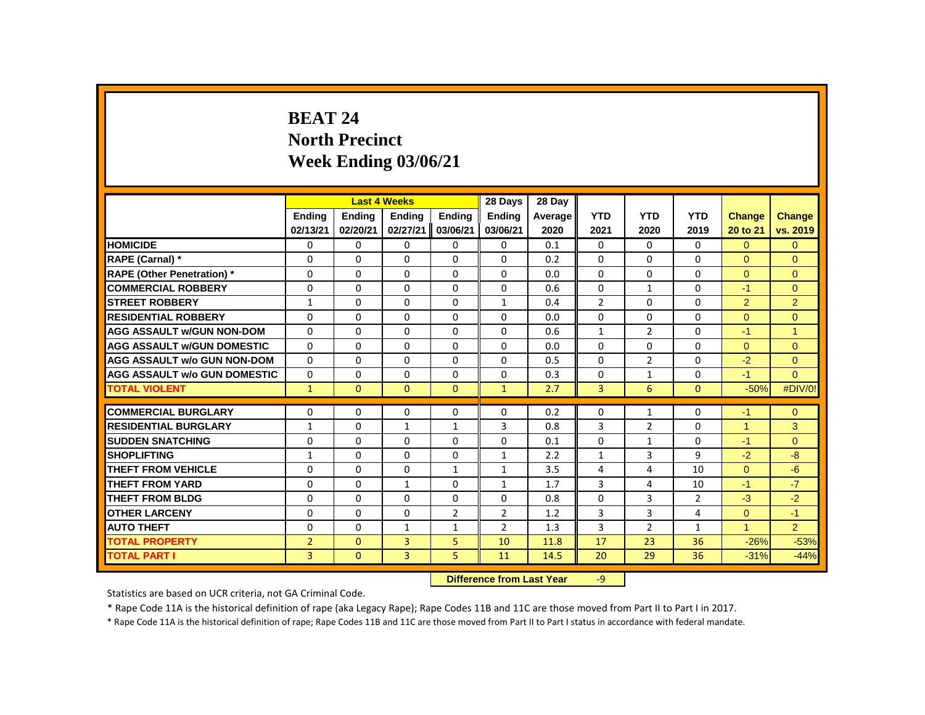# **BEAT 24 North Precinct Week Ending 03/06/21**

|                                     |                |               | <b>Last 4 Weeks</b> |                | 28 Days                   | 28 Day  |                |                |                |                      |                |
|-------------------------------------|----------------|---------------|---------------------|----------------|---------------------------|---------|----------------|----------------|----------------|----------------------|----------------|
|                                     | <b>Endina</b>  | <b>Endina</b> | <b>Endina</b>       | <b>Endina</b>  | <b>Endina</b>             | Average | <b>YTD</b>     | <b>YTD</b>     | <b>YTD</b>     | <b>Change</b>        | Change         |
|                                     | 02/13/21       | 02/20/21      | 02/27/21            | 03/06/21       | 03/06/21                  | 2020    | 2021           | 2020           | 2019           | 20 to 21             | vs. 2019       |
| <b>HOMICIDE</b>                     | 0              | 0             | 0                   | 0              | 0                         | 0.1     | $\mathbf{0}$   | $\mathbf{0}$   | 0              | $\Omega$             | $\overline{0}$ |
| RAPE (Carnal) *                     | 0              | 0             | $\Omega$            | $\Omega$       | $\Omega$                  | 0.2     | $\Omega$       | $\Omega$       | $\Omega$       | $\Omega$             | $\Omega$       |
| <b>RAPE (Other Penetration) *</b>   | $\Omega$       | $\Omega$      | $\Omega$            | $\Omega$       | $\Omega$                  | 0.0     | $\Omega$       | $\Omega$       | $\Omega$       | $\Omega$             | $\Omega$       |
| <b>COMMERCIAL ROBBERY</b>           | $\Omega$       | $\Omega$      | $\Omega$            | $\Omega$       | $\Omega$                  | 0.6     | $\Omega$       | $\mathbf{1}$   | $\Omega$       | $-1$                 | $\Omega$       |
| <b>STREET ROBBERY</b>               | $\mathbf{1}$   | $\Omega$      | $\Omega$            | $\Omega$       | $\mathbf{1}$              | 0.4     | $\overline{2}$ | $\Omega$       | $\Omega$       | $\overline{2}$       | $\overline{2}$ |
| <b>RESIDENTIAL ROBBERY</b>          | $\Omega$       | $\Omega$      | $\Omega$            | $\Omega$       | $\Omega$                  | 0.0     | $\Omega$       | $\Omega$       | $\Omega$       | $\Omega$             | $\Omega$       |
| <b>AGG ASSAULT W/GUN NON-DOM</b>    | $\Omega$       | $\Omega$      | $\Omega$            | $\Omega$       | $\Omega$                  | 0.6     | $\mathbf{1}$   | $\overline{2}$ | $\Omega$       | $-1$                 | $\overline{1}$ |
| <b>AGG ASSAULT w/GUN DOMESTIC</b>   | 0              | 0             | $\mathbf 0$         | 0              | 0                         | 0.0     | $\mathbf 0$    | 0              | 0              | $\overline{0}$       | $\mathbf{0}$   |
| <b>AGG ASSAULT w/o GUN NON-DOM</b>  | $\Omega$       | $\Omega$      | $\Omega$            | $\Omega$       | $\Omega$                  | 0.5     | $\Omega$       | $\overline{2}$ | $\Omega$       | $-2$                 | $\Omega$       |
| <b>AGG ASSAULT W/o GUN DOMESTIC</b> | 0              | 0             | $\Omega$            | 0              | 0                         | 0.3     | 0              | $\mathbf{1}$   | 0              | $-1$                 | $\Omega$       |
| <b>TOTAL VIOLENT</b>                | $\mathbf{1}$   | $\mathbf{0}$  | $\mathbf{0}$        | $\mathbf{0}$   | $\mathbf{1}$              | 2.7     | 3              | 6              | $\mathbf{0}$   | $-50%$               | #DIV/0!        |
| <b>COMMERCIAL BURGLARY</b>          | 0              | 0             | 0                   | $\mathbf{0}$   | 0                         | 0.2     | 0              | $\mathbf{1}$   | 0              | $-1$                 | $\mathbf{0}$   |
| <b>RESIDENTIAL BURGLARY</b>         | $\mathbf{1}$   | 0             | $\mathbf{1}$        | $\mathbf{1}$   | 3                         | 0.8     | 3              | $\overline{2}$ | 0              | $\blacktriangleleft$ | 3              |
| <b>SUDDEN SNATCHING</b>             | $\Omega$       | $\Omega$      | $\Omega$            | $\Omega$       | $\Omega$                  | 0.1     | $\Omega$       | $\mathbf{1}$   | $\Omega$       | $-1$                 | $\Omega$       |
| <b>SHOPLIFTING</b>                  | $\mathbf{1}$   | $\Omega$      | $\Omega$            | $\Omega$       | $\mathbf{1}$              | 2.2     | $\mathbf{1}$   | 3              | 9              | $-2$                 | $-8$           |
| <b>THEFT FROM VEHICLE</b>           | $\Omega$       | $\Omega$      | $\Omega$            | $\mathbf{1}$   | $\mathbf{1}$              | 3.5     | 4              | 4              | 10             | $\Omega$             | $-6$           |
| <b>THEFT FROM YARD</b>              | 0              | $\Omega$      | $\mathbf{1}$        | $\Omega$       | $\mathbf{1}$              | 1.7     | 3              | 4              | 10             | $-1$                 | $-7$           |
| THEFT FROM BLDG                     | $\Omega$       | $\Omega$      | $\Omega$            | $\Omega$       | $\Omega$                  | 0.8     | $\Omega$       | 3              | $\overline{2}$ | $-3$                 | $-2$           |
| <b>OTHER LARCENY</b>                | 0              | 0             | 0                   | $\overline{2}$ | $\overline{2}$            | 1.2     | 3              | 3              | 4              | $\overline{0}$       | $-1$           |
| <b>AUTO THEFT</b>                   | $\Omega$       | $\Omega$      | $\mathbf{1}$        | $\mathbf{1}$   | $\overline{2}$            | 1.3     | 3              | $\overline{2}$ | $\mathbf{1}$   | $\mathbf{1}$         | 2              |
| <b>TOTAL PROPERTY</b>               | $\overline{2}$ | $\mathbf{0}$  | 3                   | 5              | 10                        | 11.8    | 17             | 23             | 36             | $-26%$               | $-53%$         |
| <b>TOTAL PART I</b>                 | $\overline{3}$ | $\mathbf{0}$  | 3                   | 5              | 11                        | 14.5    | 20             | 29             | 36             | $-31%$               | $-44%$         |
|                                     |                |               |                     |                | Difference from Last Year |         | $\alpha$       |                |                |                      |                |

**Difference from Last Year** -9

Statistics are based on UCR criteria, not GA Criminal Code.

\* Rape Code 11A is the historical definition of rape (aka Legacy Rape); Rape Codes 11B and 11C are those moved from Part II to Part I in 2017.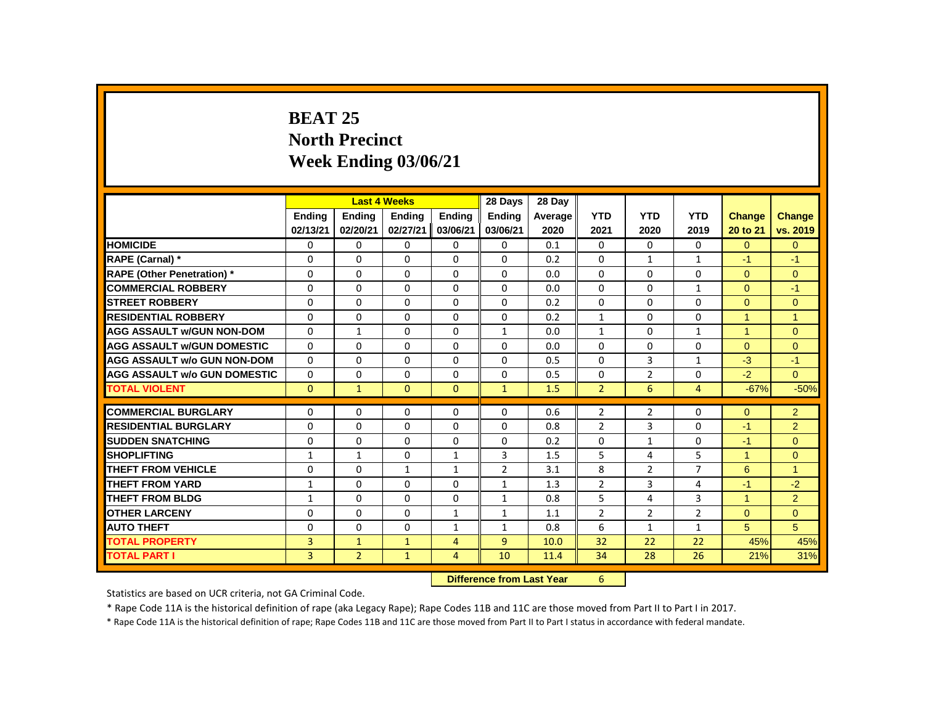# **BEAT 25 North Precinct Week Ending 03/06/21**

|                                     |                |                | <b>Last 4 Weeks</b> |                | 28 Days                   | 28 Day  |                |                |                |                      |                |
|-------------------------------------|----------------|----------------|---------------------|----------------|---------------------------|---------|----------------|----------------|----------------|----------------------|----------------|
|                                     | <b>Endina</b>  | Ending         | <b>Ending</b>       | <b>Ending</b>  | <b>Endina</b>             | Average | <b>YTD</b>     | <b>YTD</b>     | <b>YTD</b>     | <b>Change</b>        | <b>Change</b>  |
|                                     | 02/13/21       | 02/20/21       | 02/27/21            | 03/06/21       | 03/06/21                  | 2020    | 2021           | 2020           | 2019           | 20 to 21             | vs. 2019       |
| <b>HOMICIDE</b>                     | 0              | $\mathbf 0$    | 0                   | $\mathbf 0$    | $\mathbf 0$               | 0.1     | $\mathbf{0}$   | $\mathbf{0}$   | $\mathbf{0}$   | $\overline{0}$       | $\mathbf{0}$   |
| RAPE (Carnal) *                     | 0              | $\Omega$       | 0                   | 0              | $\Omega$                  | 0.2     | $\Omega$       | $\mathbf{1}$   | $\mathbf{1}$   | $-1$                 | $-1$           |
| <b>RAPE (Other Penetration) *</b>   | 0              | $\Omega$       | 0                   | $\mathbf{0}$   | $\Omega$                  | 0.0     | $\Omega$       | $\Omega$       | $\Omega$       | $\Omega$             | $\mathbf{0}$   |
| <b>COMMERCIAL ROBBERY</b>           | $\Omega$       | $\mathbf{0}$   | 0                   | $\mathbf{0}$   | $\Omega$                  | 0.0     | $\Omega$       | $\Omega$       | $\mathbf{1}$   | $\Omega$             | $-1$           |
| <b>STREET ROBBERY</b>               | $\Omega$       | $\Omega$       | $\Omega$            | $\mathbf{0}$   | $\Omega$                  | 0.2     | $\Omega$       | $\Omega$       | $\Omega$       | $\Omega$             | $\mathbf{0}$   |
| <b>RESIDENTIAL ROBBERY</b>          | $\Omega$       | $\mathbf{0}$   | 0                   | $\mathbf{0}$   | $\Omega$                  | 0.2     | $\mathbf{1}$   | $\Omega$       | $\Omega$       | $\blacktriangleleft$ | $\overline{1}$ |
| <b>AGG ASSAULT W/GUN NON-DOM</b>    | $\Omega$       | $\mathbf{1}$   | $\Omega$            | $\Omega$       | $\mathbf{1}$              | 0.0     | $\mathbf{1}$   | $\Omega$       | $\mathbf{1}$   | $\overline{1}$       | $\Omega$       |
| <b>AGG ASSAULT W/GUN DOMESTIC</b>   | $\Omega$       | $\mathbf{0}$   | 0                   | $\mathbf{0}$   | $\Omega$                  | 0.0     | $\Omega$       | $\Omega$       | $\Omega$       | $\Omega$             | $\mathbf{0}$   |
| <b>AGG ASSAULT w/o GUN NON-DOM</b>  | $\Omega$       | $\mathbf{0}$   | $\Omega$            | $\mathbf{0}$   | $\Omega$                  | 0.5     | $\Omega$       | 3              | $\mathbf{1}$   | $-3$                 | $-1$           |
| <b>AGG ASSAULT W/o GUN DOMESTIC</b> | $\Omega$       | $\mathbf{0}$   | 0                   | 0              | 0                         | 0.5     | $\Omega$       | $\overline{2}$ | $\Omega$       | $-2$                 | $\Omega$       |
| <b>TOTAL VIOLENT</b>                | $\Omega$       | $\mathbf{1}$   | $\mathbf{0}$        | $\mathbf{0}$   | $\mathbf{1}$              | 1.5     | $\overline{2}$ | 6              | $\overline{4}$ | $-67%$               | $-50%$         |
| <b>COMMERCIAL BURGLARY</b>          | $\Omega$       | $\Omega$       | $\Omega$            | 0              | 0                         | 0.6     | $\overline{2}$ | $\overline{2}$ | $\Omega$       | $\Omega$             | 2              |
| <b>RESIDENTIAL BURGLARY</b>         | 0              | $\mathbf{0}$   | 0                   | $\mathbf{0}$   | $\Omega$                  | 0.8     | $\overline{2}$ | 3              | $\Omega$       | $-1$                 | $\overline{2}$ |
| <b>SUDDEN SNATCHING</b>             | $\Omega$       | $\Omega$       | $\Omega$            | $\Omega$       | $\Omega$                  | 0.2     | $\Omega$       | $\mathbf{1}$   | $\Omega$       | $-1$                 | $\Omega$       |
| <b>SHOPLIFTING</b>                  | $\mathbf{1}$   | $\mathbf{1}$   | 0                   | $\mathbf{1}$   | 3                         | 1.5     | 5              | 4              | 5              | $\blacktriangleleft$ | $\mathbf{0}$   |
| <b>THEFT FROM VEHICLE</b>           | $\Omega$       | $\Omega$       | $\mathbf{1}$        | $\mathbf{1}$   | $\overline{2}$            | 3.1     | 8              | $\overline{2}$ | $\overline{7}$ | 6                    | $\overline{1}$ |
| <b>THEFT FROM YARD</b>              | $\mathbf{1}$   | $\mathbf{0}$   | 0                   | 0              | $\mathbf{1}$              | 1.3     | $\overline{2}$ | 3              | 4              | -1                   | $-2$           |
| <b>THEFT FROM BLDG</b>              | $\mathbf{1}$   | $\mathbf{0}$   | 0                   | 0              | $\mathbf{1}$              | 0.8     | 5              | 4              | 3              | $\blacktriangleleft$ | $\overline{2}$ |
| <b>OTHER LARCENY</b>                | 0              | $\mathbf{0}$   | 0                   | $\mathbf{1}$   | 1                         | 1.1     | 2              | 2              | $\overline{2}$ | $\Omega$             | $\mathbf{0}$   |
| <b>AUTO THEFT</b>                   | $\Omega$       | $\mathbf{0}$   | $\mathbf{0}$        | $\mathbf{1}$   | $\mathbf{1}$              | 0.8     | 6              | $\mathbf{1}$   | $\mathbf{1}$   | 5                    | 5              |
| <b>TOTAL PROPERTY</b>               | $\overline{3}$ | $\mathbf{1}$   | $\mathbf{1}$        | $\overline{4}$ | 9                         | 10.0    | 32             | 22             | 22             | 45%                  | 45%            |
| <b>TOTAL PART I</b>                 | $\overline{3}$ | $\overline{2}$ | $\mathbf{1}$        | $\overline{4}$ | 10                        | 11.4    | 34             | 28             | 26             | 21%                  | 31%            |
|                                     |                |                |                     |                | Difference from Lost Vear |         | $\epsilon$     |                |                |                      |                |

 **Difference from Last Year** 6

Statistics are based on UCR criteria, not GA Criminal Code.

\* Rape Code 11A is the historical definition of rape (aka Legacy Rape); Rape Codes 11B and 11C are those moved from Part II to Part I in 2017.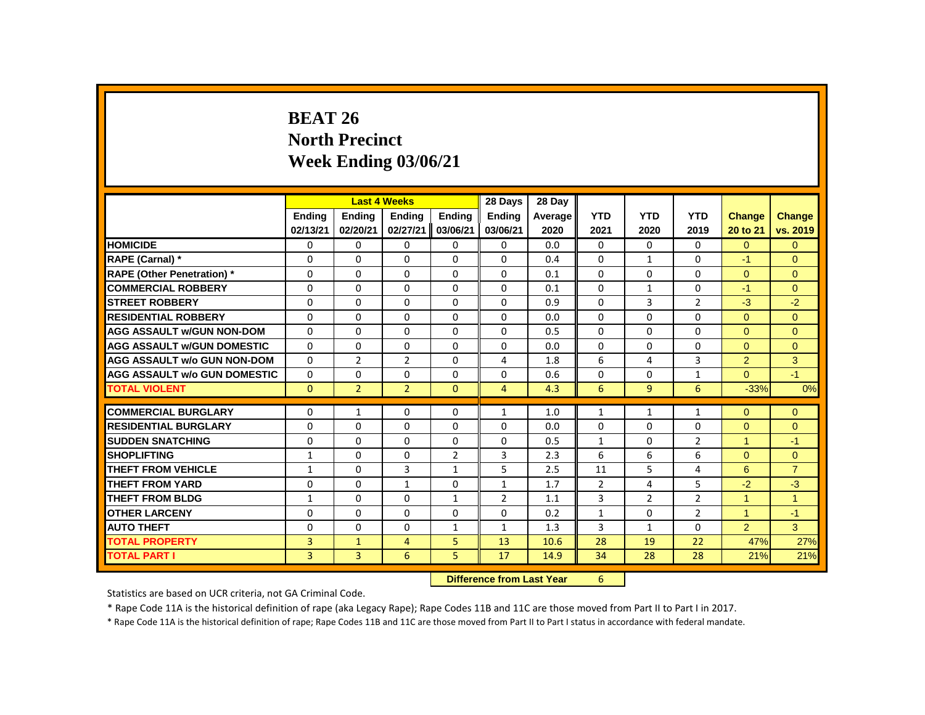# **BEAT 26 North Precinct Week Ending 03/06/21**

|                                     |               |                | <b>Last 4 Weeks</b> |                | 28 Days                   | 28 Day     |                |                |                |                |                |
|-------------------------------------|---------------|----------------|---------------------|----------------|---------------------------|------------|----------------|----------------|----------------|----------------|----------------|
|                                     | <b>Endina</b> | <b>Ending</b>  | <b>Ending</b>       | <b>Ending</b>  | <b>Endina</b>             | Average    | <b>YTD</b>     | <b>YTD</b>     | <b>YTD</b>     | <b>Change</b>  | Change         |
|                                     | 02/13/21      | 02/20/21       | 02/27/21            | 03/06/21       | 03/06/21                  | 2020       | 2021           | 2020           | 2019           | 20 to 21       | vs. 2019       |
| <b>HOMICIDE</b>                     | 0             | 0              | 0                   | 0              | 0                         | 0.0        | $\mathbf{0}$   | $\mathbf{0}$   | $\mathbf{0}$   | $\overline{0}$ | $\mathbf{0}$   |
| RAPE (Carnal) *                     | 0             | $\Omega$       | $\Omega$            | $\Omega$       | $\Omega$                  | 0.4        | $\Omega$       | $\mathbf{1}$   | $\Omega$       | $-1$           | $\Omega$       |
| <b>RAPE (Other Penetration) *</b>   | 0             | 0              | $\Omega$            | 0              | $\Omega$                  | 0.1        | $\Omega$       | $\Omega$       | 0              | $\Omega$       | $\mathbf{0}$   |
| <b>COMMERCIAL ROBBERY</b>           | $\Omega$      | $\Omega$       | $\Omega$            | $\Omega$       | $\Omega$                  | 0.1        | $\Omega$       | $\mathbf{1}$   | $\Omega$       | $-1$           | $\Omega$       |
| <b>STREET ROBBERY</b>               | $\Omega$      | $\Omega$       | $\Omega$            | $\Omega$       | $\Omega$                  | 0.9        | $\Omega$       | $\overline{3}$ | $\overline{2}$ | $-3$           | $-2$           |
| <b>RESIDENTIAL ROBBERY</b>          | $\Omega$      | $\Omega$       | $\Omega$            | $\Omega$       | $\Omega$                  | 0.0        | $\Omega$       | $\Omega$       | $\Omega$       | $\Omega$       | $\Omega$       |
| <b>AGG ASSAULT W/GUN NON-DOM</b>    | $\Omega$      | $\Omega$       | $\Omega$            | $\Omega$       | $\Omega$                  | 0.5        | $\Omega$       | $\Omega$       | $\Omega$       | $\Omega$       | $\Omega$       |
| <b>AGG ASSAULT w/GUN DOMESTIC</b>   | 0             | 0              | 0                   | $\mathbf 0$    | 0                         | 0.0        | 0              | $\mathbf 0$    | 0              | $\overline{0}$ | $\mathbf{0}$   |
| <b>AGG ASSAULT w/o GUN NON-DOM</b>  | $\Omega$      | $\overline{2}$ | $\overline{2}$      | $\Omega$       | 4                         | 1.8        | 6              | 4              | $\overline{3}$ | $\overline{2}$ | 3              |
| <b>AGG ASSAULT w/o GUN DOMESTIC</b> | 0             | 0              | 0                   | 0              | 0                         | 0.6        | 0              | 0              | $\mathbf{1}$   | $\overline{0}$ | $-1$           |
| <b>TOTAL VIOLENT</b>                | $\mathbf{0}$  | $\overline{2}$ | $\overline{2}$      | $\mathbf{0}$   | $\overline{4}$            | 4.3        | 6              | 9              | 6              | $-33%$         | 0%             |
| <b>COMMERCIAL BURGLARY</b>          | $\Omega$      | $\mathbf{1}$   | $\Omega$            | $\Omega$       | $\mathbf{1}$              | 1.0        | $\mathbf{1}$   | $\mathbf{1}$   | $\mathbf{1}$   | $\Omega$       | $\mathbf{0}$   |
| <b>RESIDENTIAL BURGLARY</b>         | $\Omega$      | $\Omega$       | $\Omega$            | $\Omega$       | $\Omega$                  | 0.0        | $\Omega$       | $\Omega$       | $\Omega$       | $\overline{0}$ | $\mathbf{0}$   |
| <b>SUDDEN SNATCHING</b>             | $\Omega$      | 0              | $\Omega$            | $\Omega$       | 0                         | 0.5        | $\mathbf{1}$   | $\mathbf{0}$   | $\overline{2}$ | $\overline{1}$ | $-1$           |
| <b>SHOPLIFTING</b>                  | $\mathbf{1}$  | $\Omega$       | $\Omega$            | $\overline{2}$ | 3                         | 2.3        | 6              | 6              | 6              | $\Omega$       | $\overline{0}$ |
| <b>THEFT FROM VEHICLE</b>           | $\mathbf{1}$  | $\Omega$       | 3                   | $\mathbf{1}$   | 5                         | 2.5        | 11             | 5              | 4              | 6              | $\overline{7}$ |
| <b>THEFT FROM YARD</b>              | 0             | 0              | $\mathbf{1}$        | $\mathbf{0}$   | $\mathbf{1}$              | 1.7        | $\overline{2}$ | 4              | 5              | $-2$           | $-3$           |
| THEFT FROM BLDG                     | $\mathbf{1}$  | 0              | $\Omega$            | $\mathbf{1}$   | $\overline{2}$            | 1.1        | 3              | $\overline{2}$ | $\overline{2}$ | $\overline{1}$ | $\overline{1}$ |
| <b>OTHER LARCENY</b>                | $\Omega$      | $\Omega$       | $\Omega$            | $\Omega$       | $\Omega$                  | 0.2        | $\mathbf{1}$   | $\Omega$       | $\overline{2}$ | $\mathbf{1}$   | $-1$           |
| <b>AUTO THEFT</b>                   | 0             | $\Omega$       | $\Omega$            | $\mathbf{1}$   | $\mathbf{1}$              | 1.3        | 3              | $\mathbf{1}$   | $\Omega$       | $\overline{2}$ | $\overline{3}$ |
| <b>TOTAL PROPERTY</b>               | 3             | $\mathbf{1}$   | $\overline{4}$      | 5              | 13                        | 10.6       | 28             | 19             | 22             | 47%            | 27%            |
| <b>TOTAL PART I</b>                 | 3             | 3              | 6                   | 5              | 17                        | 14.9       | 34             | 28             | 28             | 21%            | 21%            |
|                                     |               |                |                     |                | Difference from Loot Vear | $\epsilon$ |                |                |                |                |                |

**Difference from Last Year** 

Statistics are based on UCR criteria, not GA Criminal Code.

\* Rape Code 11A is the historical definition of rape (aka Legacy Rape); Rape Codes 11B and 11C are those moved from Part II to Part I in 2017.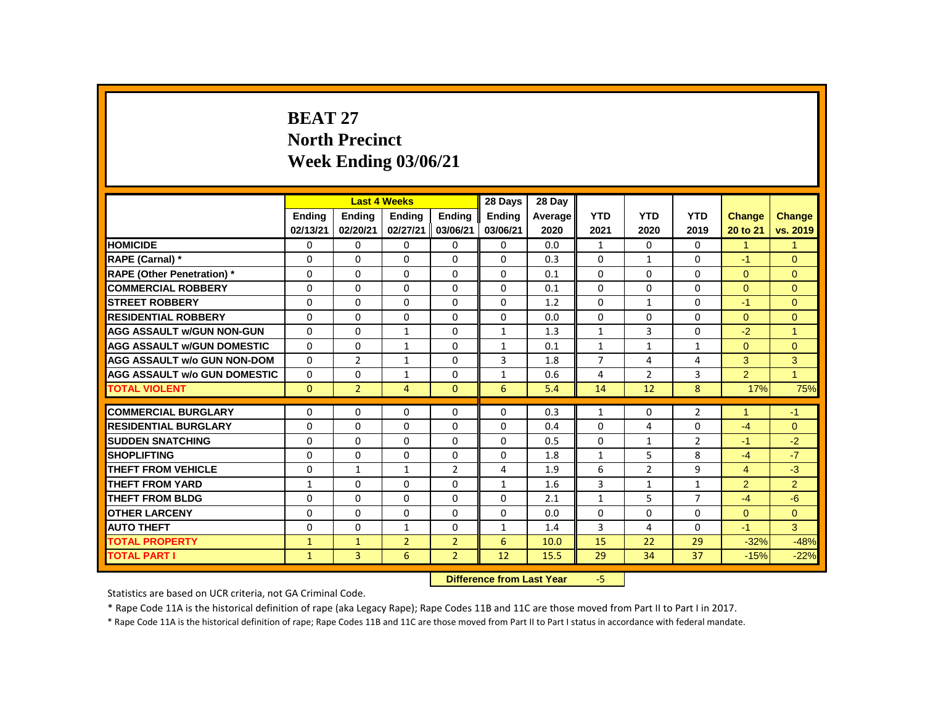# **BEAT 27 North Precinct Week Ending 03/06/21**

|                                     |               |                | <b>Last 4 Weeks</b> |                | 28 Days       | 28 Day                    |                |                |                |                |                |
|-------------------------------------|---------------|----------------|---------------------|----------------|---------------|---------------------------|----------------|----------------|----------------|----------------|----------------|
|                                     | <b>Endina</b> | <b>Endina</b>  | <b>Ending</b>       | <b>Ending</b>  | <b>Endina</b> | Average                   | <b>YTD</b>     | <b>YTD</b>     | <b>YTD</b>     | Change         | Change         |
|                                     | 02/13/21      | 02/20/21       | 02/27/21            | 03/06/21       | 03/06/21      | 2020                      | 2021           | 2020           | 2019           | 20 to 21       | vs. 2019       |
| <b>HOMICIDE</b>                     | 0             | 0              | 0                   | 0              | 0             | 0.0                       | $\mathbf{1}$   | $\Omega$       | 0              | $\mathbf{1}$   | $\mathbf{1}$   |
| RAPE (Carnal) *                     | 0             | 0              | $\Omega$            | $\Omega$       | $\Omega$      | 0.3                       | $\Omega$       | 1              | 0              | $-1$           | $\Omega$       |
| <b>RAPE (Other Penetration) *</b>   | 0             | 0              | $\Omega$            | 0              | 0             | 0.1                       | $\Omega$       | 0              | 0              | $\mathbf{0}$   | $\overline{0}$ |
| <b>COMMERCIAL ROBBERY</b>           | $\mathbf{0}$  | $\mathbf{0}$   | $\Omega$            | $\Omega$       | $\Omega$      | 0.1                       | $\Omega$       | $\Omega$       | $\Omega$       | $\Omega$       | $\Omega$       |
| <b>STREET ROBBERY</b>               | $\Omega$      | $\Omega$       | $\Omega$            | $\Omega$       | $\Omega$      | 1.2                       | $\Omega$       | $\mathbf{1}$   | $\Omega$       | $-1$           | $\Omega$       |
| <b>RESIDENTIAL ROBBERY</b>          | $\Omega$      | $\Omega$       | $\Omega$            | $\Omega$       | $\Omega$      | 0.0                       | $\Omega$       | $\Omega$       | 0              | $\Omega$       | $\Omega$       |
| <b>AGG ASSAULT w/GUN NON-GUN</b>    | $\mathbf{0}$  | 0              | $\mathbf{1}$        | 0              | $\mathbf{1}$  | 1.3                       | $\mathbf{1}$   | 3              | 0              | $-2$           | 1              |
| <b>AGG ASSAULT w/GUN DOMESTIC</b>   | 0             | 0              | $\mathbf{1}$        | $\mathbf 0$    | 1             | 0.1                       | $\mathbf{1}$   | $\mathbf{1}$   | $\mathbf{1}$   | $\overline{0}$ | $\overline{0}$ |
| <b>AGG ASSAULT w/o GUN NON-DOM</b>  | $\Omega$      | $\overline{2}$ | $\mathbf{1}$        | $\Omega$       | 3             | 1.8                       | $\overline{7}$ | 4              | 4              | 3              | 3              |
| <b>AGG ASSAULT w/o GUN DOMESTIC</b> | 0             | 0              | 1                   | 0              | 1             | 0.6                       | 4              | $\overline{2}$ | 3              | $\overline{2}$ | $\mathbf{1}$   |
| <b>TOTAL VIOLENT</b>                | $\mathbf{0}$  | $\overline{2}$ | $\overline{4}$      | $\mathbf{0}$   | 6             | 5.4                       | 14             | 12             | 8              | 17%            | 75%            |
| <b>COMMERCIAL BURGLARY</b>          | 0             | 0              | $\Omega$            | $\Omega$       | 0             | 0.3                       | $\mathbf{1}$   | 0              | $\overline{2}$ | 1              | $-1$           |
| <b>RESIDENTIAL BURGLARY</b>         | 0             | 0              | $\Omega$            | $\Omega$       | 0             | 0.4                       | $\Omega$       | 4              | 0              | $-4$           | $\Omega$       |
| <b>SUDDEN SNATCHING</b>             | 0             | 0              | 0                   | 0              | $\Omega$      | 0.5                       | 0              | $\mathbf{1}$   | $\overline{2}$ | $-1$           | $-2$           |
| <b>SHOPLIFTING</b>                  | 0             | $\mathbf{0}$   | $\Omega$            | $\mathbf 0$    | 0             | 1.8                       | 1              | 5              | 8              | $-4$           | $-7$           |
| <b>THEFT FROM VEHICLE</b>           | $\mathbf{0}$  | $\mathbf{1}$   | $\mathbf{1}$        | $\overline{2}$ | 4             | 1.9                       | 6              | $\overline{2}$ | 9              | $\overline{4}$ | $-3$           |
| <b>THEFT FROM YARD</b>              | $\mathbf{1}$  | $\mathbf{0}$   | 0                   | 0              | $\mathbf{1}$  | 1.6                       | 3              | $\mathbf{1}$   | $\mathbf{1}$   | 2              | $\overline{2}$ |
| <b>THEFT FROM BLDG</b>              | 0             | 0              | 0                   | 0              | 0             | 2.1                       | $\mathbf{1}$   | 5              | 7              | $-4$           | $-6$           |
| <b>OTHER LARCENY</b>                | $\Omega$      | $\Omega$       | $\Omega$            | $\Omega$       | $\Omega$      | 0.0                       | $\Omega$       | $\Omega$       | $\Omega$       | $\Omega$       | $\Omega$       |
| <b>AUTO THEFT</b>                   | $\Omega$      | $\Omega$       | $\mathbf{1}$        | $\mathbf 0$    | $\mathbf{1}$  | 1.4                       | 3              | 4              | $\Omega$       | $-1$           | 3              |
| <b>TOTAL PROPERTY</b>               | $\mathbf{1}$  | $\mathbf{1}$   | $\overline{2}$      | $\overline{2}$ | 6             | 10.0                      | 15             | 22             | 29             | $-32%$         | $-48%$         |
| <b>TOTAL PART I</b>                 | $\mathbf{1}$  | 3              | 6                   | $\overline{2}$ | 12            | 15.5                      | 29             | 34             | 37             | $-15%$         | $-22%$         |
|                                     |               |                |                     |                |               | Difference from Loot Vear | E.             |                |                |                |                |

**Difference from Last Year** 

Statistics are based on UCR criteria, not GA Criminal Code.

\* Rape Code 11A is the historical definition of rape (aka Legacy Rape); Rape Codes 11B and 11C are those moved from Part II to Part I in 2017.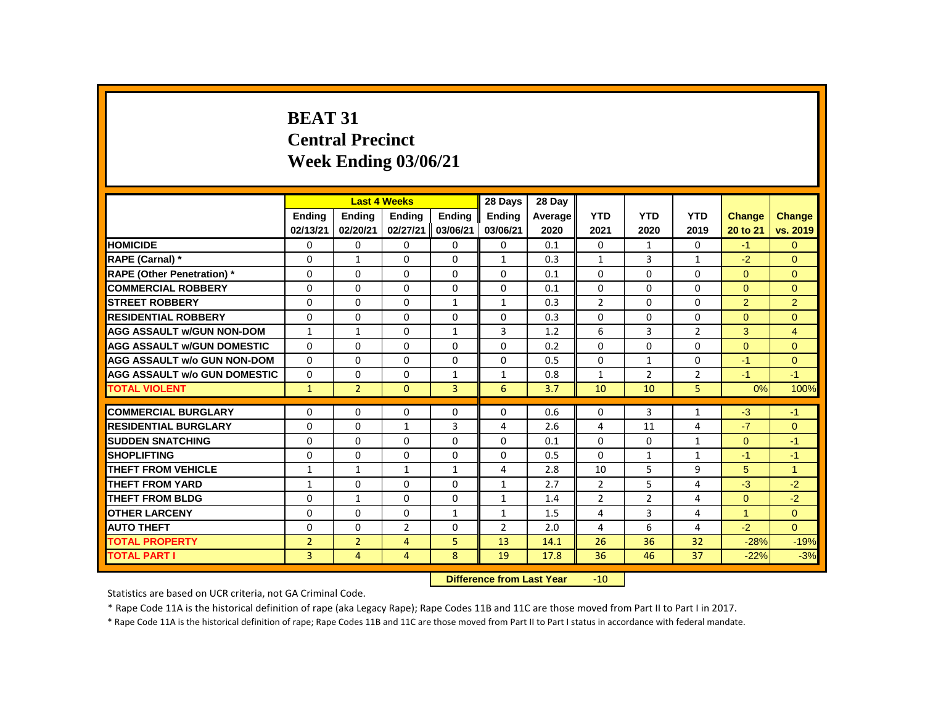# **BEAT 31 Central Precinct Week Ending 03/06/21**

|                                     |                |                | <b>Last 4 Weeks</b> |               | 28 Days                   | 28 Day  |                 |                |                |               |                |
|-------------------------------------|----------------|----------------|---------------------|---------------|---------------------------|---------|-----------------|----------------|----------------|---------------|----------------|
|                                     | <b>Endina</b>  | <b>Endina</b>  | <b>Endina</b>       | <b>Endina</b> | <b>Endina</b>             | Average | <b>YTD</b>      | <b>YTD</b>     | <b>YTD</b>     | <b>Change</b> | <b>Change</b>  |
|                                     | 02/13/21       | 02/20/21       | 02/27/21            | 03/06/21      | 03/06/21                  | 2020    | 2021            | 2020           | 2019           | 20 to 21      | vs. 2019       |
| <b>HOMICIDE</b>                     | 0              | 0              | 0                   | 0             | 0                         | 0.1     | 0               | $\mathbf{1}$   | 0              | $-1$          | $\overline{0}$ |
| RAPE (Carnal) *                     | $\Omega$       | $\mathbf{1}$   | $\Omega$            | $\Omega$      | $\mathbf{1}$              | 0.3     | $\mathbf{1}$    | 3              | $\mathbf{1}$   | $-2$          | $\Omega$       |
| <b>RAPE (Other Penetration) *</b>   | 0              | 0              | 0                   | 0             | 0                         | 0.1     | 0               | 0              | $\Omega$       | $\mathbf{0}$  | $\mathbf{0}$   |
| <b>COMMERCIAL ROBBERY</b>           | $\Omega$       | $\Omega$       | $\Omega$            | $\Omega$      | $\Omega$                  | 0.1     | $\Omega$        | $\Omega$       | $\Omega$       | $\Omega$      | $\Omega$       |
| <b>STREET ROBBERY</b>               | $\Omega$       | $\Omega$       | $\Omega$            | $\mathbf{1}$  | $\mathbf{1}$              | 0.3     | 2               | $\Omega$       | $\Omega$       | 2             | 2              |
| <b>RESIDENTIAL ROBBERY</b>          | 0              | 0              | 0                   | 0             | 0                         | 0.3     | 0               | 0              | 0              | $\Omega$      | $\mathbf{0}$   |
| <b>AGG ASSAULT W/GUN NON-DOM</b>    | $\mathbf{1}$   | $\mathbf{1}$   | $\Omega$            | $\mathbf{1}$  | 3                         | 1.2     | 6               | 3              | $\overline{2}$ | 3             | $\overline{4}$ |
| <b>AGG ASSAULT W/GUN DOMESTIC</b>   | $\Omega$       | 0              | $\Omega$            | $\Omega$      | $\Omega$                  | 0.2     | $\Omega$        | $\Omega$       | $\Omega$       | $\mathbf{0}$  | $\mathbf{0}$   |
| <b>AGG ASSAULT w/o GUN NON-DOM</b>  | $\Omega$       | $\Omega$       | $\Omega$            | $\Omega$      | $\Omega$                  | 0.5     | $\Omega$        | $\mathbf{1}$   | $\Omega$       | $-1$          | $\Omega$       |
| <b>AGG ASSAULT W/o GUN DOMESTIC</b> | 0              | 0              | 0                   | $\mathbf{1}$  | $\mathbf{1}$              | 0.8     | 1               | $\overline{2}$ | $\overline{2}$ | $-1$          | $-1$           |
| <b>TOTAL VIOLENT</b>                | $\mathbf{1}$   | $\overline{2}$ | $\mathbf{0}$        | 3             | 6                         | 3.7     | 10              | 10             | 5              | 0%            | 100%           |
| <b>COMMERCIAL BURGLARY</b>          | $\Omega$       | $\Omega$       | $\Omega$            | $\Omega$      | $\Omega$                  | 0.6     | $\Omega$        | 3              | $\mathbf{1}$   | $-3$          | $-1$           |
| <b>RESIDENTIAL BURGLARY</b>         | 0              | $\Omega$       | 1                   | 3             | 4                         | 2.6     | 4               | 11             | 4              | $-7$          | $\mathbf{0}$   |
| <b>SUDDEN SNATCHING</b>             | $\Omega$       | $\Omega$       | $\Omega$            | $\Omega$      | $\Omega$                  | 0.1     | $\Omega$        | $\Omega$       | $\mathbf{1}$   | $\Omega$      | $-1$           |
| <b>SHOPLIFTING</b>                  | 0              | 0              | 0                   | 0             | 0                         | 0.5     | 0               | $\mathbf{1}$   | $\mathbf{1}$   | $-1$          | $-1$           |
| <b>THEFT FROM VEHICLE</b>           | $\mathbf{1}$   | $\mathbf{1}$   | $\mathbf{1}$        | $\mathbf{1}$  | $\overline{4}$            | 2.8     | 10              | 5              | 9              | 5             | $\mathbf{1}$   |
| <b>THEFT FROM YARD</b>              | $\mathbf{1}$   | 0              | 0                   | 0             | $\mathbf{1}$              | 2.7     | 2               | 5              | 4              | $-3$          | $-2$           |
| <b>THEFT FROM BLDG</b>              | 0              | $\mathbf{1}$   | $\Omega$            | $\Omega$      | $\mathbf{1}$              | 1.4     | $\overline{2}$  | $\overline{2}$ | 4              | $\Omega$      | $-2$           |
| <b>OTHER LARCENY</b>                | 0              | $\Omega$       | $\Omega$            | $\mathbf{1}$  | $\mathbf{1}$              | 1.5     | $\overline{4}$  | 3              | $\overline{4}$ | $\mathbf{1}$  | $\overline{0}$ |
| <b>AUTO THEFT</b>                   | $\Omega$       | $\Omega$       | $\overline{2}$      | $\Omega$      | $\overline{2}$            | 2.0     | 4               | 6              | 4              | $-2$          | $\Omega$       |
| <b>TOTAL PROPERTY</b>               | $\overline{2}$ | $\overline{2}$ | 4                   | 5             | 13                        | 14.1    | 26              | 36             | 32             | $-28%$        | $-19%$         |
| <b>TOTAL PART I</b>                 | 3              | 4              | 4                   | 8             | 19                        | 17.8    | 36              | 46             | 37             | $-22%$        | $-3%$          |
|                                     |                |                |                     |               | Difference from Loot Voor |         | 10 <sup>1</sup> |                |                |               |                |

**Difference from Last Year** -10

Statistics are based on UCR criteria, not GA Criminal Code.

\* Rape Code 11A is the historical definition of rape (aka Legacy Rape); Rape Codes 11B and 11C are those moved from Part II to Part I in 2017.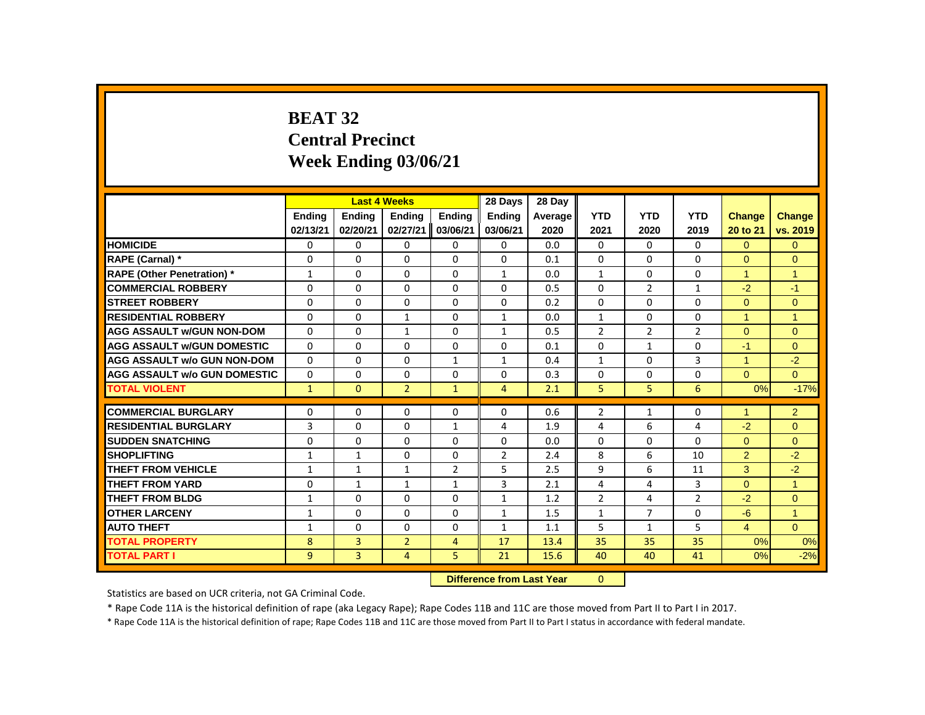# **BEAT 32 Central Precinct Week Ending 03/06/21**

|                                     |               |               | <b>Last 4 Weeks</b> |                | 28 Days        | 28 Day  |                |                |                |                      |                |
|-------------------------------------|---------------|---------------|---------------------|----------------|----------------|---------|----------------|----------------|----------------|----------------------|----------------|
|                                     | <b>Endina</b> | <b>Ending</b> | <b>Ending</b>       | <b>Endina</b>  | <b>Endina</b>  | Average | <b>YTD</b>     | <b>YTD</b>     | <b>YTD</b>     | <b>Change</b>        | <b>Change</b>  |
|                                     | 02/13/21      | 02/20/21      | 02/27/21            | 03/06/21       | 03/06/21       | 2020    | 2021           | 2020           | 2019           | 20 to 21             | vs. 2019       |
| <b>HOMICIDE</b>                     | 0             | 0             | 0                   | 0              | 0              | 0.0     | 0              | 0              | $\mathbf{0}$   | $\overline{0}$       | $\mathbf{0}$   |
| RAPE (Carnal) *                     | 0             | $\Omega$      | $\Omega$            | $\Omega$       | 0              | 0.1     | $\Omega$       | $\mathbf{0}$   | $\Omega$       | $\Omega$             | $\Omega$       |
| <b>RAPE (Other Penetration)</b> *   | $\mathbf{1}$  | 0             | $\Omega$            | $\Omega$       | 1              | 0.0     | 1              | $\mathbf{0}$   | 0              | $\mathbf{1}$         | $\mathbf{1}$   |
| <b>COMMERCIAL ROBBERY</b>           | $\Omega$      | $\Omega$      | $\Omega$            | $\Omega$       | $\Omega$       | 0.5     | $\Omega$       | $\overline{2}$ | $\mathbf{1}$   | $-2$                 | $-1$           |
| <b>STREET ROBBERY</b>               | 0             | $\Omega$      | $\Omega$            | $\Omega$       | 0              | 0.2     | $\Omega$       | 0              | $\Omega$       | $\Omega$             | $\mathbf{0}$   |
| <b>RESIDENTIAL ROBBERY</b>          | $\Omega$      | $\Omega$      | $\mathbf{1}$        | $\Omega$       | 1              | 0.0     | $\mathbf{1}$   | $\Omega$       | $\Omega$       | $\mathbf{1}$         | $\overline{1}$ |
| <b>AGG ASSAULT w/GUN NON-DOM</b>    | $\Omega$      | $\Omega$      | $\mathbf{1}$        | $\Omega$       | 1              | 0.5     | $\overline{2}$ | $\overline{2}$ | $\overline{2}$ | $\Omega$             | $\Omega$       |
| <b>AGG ASSAULT w/GUN DOMESTIC</b>   | $\Omega$      | $\Omega$      | $\Omega$            | $\Omega$       | $\Omega$       | 0.1     | $\Omega$       | $\mathbf{1}$   | $\Omega$       | $-1$                 | $\mathbf{0}$   |
| <b>AGG ASSAULT w/o GUN NON-DOM</b>  | $\Omega$      | $\Omega$      | $\Omega$            | $\mathbf{1}$   | $\mathbf{1}$   | 0.4     | $\mathbf{1}$   | $\Omega$       | $\overline{3}$ | $\mathbf{1}$         | $-2$           |
| <b>AGG ASSAULT w/o GUN DOMESTIC</b> | $\Omega$      | $\Omega$      | $\Omega$            | $\Omega$       | 0              | 0.3     | $\Omega$       | 0              | $\Omega$       | $\Omega$             | $\Omega$       |
| <b>TOTAL VIOLENT</b>                | $\mathbf{1}$  | $\mathbf{0}$  | $\overline{2}$      | $\mathbf{1}$   | $\overline{4}$ | 2.1     | 5              | 5              | 6              | 0%                   | $-17%$         |
| <b>COMMERCIAL BURGLARY</b>          | $\Omega$      | $\Omega$      | $\Omega$            | $\Omega$       | 0              | 0.6     | $\overline{2}$ | $\mathbf{1}$   | $\Omega$       | $\blacktriangleleft$ | $\overline{2}$ |
| <b>RESIDENTIAL BURGLARY</b>         | 3             | 0             | 0                   | $\mathbf{1}$   | 4              | 1.9     | 4              | 6              | 4              | $-2$                 | $\mathbf{0}$   |
| <b>SUDDEN SNATCHING</b>             | $\Omega$      | $\Omega$      | $\Omega$            | $\Omega$       | $\Omega$       | 0.0     | $\Omega$       | $\Omega$       | $\Omega$       | $\Omega$             | $\Omega$       |
| <b>SHOPLIFTING</b>                  | $\mathbf{1}$  | $\mathbf{1}$  | $\Omega$            | $\Omega$       | $\overline{2}$ | 2.4     | 8              | 6              | 10             | $\overline{2}$       | $-2$           |
| <b>THEFT FROM VEHICLE</b>           | $\mathbf{1}$  | $\mathbf{1}$  | $\mathbf{1}$        | $\overline{2}$ | 5              | 2.5     | 9              | 6              | 11             | 3                    | $-2$           |
| THEFT FROM YARD                     | 0             | $\mathbf{1}$  | $\mathbf{1}$        | $\mathbf{1}$   | 3              | 2.1     | 4              | 4              | 3              | $\overline{0}$       | $\mathbf{1}$   |
| <b>THEFT FROM BLDG</b>              | $\mathbf{1}$  | $\Omega$      | $\Omega$            | $\Omega$       | $\mathbf{1}$   | 1.2     | $\overline{2}$ | 4              | $\overline{2}$ | $-2$                 | $\mathbf{0}$   |
| <b>OTHER LARCENY</b>                | $\mathbf{1}$  | $\Omega$      | $\Omega$            | $\Omega$       | 1              | 1.5     | $\mathbf{1}$   | $\overline{7}$ | 0              | $-6$                 | $\overline{1}$ |
| <b>AUTO THEFT</b>                   | $\mathbf{1}$  | $\Omega$      | $\Omega$            | $\Omega$       | $\mathbf{1}$   | 1.1     | 5              | $\mathbf{1}$   | 5              | $\overline{4}$       | $\Omega$       |
| <b>TOTAL PROPERTY</b>               | 8             | 3             | $\overline{2}$      | $\overline{4}$ | 17             | 13.4    | 35             | 35             | 35             | 0%                   | 0%             |
| <b>TOTAL PART I</b>                 | 9             | 3             | $\overline{4}$      | 5              | 21             | 15.6    | 40             | 40             | 41             | 0%                   | $-2%$          |
|                                     |               |               |                     |                |                |         |                |                |                |                      |                |

 **Difference from Last Year** 0

Statistics are based on UCR criteria, not GA Criminal Code.

\* Rape Code 11A is the historical definition of rape (aka Legacy Rape); Rape Codes 11B and 11C are those moved from Part II to Part I in 2017.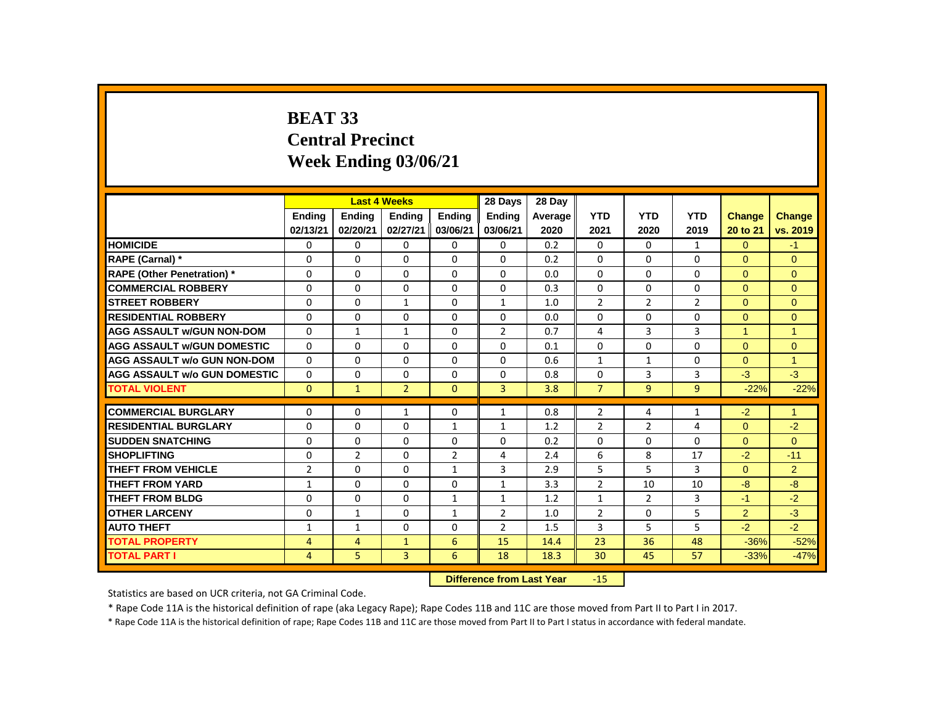# **BEAT 33 Central Precinct Week Ending 03/06/21**

|                                     |                |                | <b>Last 4 Weeks</b> |                | 28 Days                   | 28 Day  |                |                |                |                      |                |
|-------------------------------------|----------------|----------------|---------------------|----------------|---------------------------|---------|----------------|----------------|----------------|----------------------|----------------|
|                                     | <b>Endina</b>  | <b>Endina</b>  | <b>Endina</b>       | <b>Endina</b>  | <b>Endina</b>             | Average | <b>YTD</b>     | <b>YTD</b>     | <b>YTD</b>     | Change               | Change         |
|                                     | 02/13/21       | 02/20/21       | 02/27/21            | 03/06/21       | 03/06/21                  | 2020    | 2021           | 2020           | 2019           | 20 to 21             | vs. 2019       |
| <b>HOMICIDE</b>                     | 0              | 0              | 0                   | 0              | 0                         | 0.2     | 0              | 0              | $\mathbf{1}$   | $\overline{0}$       | $-1$           |
| RAPE (Carnal) *                     | 0              | 0              | $\Omega$            | $\mathbf{0}$   | $\Omega$                  | 0.2     | $\Omega$       | $\Omega$       | 0              | $\Omega$             | $\Omega$       |
| <b>RAPE (Other Penetration)</b> *   | $\mathbf 0$    | 0              | 0                   | 0              | $\Omega$                  | 0.0     | 0              | 0              | 0              | $\Omega$             | $\mathbf{0}$   |
| <b>COMMERCIAL ROBBERY</b>           | $\Omega$       | $\mathbf{0}$   | $\Omega$            | $\mathbf{0}$   | $\Omega$                  | 0.3     | $\Omega$       | $\Omega$       | $\Omega$       | $\Omega$             | $\Omega$       |
| <b>STREET ROBBERY</b>               | $\Omega$       | $\Omega$       | $\mathbf{1}$        | $\Omega$       | $\mathbf{1}$              | 1.0     | $\overline{2}$ | $\overline{2}$ | $\overline{2}$ | $\Omega$             | $\Omega$       |
| <b>RESIDENTIAL ROBBERY</b>          | $\Omega$       | $\Omega$       | 0                   | $\mathbf{0}$   | $\mathbf{0}$              | 0.0     | $\Omega$       | 0              | 0              | $\Omega$             | $\mathbf{0}$   |
| <b>AGG ASSAULT w/GUN NON-DOM</b>    | $\Omega$       | $\mathbf{1}$   | $\mathbf{1}$        | $\mathbf{0}$   | $\overline{2}$            | 0.7     | 4              | 3              | 3              | $\blacktriangleleft$ | $\overline{1}$ |
| <b>AGG ASSAULT W/GUN DOMESTIC</b>   | $\mathbf 0$    | 0              | $\Omega$            | $\Omega$       | 0                         | 0.1     | 0              | $\Omega$       | 0              | $\mathbf{0}$         | $\mathbf{0}$   |
| <b>AGG ASSAULT w/o GUN NON-DOM</b>  | $\Omega$       | $\Omega$       | $\Omega$            | $\Omega$       | $\Omega$                  | 0.6     | $\mathbf{1}$   | $\mathbf{1}$   | $\Omega$       | $\Omega$             | $\overline{1}$ |
| <b>AGG ASSAULT w/o GUN DOMESTIC</b> | 0              | 0              | 0                   | $\mathbf{0}$   | 0                         | 0.8     | 0              | 3              | 3              | $-3$                 | $-3$           |
| <b>TOTAL VIOLENT</b>                | $\mathbf{0}$   | $\mathbf{1}$   | $\overline{2}$      | $\mathbf{0}$   | $\overline{3}$            | 3.8     | $\overline{7}$ | 9              | 9              | $-22%$               | $-22%$         |
| <b>COMMERCIAL BURGLARY</b>          | $\Omega$       | 0              | $\mathbf{1}$        | 0              | 1                         | 0.8     | $\overline{2}$ | 4              | $\mathbf{1}$   | $-2$                 | $\mathbf{1}$   |
| <b>RESIDENTIAL BURGLARY</b>         | 0              | $\Omega$       | $\Omega$            | 1              | 1                         | 1.2     | $\overline{2}$ | $\overline{2}$ | 4              | $\Omega$             | $-2$           |
| <b>SUDDEN SNATCHING</b>             | 0              | 0              | $\Omega$            | $\mathbf{0}$   | 0                         | 0.2     | $\Omega$       | 0              | 0              | $\Omega$             | $\mathbf{0}$   |
| <b>SHOPLIFTING</b>                  | 0              | $\overline{2}$ | 0                   | $\overline{2}$ | 4                         | 2.4     | 6              | 8              | 17             | $-2$                 | $-11$          |
| <b>THEFT FROM VEHICLE</b>           | $\overline{2}$ | $\Omega$       | $\Omega$            | $\mathbf{1}$   | 3                         | 2.9     | 5              | 5              | 3              | $\Omega$             | $\overline{2}$ |
| <b>THEFT FROM YARD</b>              | $\mathbf{1}$   | 0              | 0                   | $\mathbf{0}$   | $\mathbf{1}$              | 3.3     | 2              | 10             | 10             | $-8$                 | $-8-$          |
| <b>THEFT FROM BLDG</b>              | 0              | $\Omega$       | 0                   | $\mathbf{1}$   | $\mathbf{1}$              | 1.2     | $\mathbf{1}$   | $\overline{2}$ | 3              | $-1$                 | $-2$           |
| <b>OTHER LARCENY</b>                | $\Omega$       | $\mathbf{1}$   | $\Omega$            | $\mathbf{1}$   | $\overline{2}$            | 1.0     | $\overline{2}$ | $\Omega$       | 5              | $\overline{2}$       | $-3$           |
| <b>AUTO THEFT</b>                   | $\mathbf{1}$   | $\mathbf{1}$   | $\Omega$            | $\mathbf{0}$   | $\overline{2}$            | 1.5     | $\overline{3}$ | 5              | 5              | $-2$                 | $-2$           |
| <b>TOTAL PROPERTY</b>               | 4              | 4              | $\mathbf{1}$        | 6              | 15                        | 14.4    | 23             | 36             | 48             | $-36%$               | $-52%$         |
| <b>TOTAL PART I</b>                 | 4              | 5              | $\overline{3}$      | 6              | 18                        | 18.3    | 30             | 45             | 57             | $-33%$               | $-47%$         |
|                                     |                |                |                     |                | Difference from Loot Vear |         | 1 E .          |                |                |                      |                |

**Difference from Last Year** -15

Statistics are based on UCR criteria, not GA Criminal Code.

\* Rape Code 11A is the historical definition of rape (aka Legacy Rape); Rape Codes 11B and 11C are those moved from Part II to Part I in 2017.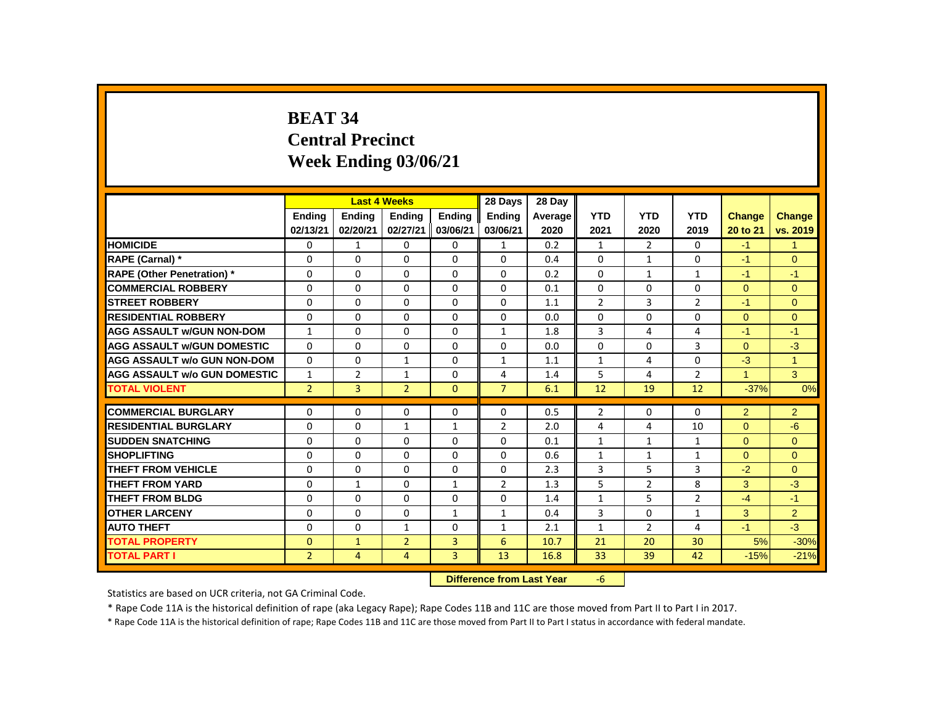# **BEAT 34 Central Precinct Week Ending 03/06/21**

|                                     |                |                | <b>Last 4 Weeks</b> |                | 28 Days                   | 28 Day  |                |                |                |                      |               |
|-------------------------------------|----------------|----------------|---------------------|----------------|---------------------------|---------|----------------|----------------|----------------|----------------------|---------------|
|                                     | <b>Endina</b>  | <b>Endina</b>  | <b>Endina</b>       | <b>Endina</b>  | <b>Endina</b>             | Average | <b>YTD</b>     | <b>YTD</b>     | <b>YTD</b>     | <b>Change</b>        | <b>Change</b> |
|                                     | 02/13/21       | 02/20/21       | 02/27/21            | 03/06/21       | 03/06/21                  | 2020    | 2021           | 2020           | 2019           | 20 to 21             | vs. 2019      |
| <b>HOMICIDE</b>                     | 0              | $\mathbf{1}$   | 0                   | 0              | $\mathbf{1}$              | 0.2     | $\mathbf{1}$   | $\overline{2}$ | 0              | $-1$                 | $\mathbf{1}$  |
| RAPE (Carnal) *                     | 0              | $\Omega$       | $\Omega$            | $\Omega$       | $\Omega$                  | 0.4     | $\Omega$       | $\mathbf{1}$   | $\Omega$       | $-1$                 | $\Omega$      |
| <b>RAPE (Other Penetration)</b> *   | 0              | $\Omega$       | $\Omega$            | $\Omega$       | 0                         | 0.2     | $\Omega$       | $\mathbf{1}$   | $\mathbf{1}$   | $-1$                 | $-1$          |
| <b>COMMERCIAL ROBBERY</b>           | $\Omega$       | $\Omega$       | $\Omega$            | $\Omega$       | $\Omega$                  | 0.1     | $\Omega$       | $\Omega$       | $\Omega$       | $\Omega$             | $\Omega$      |
| <b>STREET ROBBERY</b>               | 0              | $\Omega$       | $\Omega$            | $\Omega$       | $\Omega$                  | 1.1     | $\overline{2}$ | 3              | $\overline{2}$ | $-1$                 | $\Omega$      |
| <b>RESIDENTIAL ROBBERY</b>          | $\Omega$       | $\Omega$       | $\Omega$            | $\Omega$       | $\Omega$                  | 0.0     | $\Omega$       | $\Omega$       | $\Omega$       | $\Omega$             | $\Omega$      |
| <b>AGG ASSAULT W/GUN NON-DOM</b>    | $\mathbf{1}$   | $\Omega$       | $\Omega$            | $\Omega$       | $\mathbf{1}$              | 1.8     | $\overline{3}$ | 4              | 4              | $-1$                 | $-1$          |
| <b>AGG ASSAULT W/GUN DOMESTIC</b>   | $\Omega$       | $\Omega$       | $\Omega$            | $\Omega$       | $\Omega$                  | 0.0     | $\Omega$       | $\Omega$       | 3              | $\Omega$             | $-3$          |
| <b>AGG ASSAULT w/o GUN NON-DOM</b>  | $\Omega$       | $\Omega$       | $\mathbf{1}$        | 0              | $\mathbf{1}$              | 1.1     | $\mathbf{1}$   | 4              | $\Omega$       | $-3$                 | $\mathbf{1}$  |
| <b>AGG ASSAULT W/o GUN DOMESTIC</b> | $\mathbf{1}$   | $\overline{2}$ | 1                   | $\Omega$       | 4                         | 1.4     | 5              | 4              | $\overline{2}$ | $\blacktriangleleft$ | 3             |
| <b>TOTAL VIOLENT</b>                | $\overline{2}$ | 3              | $\overline{2}$      | $\mathbf{0}$   | $\overline{7}$            | 6.1     | 12             | 19             | 12             | $-37%$               | 0%            |
| <b>COMMERCIAL BURGLARY</b>          | $\Omega$       | $\Omega$       | $\Omega$            | $\Omega$       | $\Omega$                  | 0.5     | 2              | $\Omega$       | $\Omega$       | 2                    | 2             |
| <b>RESIDENTIAL BURGLARY</b>         | 0              | 0              | 1                   | $\mathbf{1}$   | $\overline{2}$            | 2.0     | 4              | 4              | 10             | $\mathbf{0}$         | $-6$          |
| <b>SUDDEN SNATCHING</b>             | $\Omega$       | $\Omega$       | $\Omega$            | $\Omega$       | $\Omega$                  | 0.1     | $\mathbf{1}$   | $\mathbf{1}$   | $\mathbf{1}$   | $\Omega$             | $\Omega$      |
| <b>SHOPLIFTING</b>                  | 0              | $\Omega$       | $\Omega$            | $\Omega$       | $\Omega$                  | 0.6     | $\mathbf{1}$   | $\mathbf{1}$   | $\mathbf{1}$   | $\Omega$             | $\mathbf{0}$  |
| <b>THEFT FROM VEHICLE</b>           | $\Omega$       | $\Omega$       | $\Omega$            | $\Omega$       | $\Omega$                  | 2.3     | $\overline{3}$ | 5              | 3              | $-2$                 | $\Omega$      |
| <b>THEFT FROM YARD</b>              | 0              | $\mathbf{1}$   | 0                   | $\mathbf{1}$   | $\overline{2}$            | 1.3     | 5              | $\overline{2}$ | 8              | 3                    | $-3$          |
| <b>THEFT FROM BLDG</b>              | 0              | $\Omega$       | $\Omega$            | $\Omega$       | $\Omega$                  | 1.4     | $\mathbf{1}$   | 5              | $\overline{2}$ | $-4$                 | $-1$          |
| <b>OTHER LARCENY</b>                | 0              | $\Omega$       | $\Omega$            | $\mathbf{1}$   | $\mathbf{1}$              | 0.4     | 3              | $\Omega$       | $\mathbf{1}$   | 3                    | 2             |
| <b>AUTO THEFT</b>                   | $\Omega$       | $\Omega$       | $\mathbf{1}$        | $\Omega$       | $\mathbf{1}$              | 2.1     | $\mathbf{1}$   | $\overline{2}$ | 4              | $-1$                 | $-3$          |
| <b>TOTAL PROPERTY</b>               | $\Omega$       | $\mathbf{1}$   | $\overline{2}$      | $\overline{3}$ | 6                         | 10.7    | 21             | 20             | 30             | 5%                   | $-30%$        |
| <b>TOTAL PART I</b>                 | $\overline{2}$ | 4              | $\overline{4}$      | 3              | 13                        | 16.8    | 33             | 39             | 42             | $-15%$               | $-21%$        |
|                                     |                |                |                     |                | Difference from Loot Vear |         | $\epsilon$     |                |                |                      |               |

 **Difference from Last Year** -6

Statistics are based on UCR criteria, not GA Criminal Code.

\* Rape Code 11A is the historical definition of rape (aka Legacy Rape); Rape Codes 11B and 11C are those moved from Part II to Part I in 2017.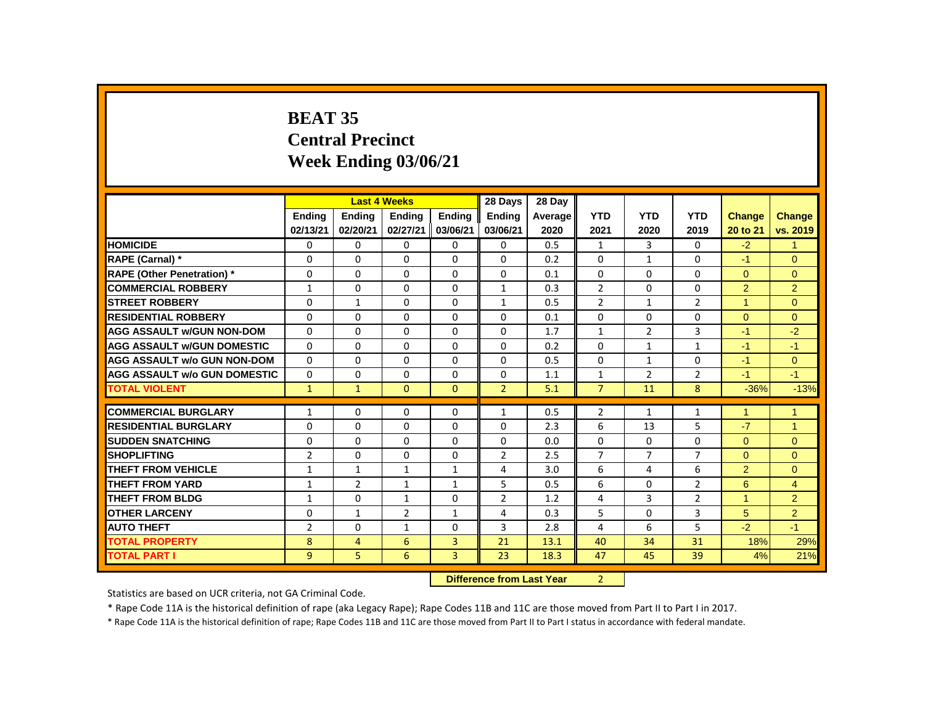# **BEAT 35 Central Precinct Week Ending 03/06/21**

|                                     |                |                | <b>Last 4 Weeks</b> |               | 28 Days                   | 28 Day  |                |                |                |                      |                |
|-------------------------------------|----------------|----------------|---------------------|---------------|---------------------------|---------|----------------|----------------|----------------|----------------------|----------------|
|                                     | <b>Endina</b>  | <b>Endina</b>  | <b>Endina</b>       | <b>Endina</b> | <b>Endina</b>             | Average | <b>YTD</b>     | <b>YTD</b>     | <b>YTD</b>     | Change               | <b>Change</b>  |
|                                     | 02/13/21       | 02/20/21       | 02/27/21            | 03/06/21      | 03/06/21                  | 2020    | 2021           | 2020           | 2019           | 20 to 21             | vs. 2019       |
| <b>HOMICIDE</b>                     | 0              | 0              | 0                   | 0             | 0                         | 0.5     | $\mathbf{1}$   | 3              | 0              | $-2$                 | $\mathbf{1}$   |
| RAPE (Carnal) *                     | 0              | 0              | $\Omega$            | $\Omega$      | $\Omega$                  | 0.2     | $\Omega$       | $\mathbf{1}$   | 0              | $-1$                 | $\Omega$       |
| <b>RAPE (Other Penetration)</b> *   | 0              | 0              | $\Omega$            | $\mathbf 0$   | 0                         | 0.1     | $\Omega$       | 0              | 0              | $\mathbf{0}$         | $\overline{0}$ |
| <b>COMMERCIAL ROBBERY</b>           | $\mathbf{1}$   | $\mathbf{0}$   | $\Omega$            | $\Omega$      | $\mathbf{1}$              | 0.3     | $\overline{2}$ | $\Omega$       | $\Omega$       | 2                    | $\overline{2}$ |
| <b>STREET ROBBERY</b>               | 0              | $\mathbf{1}$   | $\Omega$            | $\Omega$      | $\mathbf{1}$              | 0.5     | $\overline{2}$ | $\mathbf{1}$   | $\overline{2}$ | $\mathbf{1}$         | $\Omega$       |
| <b>RESIDENTIAL ROBBERY</b>          | $\mathbf{0}$   | $\Omega$       | $\Omega$            | $\Omega$      | $\Omega$                  | 0.1     | $\Omega$       | $\Omega$       | 0              | $\Omega$             | $\Omega$       |
| <b>AGG ASSAULT w/GUN NON-DOM</b>    | $\mathbf{0}$   | $\Omega$       | $\Omega$            | $\Omega$      | $\Omega$                  | 1.7     | $\mathbf{1}$   | $\overline{2}$ | 3              | $-1$                 | $-2$           |
| <b>AGG ASSAULT w/GUN DOMESTIC</b>   | $\Omega$       | $\mathbf{0}$   | $\Omega$            | $\Omega$      | $\Omega$                  | 0.2     | $\Omega$       | $\mathbf{1}$   | $\mathbf{1}$   | $-1$                 | $-1$           |
| <b>AGG ASSAULT w/o GUN NON-DOM</b>  | $\Omega$       | 0              | 0                   | 0             | 0                         | 0.5     | 0              | $\mathbf{1}$   | 0              | $-1$                 | $\mathbf{0}$   |
| <b>AGG ASSAULT w/o GUN DOMESTIC</b> | $\Omega$       | 0              | $\Omega$            | 0             | 0                         | 1.1     | $\mathbf{1}$   | $\overline{2}$ | $\overline{2}$ | $-1$                 | $-1$           |
| <b>TOTAL VIOLENT</b>                | $\mathbf{1}$   | $\mathbf{1}$   | $\overline{0}$      | $\mathbf{0}$  | $\overline{2}$            | 5.1     | $\overline{7}$ | 11             | 8              | $-36%$               | $-13%$         |
| <b>COMMERCIAL BURGLARY</b>          | $\mathbf{1}$   | 0              | 0                   | $\Omega$      | $\mathbf{1}$              | 0.5     | $\overline{2}$ | 1              | $\mathbf{1}$   | $\blacktriangleleft$ | $\mathbf{1}$   |
| <b>RESIDENTIAL BURGLARY</b>         | 0              | 0              | 0                   | 0             | 0                         | 2.3     | 6              | 13             | 5              | $-7$                 | $\mathbf{1}$   |
| <b>SUDDEN SNATCHING</b>             | $\mathbf{0}$   | $\Omega$       | $\Omega$            | $\Omega$      | $\Omega$                  | 0.0     | $\Omega$       | $\Omega$       | 0              | $\Omega$             | $\Omega$       |
| <b>SHOPLIFTING</b>                  | $\overline{2}$ | $\mathbf 0$    | $\Omega$            | $\mathbf 0$   | $\overline{2}$            | 2.5     | $\overline{7}$ | $\overline{7}$ | $\overline{7}$ | $\overline{0}$       | $\overline{0}$ |
| <b>THEFT FROM VEHICLE</b>           | $\mathbf{1}$   | $\mathbf{1}$   | $\mathbf{1}$        | $\mathbf{1}$  | 4                         | 3.0     | 6              | 4              | 6              | $\overline{2}$       | $\Omega$       |
| <b>THEFT FROM YARD</b>              | $\mathbf{1}$   | $\overline{2}$ | 1                   | $\mathbf{1}$  | 5                         | 0.5     | 6              | 0              | $\overline{2}$ | 6                    | $\overline{4}$ |
| <b>THEFT FROM BLDG</b>              | $\mathbf{1}$   | 0              | $\mathbf{1}$        | 0             | $\overline{2}$            | 1.2     | 4              | 3              | $\overline{2}$ | $\mathbf{1}$         | $\overline{2}$ |
| <b>OTHER LARCENY</b>                | 0              | $\mathbf{1}$   | $\overline{2}$      | $\mathbf{1}$  | 4                         | 0.3     | 5              | $\mathbf 0$    | 3              | 5                    | $\overline{2}$ |
| <b>AUTO THEFT</b>                   | $\overline{2}$ | $\Omega$       | $\mathbf{1}$        | $\mathbf 0$   | 3                         | 2.8     | 4              | 6              | 5              | $-2$                 | $-1$           |
| <b>TOTAL PROPERTY</b>               | 8              | 4              | 6                   | 3             | 21                        | 13.1    | 40             | 34             | 31             | 18%                  | 29%            |
| <b>TOTAL PART I</b>                 | 9              | 5              | 6                   | 3             | 23                        | 18.3    | 47             | 45             | 39             | 4%                   | 21%            |
|                                     |                |                |                     |               | Difference from Loot Vear |         | $\mathcal{D}$  |                |                |                      |                |

 **Difference from Last Year** 2

Statistics are based on UCR criteria, not GA Criminal Code.

\* Rape Code 11A is the historical definition of rape (aka Legacy Rape); Rape Codes 11B and 11C are those moved from Part II to Part I in 2017.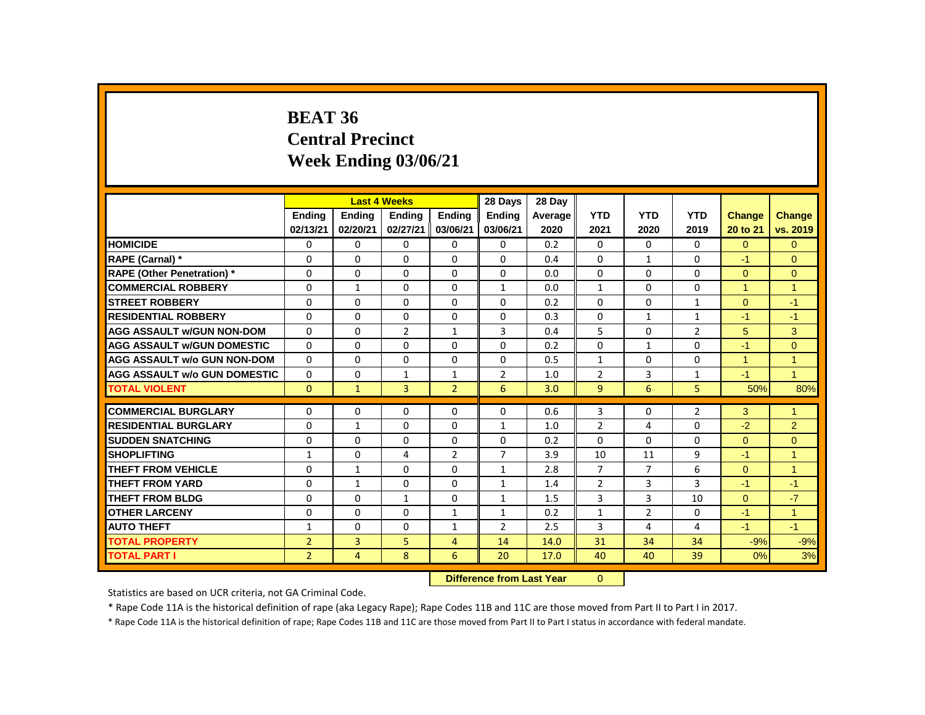# **BEAT 36 Central Precinct Week Ending 03/06/21**

|                                          |                |                | <b>Last 4 Weeks</b> |                | 28 Days        | 28 Day  |                |                |                |                |                |
|------------------------------------------|----------------|----------------|---------------------|----------------|----------------|---------|----------------|----------------|----------------|----------------|----------------|
|                                          | <b>Endina</b>  | <b>Ending</b>  | <b>Ending</b>       | <b>Endina</b>  | <b>Endina</b>  | Average | <b>YTD</b>     | <b>YTD</b>     | <b>YTD</b>     | <b>Change</b>  | Change         |
|                                          | 02/13/21       | 02/20/21       | 02/27/21            | 03/06/21       | 03/06/21       | 2020    | 2021           | 2020           | 2019           | 20 to 21       | vs. 2019       |
| <b>HOMICIDE</b>                          | 0              | $\mathbf{0}$   | $\Omega$            | 0              | $\mathbf{0}$   | 0.2     | $\Omega$       | $\Omega$       | $\Omega$       | $\Omega$       | $\Omega$       |
| RAPE (Carnal) *                          | $\Omega$       | $\Omega$       | $\Omega$            | $\Omega$       | $\Omega$       | 0.4     | $\Omega$       | $\mathbf{1}$   | 0              | $-1$           | $\Omega$       |
| <b>RAPE (Other Penetration) *</b>        | 0              | 0              | $\Omega$            | $\mathbf{0}$   | $\Omega$       | 0.0     | $\Omega$       | $\Omega$       | $\Omega$       | $\Omega$       | $\overline{0}$ |
| <b>COMMERCIAL ROBBERY</b>                | $\mathbf 0$    | $\mathbf{1}$   | $\Omega$            | $\mathbf{0}$   | $\mathbf{1}$   | 0.0     | $\mathbf{1}$   | $\Omega$       | $\Omega$       | $\mathbf{1}$   | $\overline{1}$ |
| <b>STREET ROBBERY</b>                    | 0              | 0              | $\Omega$            | 0              | $\Omega$       | 0.2     | $\Omega$       | $\Omega$       | $\mathbf{1}$   | $\Omega$       | $-1$           |
| <b>RESIDENTIAL ROBBERY</b>               | 0              | 0              | 0                   | 0              | 0              | 0.3     | $\Omega$       | $\mathbf{1}$   | 1              | $-1$           | $-1$           |
| <b>AGG ASSAULT w/GUN NON-DOM</b>         | $\Omega$       | $\Omega$       | $\overline{2}$      | $\mathbf{1}$   | 3              | 0.4     | 5              | $\Omega$       | $\overline{2}$ | 5              | 3              |
| <b>AGG ASSAULT W/GUN DOMESTIC</b>        | $\Omega$       | 0              | $\Omega$            | $\mathbf{0}$   | 0              | 0.2     | $\Omega$       | $\mathbf{1}$   | 0              | $-1$           | $\mathbf{0}$   |
| <b>AGG ASSAULT w/o GUN NON-DOM</b>       | $\Omega$       | $\mathbf{0}$   | $\Omega$            | $\Omega$       | $\Omega$       | 0.5     | $\mathbf{1}$   | $\Omega$       | $\Omega$       | $\mathbf{1}$   | $\overline{1}$ |
| <b>AGG ASSAULT W/o GUN DOMESTIC</b>      | $\Omega$       | 0              | $\mathbf{1}$        | $\mathbf{1}$   | $\overline{2}$ | 1.0     | $\overline{2}$ | 3              | $\mathbf{1}$   | $-1$           | $\overline{1}$ |
| <b>TOTAL VIOLENT</b>                     | $\Omega$       | $\mathbf{1}$   | 3                   | $\overline{2}$ | 6              | 3.0     | $\overline{9}$ | 6              | 5.             | 50%            | 80%            |
| <b>COMMERCIAL BURGLARY</b>               | 0              | 0              | $\Omega$            | $\mathbf{0}$   | 0              | 0.6     | 3              | 0              | $\overline{2}$ | 3              | $\overline{1}$ |
| <b>RESIDENTIAL BURGLARY</b>              | 0              | $\mathbf{1}$   | $\Omega$            | $\mathbf{0}$   | $\mathbf{1}$   | 1.0     | $\overline{2}$ | 4              | 0              | $-2$           | 2              |
| <b>SUDDEN SNATCHING</b>                  | $\mathbf 0$    | 0              | 0                   | $\mathbf{0}$   | 0              | 0.2     | $\Omega$       | 0              | 0              | $\Omega$       | $\mathbf{0}$   |
| <b>SHOPLIFTING</b>                       | $\mathbf{1}$   | $\Omega$       | 4                   | $\overline{2}$ | $\overline{7}$ | 3.9     | 10             | 11             | 9              | $-1$           | $\overline{1}$ |
| <b>THEFT FROM VEHICLE</b>                | 0              | $\mathbf{1}$   | $\Omega$            | $\Omega$       | $\mathbf{1}$   | 2.8     | $\overline{7}$ | $\overline{7}$ | 6              | $\overline{0}$ | $\overline{1}$ |
| <b>THEFT FROM YARD</b>                   | $\Omega$       |                | $\Omega$            | $\Omega$       | $\mathbf{1}$   | 1.4     | 2              | 3              | 3              | $-1$           | $-1$           |
|                                          |                | $\mathbf{1}$   |                     |                |                |         |                |                |                |                | $-7$           |
| <b>THEFT FROM BLDG</b>                   | 0              | 0              | $\mathbf{1}$        | 0              | $\mathbf{1}$   | 1.5     | 3              | 3              | 10             | $\mathbf{0}$   |                |
| <b>OTHER LARCENY</b>                     | 0              | 0              | $\Omega$            | $\mathbf{1}$   | $\mathbf{1}$   | 0.2     | $\mathbf{1}$   | $\overline{2}$ | 0              | $-1$           | $\overline{1}$ |
| <b>AUTO THEFT</b>                        | $\mathbf{1}$   | $\Omega$       | $\Omega$            | $\mathbf{1}$   | $\overline{2}$ | 2.5     | 3              | 4              | 4              | $-1$           | $-1$           |
| <b>TOTAL PROPERTY</b>                    | $\overline{2}$ | $\overline{3}$ | 5                   | 4              | 14             | 14.0    | 31             | 34             | 34             | $-9%$          | $-9%$          |
| <b>TOTAL PART I</b>                      | $\overline{2}$ | 4              | 8                   | 6              | 20             | 17.0    | 40             | 40             | 39             | 0%             | 3%             |
| Pitts and a substant and Magaz<br>$\sim$ |                |                |                     |                |                |         |                |                |                |                |                |

**Difference from Last Year** 0

Statistics are based on UCR criteria, not GA Criminal Code.

\* Rape Code 11A is the historical definition of rape (aka Legacy Rape); Rape Codes 11B and 11C are those moved from Part II to Part I in 2017.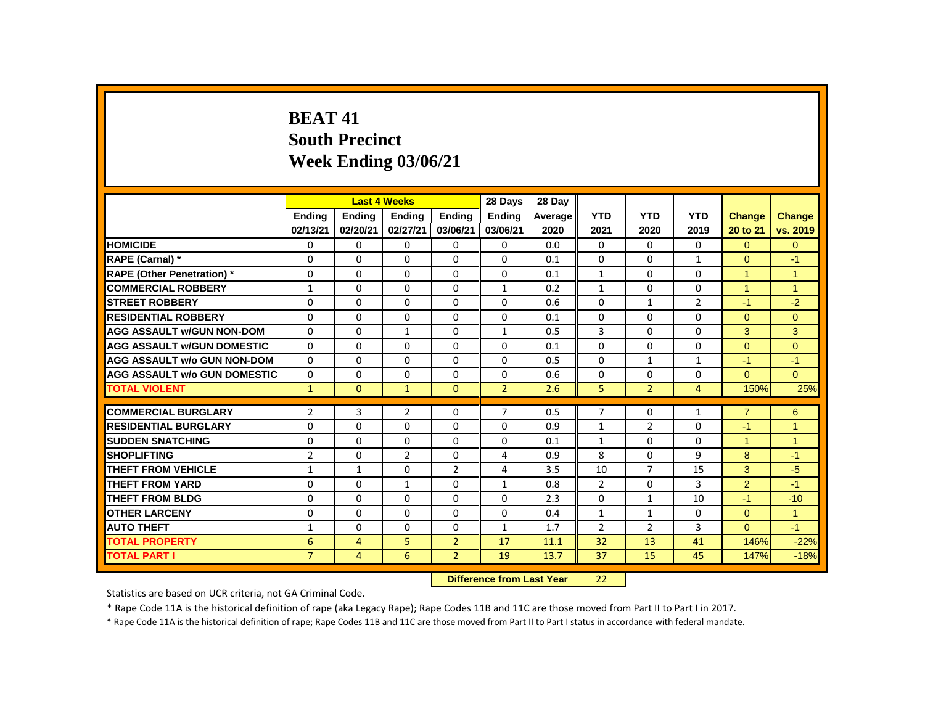# **BEAT 41 South Precinct Week Ending 03/06/21**

|                                     |                |                | <b>Last 4 Weeks</b> |                | 28 Days                   | 28 Day  |                |                |                |                      |                      |
|-------------------------------------|----------------|----------------|---------------------|----------------|---------------------------|---------|----------------|----------------|----------------|----------------------|----------------------|
|                                     | <b>Endina</b>  | <b>Ending</b>  | <b>Ending</b>       | <b>Ending</b>  | <b>Endina</b>             | Average | <b>YTD</b>     | <b>YTD</b>     | <b>YTD</b>     | <b>Change</b>        | Change               |
|                                     | 02/13/21       | 02/20/21       | 02/27/21            | 03/06/21       | 03/06/21                  | 2020    | 2021           | 2020           | 2019           | 20 to 21             | vs. 2019             |
| <b>HOMICIDE</b>                     | 0              | 0              | $\Omega$            | 0              | 0                         | 0.0     | 0              | $\Omega$       | $\Omega$       | $\Omega$             | $\overline{0}$       |
| <b>RAPE (Carnal) *</b>              | 0              | $\Omega$       | $\Omega$            | $\Omega$       | 0                         | 0.1     | $\Omega$       | $\Omega$       | $\mathbf{1}$   | $\Omega$             | $-1$                 |
| <b>RAPE (Other Penetration) *</b>   | 0              | $\Omega$       | $\Omega$            | $\Omega$       | $\Omega$                  | 0.1     | $\mathbf{1}$   | $\Omega$       | $\Omega$       | $\blacktriangleleft$ | $\overline{1}$       |
| <b>COMMERCIAL ROBBERY</b>           | $\mathbf{1}$   | $\Omega$       | $\Omega$            | $\Omega$       | $\mathbf{1}$              | 0.2     | $\mathbf{1}$   | $\Omega$       | $\Omega$       | $\overline{1}$       | $\overline{1}$       |
| <b>STREET ROBBERY</b>               | 0              | $\Omega$       | $\Omega$            | $\Omega$       | $\Omega$                  | 0.6     | $\Omega$       | $\mathbf{1}$   | $\overline{2}$ | $-1$                 | $-2$                 |
| <b>RESIDENTIAL ROBBERY</b>          | 0              | $\mathbf{0}$   | 0                   | $\mathbf{0}$   | 0                         | 0.1     | 0              | $\Omega$       | $\Omega$       | $\Omega$             | $\Omega$             |
| <b>AGG ASSAULT W/GUN NON-DOM</b>    | 0              | $\Omega$       | $\mathbf{1}$        | $\Omega$       | $\mathbf{1}$              | 0.5     | 3              | $\Omega$       | $\mathbf{0}$   | 3                    | 3                    |
| <b>AGG ASSAULT W/GUN DOMESTIC</b>   | $\Omega$       | $\Omega$       | $\Omega$            | $\Omega$       | $\Omega$                  | 0.1     | $\Omega$       | $\Omega$       | $\Omega$       | $\Omega$             | $\Omega$             |
| <b>AGG ASSAULT w/o GUN NON-DOM</b>  | $\Omega$       | $\Omega$       | $\Omega$            | $\Omega$       | $\Omega$                  | 0.5     | $\Omega$       | $\mathbf{1}$   | $\mathbf{1}$   | $-1$                 | $-1$                 |
| <b>AGG ASSAULT W/o GUN DOMESTIC</b> | 0              | $\Omega$       | $\Omega$            | $\Omega$       | 0                         | 0.6     | $\Omega$       | $\Omega$       | 0              | $\Omega$             | $\Omega$             |
| <b>TOTAL VIOLENT</b>                | $\mathbf{1}$   | $\overline{0}$ | $\mathbf{1}$        | $\Omega$       | $\overline{2}$            | 2.6     | 5              | $\overline{2}$ | $\overline{4}$ | 150%                 | 25%                  |
| <b>COMMERCIAL BURGLARY</b>          | $\overline{2}$ | 3              | $\overline{2}$      | $\Omega$       | $\overline{7}$            | 0.5     | $\overline{7}$ | $\Omega$       | $\mathbf{1}$   | $\overline{7}$       | 6                    |
| <b>RESIDENTIAL BURGLARY</b>         | 0              | $\Omega$       | $\Omega$            | $\Omega$       | 0                         | 0.9     | 1              | $\overline{2}$ | $\Omega$       | $-1$                 | $\overline{1}$       |
| <b>SUDDEN SNATCHING</b>             | 0              | $\mathbf 0$    | $\Omega$            | $\Omega$       | $\Omega$                  | 0.1     | $\mathbf{1}$   | $\Omega$       | $\mathbf{0}$   | $\blacktriangleleft$ | $\blacktriangleleft$ |
| <b>SHOPLIFTING</b>                  | $\overline{2}$ | $\Omega$       | $\overline{2}$      | $\Omega$       | 4                         | 0.9     | 8              | $\Omega$       | 9              | 8                    | $-1$                 |
| <b>THEFT FROM VEHICLE</b>           | $\mathbf{1}$   | $\mathbf{1}$   | $\Omega$            | $\overline{2}$ | 4                         | 3.5     | 10             | $\overline{7}$ | 15             | 3                    | $-5$                 |
| <b>THEFT FROM YARD</b>              | 0              | $\Omega$       | $\mathbf{1}$        | $\Omega$       | $\mathbf{1}$              | 0.8     | $\overline{2}$ | $\Omega$       | 3              | $\overline{2}$       | $-1$                 |
| <b>THEFT FROM BLDG</b>              | 0              | $\Omega$       | $\Omega$            | $\Omega$       | $\Omega$                  | 2.3     | $\Omega$       | $\mathbf{1}$   | 10             | $-1$                 | $-10$                |
| <b>OTHER LARCENY</b>                | 0              | 0              | 0                   | $\mathbf 0$    | 0                         | 0.4     | $\mathbf{1}$   | $\mathbf{1}$   | $\mathbf 0$    | $\overline{0}$       | $\overline{1}$       |
| <b>AUTO THEFT</b>                   | $\mathbf{1}$   | $\Omega$       | $\Omega$            | $\Omega$       | $\mathbf{1}$              | 1.7     | $\overline{2}$ | $\overline{2}$ | 3              | $\Omega$             | $-1$                 |
| <b>TOTAL PROPERTY</b>               | 6              | 4              | 5                   | $\overline{2}$ | 17                        | 11.1    | 32             | 13             | 41             | 146%                 | $-22%$               |
| <b>TOTAL PART I</b>                 | $\overline{7}$ | $\overline{4}$ | 6                   | $\overline{2}$ | 19                        | 13.7    | 37             | 15             | 45             | 147%                 | $-18%$               |
|                                     |                |                |                     |                | Difference from Last Vear |         | າາ             |                |                |                      |                      |

 **Difference from Last Year** 22

Statistics are based on UCR criteria, not GA Criminal Code.

\* Rape Code 11A is the historical definition of rape (aka Legacy Rape); Rape Codes 11B and 11C are those moved from Part II to Part I in 2017.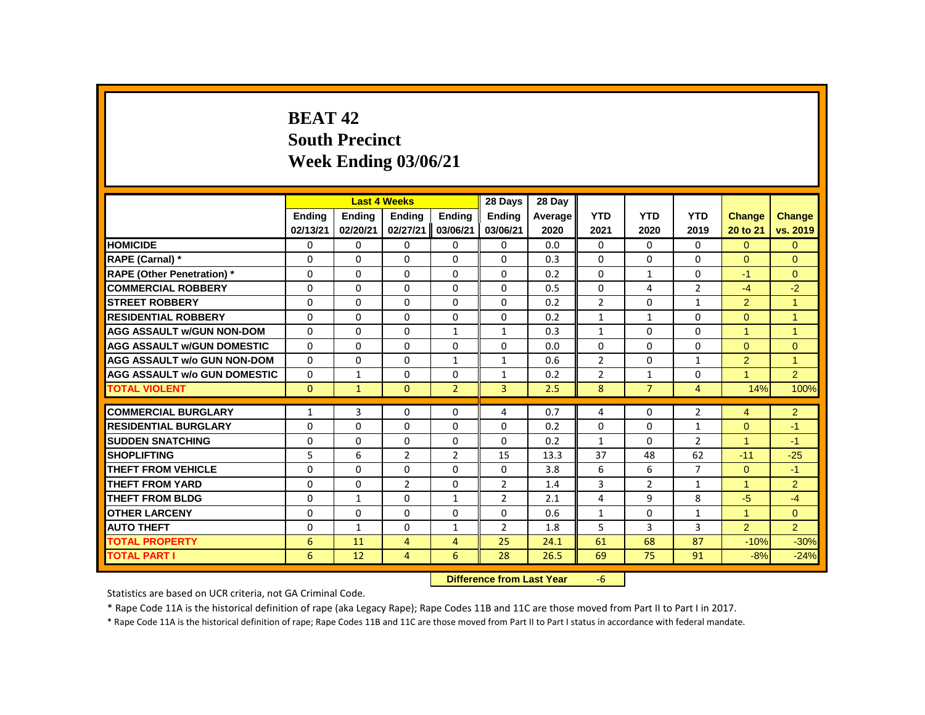# **BEAT 42 South Precinct Week Ending 03/06/21**

|                                     |              |               | <b>Last 4 Weeks</b> |                | 28 Days                   | 28 Day  |                |                |                |                      |                |
|-------------------------------------|--------------|---------------|---------------------|----------------|---------------------------|---------|----------------|----------------|----------------|----------------------|----------------|
|                                     | Ending       | <b>Ending</b> | <b>Ending</b>       | Ending         | <b>Ending</b>             | Average | <b>YTD</b>     | <b>YTD</b>     | <b>YTD</b>     | <b>Change</b>        | Change         |
|                                     | 02/13/21     | 02/20/21      | 02/27/21            | 03/06/21       | 03/06/21                  | 2020    | 2021           | 2020           | 2019           | 20 to 21             | vs. 2019       |
| <b>HOMICIDE</b>                     | 0            | 0             | 0                   | 0              | 0                         | 0.0     | $\mathbf{0}$   | 0              | 0              | $\Omega$             | $\Omega$       |
| RAPE (Carnal) *                     | 0            | $\Omega$      | $\Omega$            | $\Omega$       | $\Omega$                  | 0.3     | $\Omega$       | $\Omega$       | $\Omega$       | $\Omega$             | $\mathbf{0}$   |
| <b>RAPE (Other Penetration)</b> *   | 0            | $\Omega$      | $\Omega$            | $\Omega$       | $\Omega$                  | 0.2     | $\Omega$       | $\mathbf{1}$   | $\Omega$       | $-1$                 | $\mathbf{0}$   |
| <b>COMMERCIAL ROBBERY</b>           | $\Omega$     | $\Omega$      | $\Omega$            | $\Omega$       | $\Omega$                  | 0.5     | $\Omega$       | 4              | $\overline{2}$ | $-4$                 | $-2$           |
| <b>STREET ROBBERY</b>               | 0            | 0             | 0                   | 0              | 0                         | 0.2     | 2              | 0              | $\mathbf{1}$   | $\overline{2}$       | $\overline{1}$ |
| <b>RESIDENTIAL ROBBERY</b>          | $\Omega$     | $\Omega$      | $\Omega$            | $\Omega$       | $\Omega$                  | 0.2     | $\mathbf{1}$   | $\mathbf{1}$   | $\Omega$       | $\Omega$             | $\overline{1}$ |
| <b>AGG ASSAULT W/GUN NON-DOM</b>    | $\Omega$     | $\Omega$      | $\Omega$            | $\mathbf{1}$   | $\mathbf{1}$              | 0.3     | $\mathbf{1}$   | $\Omega$       | $\Omega$       | $\overline{1}$       | $\overline{1}$ |
| <b>AGG ASSAULT w/GUN DOMESTIC</b>   | $\Omega$     | $\Omega$      | $\Omega$            | $\Omega$       | $\Omega$                  | 0.0     | $\Omega$       | $\Omega$       | $\Omega$       | $\Omega$             | $\Omega$       |
| <b>AGG ASSAULT w/o GUN NON-DOM</b>  | $\Omega$     | $\Omega$      | $\Omega$            | $\mathbf{1}$   | $\mathbf{1}$              | 0.6     | $\overline{2}$ | $\Omega$       | $\mathbf{1}$   | $\overline{2}$       | $\mathbf{1}$   |
| <b>AGG ASSAULT W/o GUN DOMESTIC</b> | $\mathbf{0}$ | $\mathbf{1}$  | 0                   | 0              | $\mathbf{1}$              | 0.2     | $\overline{2}$ | $\mathbf{1}$   | 0              | $\blacktriangleleft$ | $\overline{2}$ |
| <b>TOTAL VIOLENT</b>                | $\mathbf{0}$ | $\mathbf{1}$  | $\mathbf{0}$        | $\overline{2}$ | $\overline{3}$            | 2.5     | 8              | $\overline{7}$ | $\overline{4}$ | 14%                  | 100%           |
| <b>COMMERCIAL BURGLARY</b>          | $\mathbf{1}$ | 3             | 0                   | 0              | 4                         | 0.7     | 4              | 0              | $\overline{2}$ | $\overline{4}$       | $\overline{2}$ |
| <b>RESIDENTIAL BURGLARY</b>         | $\Omega$     | $\Omega$      | $\Omega$            | $\Omega$       | $\Omega$                  | 0.2     | $\Omega$       | $\Omega$       | $\mathbf{1}$   | $\Omega$             | $-1$           |
| <b>SUDDEN SNATCHING</b>             | 0            | $\Omega$      | $\Omega$            | 0              | $\Omega$                  | 0.2     | $\mathbf{1}$   | $\mathbf{0}$   | $\overline{2}$ | $\mathbf{1}$         | $-1$           |
| <b>SHOPLIFTING</b>                  | 5            | 6             | $\overline{2}$      | $\overline{2}$ | 15                        | 13.3    | 37             | 48             | 62             | $-11$                | $-25$          |
| <b>THEFT FROM VEHICLE</b>           | $\Omega$     | $\Omega$      | $\Omega$            | $\Omega$       | $\Omega$                  | 3.8     | 6              | 6              | $\overline{7}$ | $\Omega$             | $-1$           |
| <b>THEFT FROM YARD</b>              | 0            | 0             | $\overline{2}$      | 0              | $\overline{2}$            | 1.4     | 3              | $\overline{2}$ | $\mathbf{1}$   | $\blacktriangleleft$ | $\overline{2}$ |
| <b>THEFT FROM BLDG</b>              | $\Omega$     | $\mathbf{1}$  | $\Omega$            | $\mathbf{1}$   | $\overline{2}$            | 2.1     | 4              | 9              | 8              | $-5$                 | $-4$           |
| <b>OTHER LARCENY</b>                | $\Omega$     | 0             | $\Omega$            | $\Omega$       | 0                         | 0.6     | $\mathbf{1}$   | $\Omega$       | $\mathbf 1$    | $\mathbf{1}$         | $\overline{0}$ |
| <b>AUTO THEFT</b>                   | 0            | $\mathbf{1}$  | $\Omega$            | $\mathbf{1}$   | $\overline{2}$            | 1.8     | 5              | 3              | 3              | $\overline{2}$       | 2              |
| <b>TOTAL PROPERTY</b>               | 6            | 11            | $\overline{4}$      | $\overline{4}$ | 25                        | 24.1    | 61             | 68             | 87             | $-10%$               | $-30%$         |
| <b>TOTAL PART I</b>                 | 6            | 12            | $\overline{4}$      | 6              | 28                        | 26.5    | 69             | 75             | 91             | $-8%$                | $-24%$         |
|                                     |              |               |                     |                | Difference from Last Year |         | $-6$           |                |                |                      |                |

**Difference from Last Year** -6

Statistics are based on UCR criteria, not GA Criminal Code.

\* Rape Code 11A is the historical definition of rape (aka Legacy Rape); Rape Codes 11B and 11C are those moved from Part II to Part I in 2017.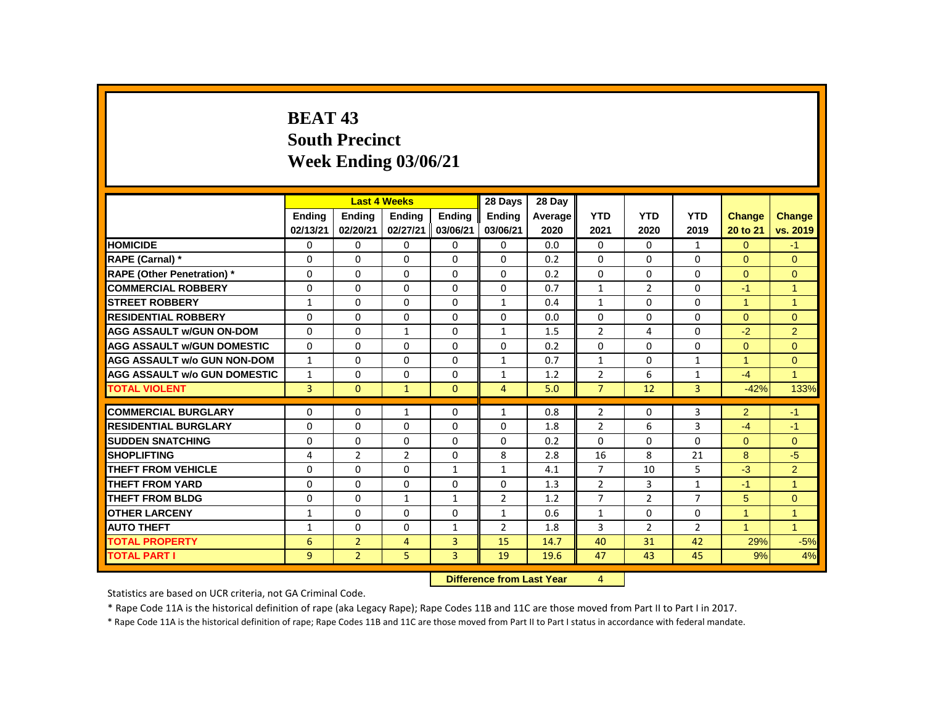# **BEAT 43 South Precinct Week Ending 03/06/21**

|                                     |                |                | <b>Last 4 Weeks</b> |                | 28 Days                   | 28 Day  |                |                |                |               |                      |
|-------------------------------------|----------------|----------------|---------------------|----------------|---------------------------|---------|----------------|----------------|----------------|---------------|----------------------|
|                                     | <b>Endina</b>  | <b>Endina</b>  | <b>Endina</b>       | <b>Endina</b>  | <b>Endina</b>             | Average | <b>YTD</b>     | <b>YTD</b>     | <b>YTD</b>     | <b>Change</b> | <b>Change</b>        |
|                                     | 02/13/21       | 02/20/21       | 02/27/21            | 03/06/21       | 03/06/21                  | 2020    | 2021           | 2020           | 2019           | 20 to 21      | vs. 2019             |
| <b>HOMICIDE</b>                     | 0              | 0              | 0                   | 0              | 0                         | 0.0     | 0              | $\mathbf{0}$   | $\mathbf{1}$   | $\Omega$      | $-1$                 |
| RAPE (Carnal) *                     | 0              | $\Omega$       | $\Omega$            | $\Omega$       | $\Omega$                  | 0.2     | $\Omega$       | $\Omega$       | $\Omega$       | $\Omega$      | $\Omega$             |
| <b>RAPE (Other Penetration) *</b>   | 0              | $\Omega$       | $\Omega$            | $\Omega$       | $\Omega$                  | 0.2     | $\Omega$       | $\Omega$       | $\Omega$       | $\Omega$      | $\mathbf{0}$         |
| <b>COMMERCIAL ROBBERY</b>           | $\Omega$       | $\Omega$       | $\Omega$            | $\Omega$       | $\Omega$                  | 0.7     | $\mathbf{1}$   | $\overline{2}$ | $\Omega$       | $-1$          | $\overline{1}$       |
| <b>STREET ROBBERY</b>               | $\mathbf{1}$   | $\Omega$       | $\Omega$            | $\Omega$       | $\mathbf{1}$              | 0.4     | $\mathbf{1}$   | $\Omega$       | $\Omega$       | $\mathbf{1}$  | $\mathbf{1}$         |
| <b>RESIDENTIAL ROBBERY</b>          | $\Omega$       | $\Omega$       | $\Omega$            | $\Omega$       | $\Omega$                  | 0.0     | $\Omega$       | $\Omega$       | $\Omega$       | $\Omega$      | $\Omega$             |
| <b>AGG ASSAULT W/GUN ON-DOM</b>     | $\Omega$       | $\Omega$       | $\mathbf{1}$        | 0              | $\mathbf{1}$              | 1.5     | $\overline{2}$ | 4              | $\Omega$       | $-2$          | $\overline{2}$       |
| <b>AGG ASSAULT W/GUN DOMESTIC</b>   | $\Omega$       | $\Omega$       | $\Omega$            | $\Omega$       | $\Omega$                  | 0.2     | $\Omega$       | $\Omega$       | $\Omega$       | $\Omega$      | $\mathbf{0}$         |
| <b>AGG ASSAULT w/o GUN NON-DOM</b>  | $\mathbf{1}$   | $\Omega$       | $\Omega$            | $\Omega$       | $\mathbf{1}$              | 0.7     | $\mathbf{1}$   | 0              | $\mathbf{1}$   | $\mathbf{1}$  | $\mathbf{0}$         |
| <b>AGG ASSAULT W/o GUN DOMESTIC</b> | $\mathbf{1}$   | $\Omega$       | 0                   | $\Omega$       | $\mathbf{1}$              | 1.2     | $\overline{2}$ | 6              | $\mathbf{1}$   | $-4$          | $\blacktriangleleft$ |
| <b>TOTAL VIOLENT</b>                | $\overline{3}$ | $\mathbf{0}$   | $\mathbf{1}$        | $\mathbf{0}$   | 4                         | 5.0     | $\overline{7}$ | 12             | 3              | $-42%$        | 133%                 |
| <b>COMMERCIAL BURGLARY</b>          | $\Omega$       | $\Omega$       | $\mathbf{1}$        | $\Omega$       | $\mathbf{1}$              | 0.8     | 2              | $\Omega$       | 3              | 2             | $-1$                 |
| <b>RESIDENTIAL BURGLARY</b>         | 0              | 0              | 0                   | 0              | 0                         | 1.8     | $\overline{2}$ | 6              | 3              | $-4$          | $-1$                 |
| <b>SUDDEN SNATCHING</b>             | $\Omega$       | $\Omega$       | $\Omega$            | $\Omega$       | $\Omega$                  | 0.2     | $\Omega$       | $\Omega$       | $\Omega$       | $\Omega$      | $\Omega$             |
| <b>SHOPLIFTING</b>                  | 4              | $\overline{2}$ | $\overline{2}$      | $\Omega$       | 8                         | 2.8     | 16             | 8              | 21             | 8             | $-5$                 |
| <b>THEFT FROM VEHICLE</b>           | $\Omega$       | $\Omega$       | $\Omega$            | $\mathbf{1}$   | $\mathbf{1}$              | 4.1     | $\overline{7}$ | 10             | 5              | $-3$          | 2                    |
| <b>THEFT FROM YARD</b>              | 0              | 0              | 0                   | 0              | 0                         | 1.3     | $\overline{2}$ | 3              | $\mathbf{1}$   | $-1$          | 1                    |
| <b>THEFT FROM BLDG</b>              | 0              | $\Omega$       | $\mathbf{1}$        | $\mathbf{1}$   | $\overline{2}$            | 1.2     | $\overline{7}$ | $\overline{2}$ | 7              | 5             | $\mathbf{0}$         |
| <b>OTHER LARCENY</b>                | $\mathbf{1}$   | $\Omega$       | $\Omega$            | 0              | $\mathbf{1}$              | 0.6     | $\mathbf{1}$   | $\Omega$       | $\Omega$       | $\mathbf{1}$  | $\mathbf{1}$         |
| <b>AUTO THEFT</b>                   | $\mathbf{1}$   | $\Omega$       | $\Omega$            | $\mathbf{1}$   | $\overline{2}$            | 1.8     | $\overline{3}$ | $\overline{2}$ | $\overline{2}$ | $\mathbf{1}$  | $\overline{1}$       |
| <b>TOTAL PROPERTY</b>               | 6              | $\overline{2}$ | $\overline{4}$      | $\overline{3}$ | 15                        | 14.7    | 40             | 31             | 42             | 29%           | $-5%$                |
| <b>TOTAL PART I</b>                 | 9              | $\overline{2}$ | 5                   | 3              | 19                        | 19.6    | 47             | 43             | 45             | 9%            | 4%                   |
|                                     |                |                |                     |                | Difference from Loot Vear |         | $\mathbf{A}$   |                |                |               |                      |

 **Difference from Last Year** 4

Statistics are based on UCR criteria, not GA Criminal Code.

\* Rape Code 11A is the historical definition of rape (aka Legacy Rape); Rape Codes 11B and 11C are those moved from Part II to Part I in 2017.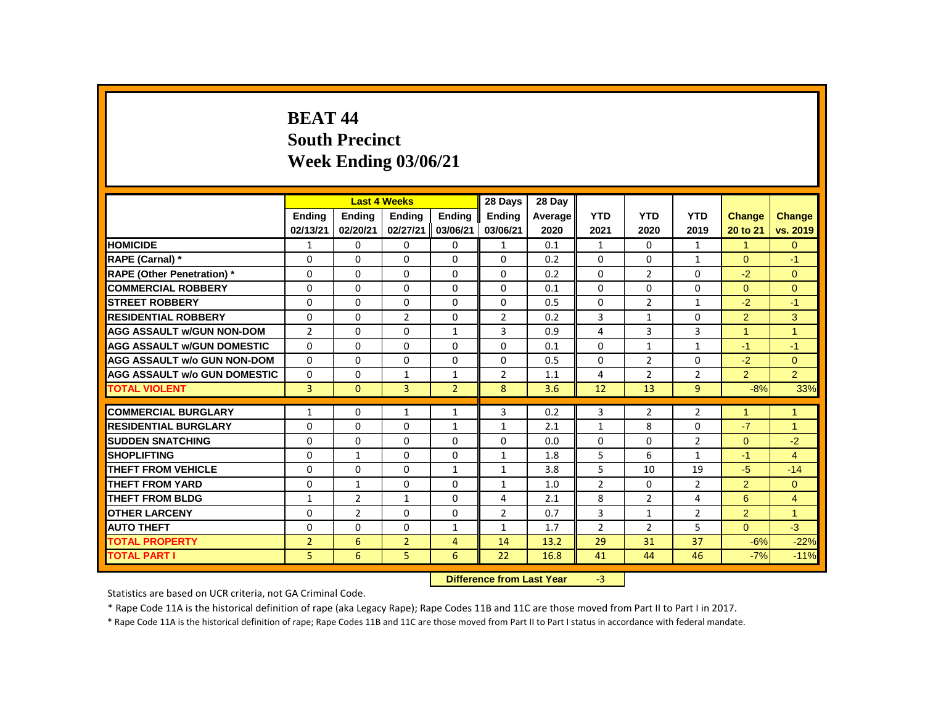# **BEAT 44 South Precinct Week Ending 03/06/21**

|                                     |                |                | <b>Last 4 Weeks</b> |                | 28 Days                   | 28 Day  |                |                |                |                      |                |
|-------------------------------------|----------------|----------------|---------------------|----------------|---------------------------|---------|----------------|----------------|----------------|----------------------|----------------|
|                                     | <b>Endina</b>  | <b>Endina</b>  | <b>Endina</b>       | <b>Endina</b>  | <b>Endina</b>             | Average | <b>YTD</b>     | <b>YTD</b>     | <b>YTD</b>     | <b>Change</b>        | <b>Change</b>  |
|                                     | 02/13/21       | 02/20/21       | 02/27/21            | 03/06/21       | 03/06/21                  | 2020    | 2021           | 2020           | 2019           | 20 to 21             | vs. 2019       |
| <b>HOMICIDE</b>                     | 1              | 0              | 0                   | 0              | $\mathbf{1}$              | 0.1     | $\mathbf{1}$   | $\mathbf{0}$   | $\mathbf{1}$   | $\blacktriangleleft$ | $\mathbf{0}$   |
| RAPE (Carnal) *                     | 0              | $\Omega$       | $\Omega$            | $\Omega$       | $\Omega$                  | 0.2     | $\Omega$       | 0              | $\mathbf{1}$   | $\Omega$             | $-1$           |
| <b>RAPE (Other Penetration)</b> *   | 0              | $\Omega$       | $\Omega$            | $\Omega$       | 0                         | 0.2     | $\Omega$       | $\overline{2}$ | 0              | $-2$                 | $\mathbf{0}$   |
| <b>COMMERCIAL ROBBERY</b>           | $\Omega$       | $\Omega$       | $\Omega$            | $\Omega$       | $\Omega$                  | 0.1     | $\Omega$       | $\Omega$       | $\Omega$       | $\Omega$             | $\Omega$       |
| <b>STREET ROBBERY</b>               | 0              | $\Omega$       | $\Omega$            | $\Omega$       | $\Omega$                  | 0.5     | $\Omega$       | $\overline{2}$ | $\mathbf{1}$   | $-2$                 | $-1$           |
| <b>RESIDENTIAL ROBBERY</b>          | $\Omega$       | $\Omega$       | $\overline{2}$      | $\Omega$       | $\overline{2}$            | 0.2     | 3              | $\mathbf{1}$   | $\Omega$       | 2                    | 3              |
| <b>AGG ASSAULT W/GUN NON-DOM</b>    | $\overline{2}$ | $\Omega$       | $\Omega$            | $\mathbf{1}$   | 3                         | 0.9     | 4              | 3              | 3              | 1                    | $\overline{1}$ |
| <b>AGG ASSAULT W/GUN DOMESTIC</b>   | $\Omega$       | $\Omega$       | $\Omega$            | $\Omega$       | $\Omega$                  | 0.1     | $\Omega$       | $\mathbf{1}$   | $\mathbf{1}$   | $-1$                 | $-1$           |
| <b>AGG ASSAULT w/o GUN NON-DOM</b>  | $\Omega$       | $\Omega$       | $\Omega$            | $\Omega$       | 0                         | 0.5     | $\Omega$       | $\overline{2}$ | $\Omega$       | $-2$                 | $\mathbf{0}$   |
| <b>AGG ASSAULT W/o GUN DOMESTIC</b> | 0              | $\Omega$       | 1                   | $\mathbf{1}$   | $\overline{2}$            | 1.1     | 4              | $\overline{2}$ | $\overline{2}$ | $\overline{2}$       | $\overline{2}$ |
| <b>TOTAL VIOLENT</b>                | $\overline{3}$ | $\mathbf{0}$   | 3                   | $\overline{2}$ | 8                         | 3.6     | 12             | 13             | 9              | $-8%$                | 33%            |
| <b>COMMERCIAL BURGLARY</b>          | $\mathbf{1}$   | $\Omega$       | $\mathbf{1}$        | $\mathbf{1}$   | 3                         | 0.2     | 3              | $\overline{2}$ | $\overline{2}$ | 1                    | 1              |
| <b>RESIDENTIAL BURGLARY</b>         | 0              | 0              | 0                   | $\mathbf{1}$   | $\mathbf{1}$              | 2.1     | 1              | 8              | $\Omega$       | $-7$                 | 1              |
| <b>SUDDEN SNATCHING</b>             | $\Omega$       | $\Omega$       | $\Omega$            | $\Omega$       | $\Omega$                  | 0.0     | $\Omega$       | $\Omega$       | $\overline{2}$ | $\Omega$             | $-2$           |
| <b>SHOPLIFTING</b>                  | 0              | $\mathbf{1}$   | $\Omega$            | $\Omega$       | $\mathbf{1}$              | 1.8     | 5              | 6              | $\mathbf{1}$   | $-1$                 | $\overline{4}$ |
| <b>THEFT FROM VEHICLE</b>           | $\Omega$       | $\Omega$       | $\Omega$            | $\mathbf{1}$   | $\mathbf{1}$              | 3.8     | 5              | 10             | 19             | $-5$                 | $-14$          |
| <b>THEFT FROM YARD</b>              | 0              | $\mathbf{1}$   | 0                   | 0              | $\mathbf{1}$              | 1.0     | $\overline{2}$ | 0              | $\overline{2}$ | 2                    | $\mathbf{0}$   |
| <b>THEFT FROM BLDG</b>              | $\mathbf{1}$   | $\overline{2}$ | $\mathbf{1}$        | 0              | 4                         | 2.1     | 8              | $\overline{2}$ | 4              | 6                    | $\overline{4}$ |
| <b>OTHER LARCENY</b>                | 0              | $\overline{2}$ | $\Omega$            | 0              | $\overline{2}$            | 0.7     | 3              | $\mathbf{1}$   | $\overline{2}$ | 2                    | $\mathbf{1}$   |
| <b>AUTO THEFT</b>                   | $\Omega$       | $\Omega$       | $\Omega$            | $\mathbf{1}$   | $\mathbf{1}$              | 1.7     | $\overline{2}$ | $\overline{2}$ | 5              | $\Omega$             | $-3$           |
| <b>TOTAL PROPERTY</b>               | $\overline{2}$ | 6              | $\overline{2}$      | $\overline{4}$ | 14                        | 13.2    | 29             | 31             | 37             | $-6%$                | $-22%$         |
| <b>TOTAL PART I</b>                 | 5              | 6              | 5                   | 6              | 22                        | 16.8    | 41             | 44             | 46             | $-7%$                | $-11%$         |
|                                     |                |                |                     |                | Difference from Loot Vear |         | $\mathcal{D}$  |                |                |                      |                |

 **Difference from Last Year** -3

Statistics are based on UCR criteria, not GA Criminal Code.

\* Rape Code 11A is the historical definition of rape (aka Legacy Rape); Rape Codes 11B and 11C are those moved from Part II to Part I in 2017.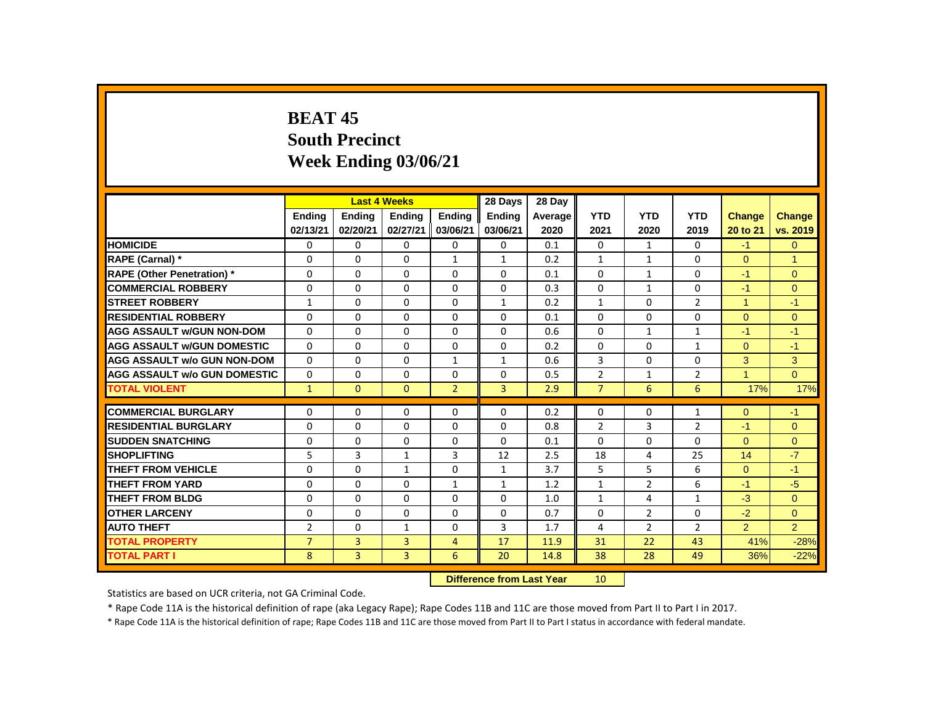# **BEAT 45 South Precinct Week Ending 03/06/21**

|                                     |                |               | <b>Last 4 Weeks</b> |                | 28 Days                   | 28 Day  |                 |                |                |                      |                |
|-------------------------------------|----------------|---------------|---------------------|----------------|---------------------------|---------|-----------------|----------------|----------------|----------------------|----------------|
|                                     | <b>Ending</b>  | <b>Ending</b> | <b>Ending</b>       | <b>Ending</b>  | Ending                    | Average | <b>YTD</b>      | <b>YTD</b>     | <b>YTD</b>     | <b>Change</b>        | <b>Change</b>  |
|                                     | 02/13/21       | 02/20/21      | 02/27/21            | 03/06/21       | 03/06/21                  | 2020    | 2021            | 2020           | 2019           | 20 to 21             | vs. 2019       |
| <b>HOMICIDE</b>                     | 0              | 0             | 0                   | 0              | 0                         | 0.1     | 0               | $\mathbf{1}$   | 0              | $-1$                 | $\Omega$       |
| RAPE (Carnal) *                     | 0              | 0             | 0                   | $\mathbf{1}$   | $\mathbf{1}$              | 0.2     | $\mathbf{1}$    | $\mathbf{1}$   | 0              | $\mathbf{0}$         | $\mathbf{1}$   |
| <b>RAPE (Other Penetration) *</b>   | 0              | 0             | $\Omega$            | 0              | $\Omega$                  | 0.1     | $\Omega$        | $\mathbf{1}$   | 0              | $-1$                 | $\Omega$       |
| <b>COMMERCIAL ROBBERY</b>           | $\mathbf{0}$   | $\Omega$      | $\Omega$            | $\Omega$       | $\Omega$                  | 0.3     | $\Omega$        | $\mathbf{1}$   | $\Omega$       | $-1$                 | $\Omega$       |
| <b>STREET ROBBERY</b>               | $\mathbf{1}$   | 0             | 0                   | 0              | $\mathbf{1}$              | 0.2     | $\mathbf{1}$    | 0              | 2              | $\mathbf{1}$         | $-1$           |
| <b>RESIDENTIAL ROBBERY</b>          | $\mathbf{0}$   | $\Omega$      | $\Omega$            | $\Omega$       | $\Omega$                  | 0.1     | $\Omega$        | $\Omega$       | 0              | $\Omega$             | $\Omega$       |
| <b>AGG ASSAULT w/GUN NON-DOM</b>    | $\Omega$       | 0             | 0                   | $\mathbf 0$    | $\mathbf 0$               | 0.6     | $\Omega$        | $\mathbf{1}$   | $\mathbf{1}$   | $-1$                 | $-1$           |
| <b>AGG ASSAULT w/GUN DOMESTIC</b>   | $\Omega$       | $\Omega$      | $\Omega$            | $\Omega$       | $\Omega$                  | 0.2     | $\Omega$        | $\Omega$       | $\mathbf{1}$   | $\Omega$             | $-1$           |
| <b>AGG ASSAULT w/o GUN NON-DOM</b>  | $\Omega$       | $\Omega$      | $\Omega$            | $\mathbf{1}$   | $\mathbf{1}$              | 0.6     | 3               | $\Omega$       | $\Omega$       | 3                    | 3              |
| <b>AGG ASSAULT W/o GUN DOMESTIC</b> | 0              | 0             | 0                   | 0              | 0                         | 0.5     | $\overline{2}$  | $\mathbf{1}$   | $\overline{2}$ | $\blacktriangleleft$ | $\Omega$       |
| <b>TOTAL VIOLENT</b>                | $\mathbf{1}$   | $\mathbf{0}$  | $\overline{0}$      | $\overline{2}$ | 3                         | 2.9     | $\overline{7}$  | 6              | 6              | 17%                  | 17%            |
| <b>COMMERCIAL BURGLARY</b>          | 0              | 0             | 0                   | 0              | 0                         | 0.2     | 0               | 0              | 1              | $\overline{0}$       | $-1$           |
| <b>RESIDENTIAL BURGLARY</b>         | 0              | $\Omega$      | $\Omega$            | $\Omega$       | $\Omega$                  | 0.8     | $\overline{2}$  | 3              | $\overline{2}$ | $-1$                 | $\Omega$       |
| <b>SUDDEN SNATCHING</b>             | 0              | $\mathbf 0$   | $\Omega$            | $\mathbf 0$    | $\Omega$                  | 0.1     | $\Omega$        | $\mathbf 0$    | $\Omega$       | $\Omega$             | $\overline{0}$ |
| <b>SHOPLIFTING</b>                  | 5              | 3             | $\mathbf{1}$        | 3              | 12                        | 2.5     | 18              | 4              | 25             | 14                   | $-7$           |
| <b>THEFT FROM VEHICLE</b>           | $\Omega$       | $\Omega$      | $\mathbf{1}$        | $\Omega$       | $\mathbf{1}$              | 3.7     | 5               | 5              | 6              | $\Omega$             | $-1$           |
| <b>THEFT FROM YARD</b>              | 0              | 0             | 0                   | $\mathbf{1}$   | $\mathbf{1}$              | 1.2     | 1               | $\overline{2}$ | 6              | $-1$                 | $-5$           |
| <b>THEFT FROM BLDG</b>              | $\mathbf{0}$   | $\Omega$      | $\Omega$            | $\Omega$       | $\Omega$                  | 1.0     | $\mathbf{1}$    | 4              | $\mathbf{1}$   | $-3$                 | $\Omega$       |
| <b>OTHER LARCENY</b>                | $\mathbf 0$    | $\Omega$      | $\Omega$            | $\mathbf 0$    | $\Omega$                  | 0.7     | $\Omega$        | $\overline{2}$ | $\Omega$       | $-2$                 | $\overline{0}$ |
| <b>AUTO THEFT</b>                   | $\overline{2}$ | $\Omega$      | $\mathbf{1}$        | $\Omega$       | 3                         | 1.7     | 4               | $\overline{2}$ | $\overline{2}$ | $\overline{2}$       | $\overline{2}$ |
| <b>TOTAL PROPERTY</b>               | $\overline{7}$ | 3             | 3                   | 4              | 17                        | 11.9    | 31              | 22             | 43             | 41%                  | $-28%$         |
| <b>TOTAL PART I</b>                 | 8              | 3             | $\overline{3}$      | 6              | 20                        | 14.8    | 38              | 28             | 49             | 36%                  | $-22%$         |
|                                     |                |               |                     |                | Difference from Last Year |         | 10 <sup>1</sup> |                |                |                      |                |

**Difference from Last Year** 10

Statistics are based on UCR criteria, not GA Criminal Code.

\* Rape Code 11A is the historical definition of rape (aka Legacy Rape); Rape Codes 11B and 11C are those moved from Part II to Part I in 2017.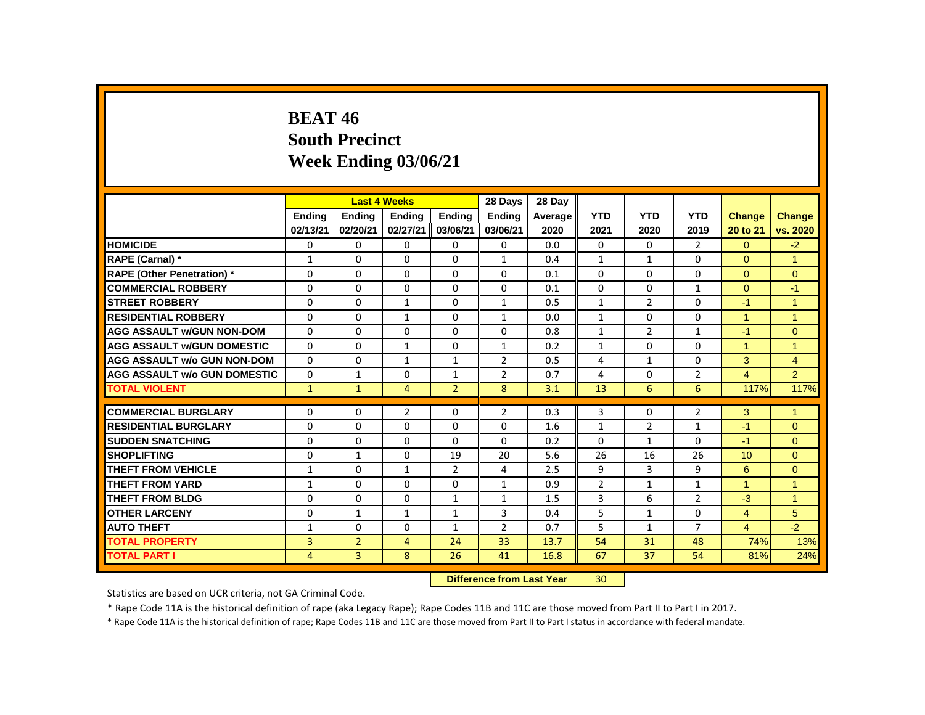# **BEAT 46 South Precinct Week Ending 03/06/21**

|                                     |              |                | <b>Last 4 Weeks</b> |                | 28 Days                   | 28 Day  |                 |                |                |                |                |
|-------------------------------------|--------------|----------------|---------------------|----------------|---------------------------|---------|-----------------|----------------|----------------|----------------|----------------|
|                                     | Ending       | <b>Ending</b>  | <b>Ending</b>       | Ending         | <b>Ending</b>             | Average | <b>YTD</b>      | <b>YTD</b>     | <b>YTD</b>     | <b>Change</b>  | Change         |
|                                     | 02/13/21     | 02/20/21       | 02/27/21            | 03/06/21       | 03/06/21                  | 2020    | 2021            | 2020           | 2019           | 20 to 21       | vs. 2020       |
| <b>HOMICIDE</b>                     | 0            | 0              | $\mathbf{0}$        | 0              | 0                         | 0.0     | 0               | 0              | $\overline{2}$ | $\Omega$       | $-2$           |
| RAPE (Carnal) *                     | $\mathbf{1}$ | $\Omega$       | $\Omega$            | $\Omega$       | $\mathbf{1}$              | 0.4     | $\mathbf{1}$    | $\mathbf{1}$   | $\Omega$       | $\Omega$       | $\overline{1}$ |
| <b>RAPE (Other Penetration)</b> *   | 0            | $\Omega$       | $\Omega$            | $\Omega$       | $\Omega$                  | 0.1     | $\Omega$        | $\Omega$       | $\Omega$       | $\Omega$       | $\mathbf{0}$   |
| <b>COMMERCIAL ROBBERY</b>           | $\Omega$     | $\Omega$       | $\Omega$            | $\Omega$       | $\Omega$                  | 0.1     | $\Omega$        | $\Omega$       | $\mathbf{1}$   | $\Omega$       | $-1$           |
| <b>STREET ROBBERY</b>               | 0            | 0              | $\mathbf{1}$        | 0              | $\mathbf{1}$              | 0.5     | $\mathbf{1}$    | $\overline{2}$ | 0              | $-1$           | $\overline{1}$ |
| <b>RESIDENTIAL ROBBERY</b>          | $\Omega$     | $\Omega$       | $\mathbf{1}$        | $\Omega$       | $\mathbf{1}$              | 0.0     | $\mathbf{1}$    | $\Omega$       | $\Omega$       | 1              | $\overline{1}$ |
| <b>AGG ASSAULT W/GUN NON-DOM</b>    | $\Omega$     | $\Omega$       | $\Omega$            | $\Omega$       | $\Omega$                  | 0.8     | $\mathbf{1}$    | $\overline{2}$ | $\mathbf{1}$   | $-1$           | $\mathbf{0}$   |
| <b>AGG ASSAULT W/GUN DOMESTIC</b>   | $\Omega$     | $\Omega$       | $\mathbf{1}$        | $\Omega$       | $\mathbf{1}$              | 0.2     | $\mathbf{1}$    | $\Omega$       | $\Omega$       | $\overline{1}$ | $\overline{1}$ |
| <b>AGG ASSAULT w/o GUN NON-DOM</b>  | $\Omega$     | $\Omega$       | $\mathbf{1}$        | $\mathbf{1}$   | $\overline{2}$            | 0.5     | 4               | $\mathbf{1}$   | $\Omega$       | 3              | $\overline{4}$ |
| <b>AGG ASSAULT W/o GUN DOMESTIC</b> | 0            | $\mathbf{1}$   | 0                   | $\mathbf{1}$   | $\overline{2}$            | 0.7     | 4               | 0              | $\overline{2}$ | $\overline{4}$ | $\overline{2}$ |
| <b>TOTAL VIOLENT</b>                | $\mathbf{1}$ | $\mathbf{1}$   | $\overline{4}$      | $\overline{2}$ | 8                         | 3.1     | 13              | 6              | 6              | 117%           | 117%           |
| <b>COMMERCIAL BURGLARY</b>          | 0            | 0              | 2                   | 0              | $\overline{2}$            | 0.3     | 3               | 0              | $\overline{2}$ | 3              | $\mathbf{1}$   |
| <b>RESIDENTIAL BURGLARY</b>         | $\Omega$     | $\Omega$       | $\Omega$            | $\Omega$       | $\Omega$                  | 1.6     | $\mathbf{1}$    | $\overline{2}$ | $\mathbf{1}$   | $-1$           | $\Omega$       |
| <b>SUDDEN SNATCHING</b>             | 0            | 0              | $\Omega$            | $\Omega$       | $\Omega$                  | 0.2     | $\Omega$        | $\mathbf{1}$   | 0              | $-1$           | $\mathbf{0}$   |
| <b>SHOPLIFTING</b>                  | $\Omega$     | $\mathbf{1}$   | $\Omega$            | 19             | 20                        | 5.6     | 26              | 16             | 26             | 10             | $\Omega$       |
| <b>THEFT FROM VEHICLE</b>           | $\mathbf{1}$ | $\Omega$       | $\mathbf{1}$        | $\overline{2}$ | 4                         | 2.5     | 9               | 3              | 9              | 6              | $\mathbf{0}$   |
| <b>THEFT FROM YARD</b>              | $\mathbf{1}$ | 0              | 0                   | $\mathbf 0$    | $\mathbf{1}$              | 0.9     | $\overline{2}$  | $\mathbf{1}$   | $\mathbf{1}$   | $\overline{1}$ | $\mathbf{1}$   |
| <b>THEFT FROM BLDG</b>              | $\Omega$     | $\Omega$       | $\Omega$            | $\mathbf{1}$   | $\mathbf{1}$              | 1.5     | 3               | 6              | $\overline{2}$ | $-3$           | $\mathbf{1}$   |
| <b>OTHER LARCENY</b>                | 0            | $\mathbf{1}$   | $\mathbf{1}$        | $\mathbf{1}$   | 3                         | 0.4     | 5               | $\mathbf{1}$   | 0              | $\overline{4}$ | 5              |
| <b>AUTO THEFT</b>                   | $\mathbf{1}$ | $\Omega$       | $\Omega$            | $\mathbf{1}$   | $\overline{2}$            | 0.7     | 5               | $\mathbf{1}$   | $\overline{7}$ | $\overline{4}$ | $-2$           |
| <b>TOTAL PROPERTY</b>               | 3            | $\overline{2}$ | $\overline{4}$      | 24             | 33                        | 13.7    | 54              | 31             | 48             | 74%            | 13%            |
| <b>TOTAL PART I</b>                 | 4            | $\overline{3}$ | 8                   | 26             | 41                        | 16.8    | 67              | 37             | 54             | 81%            | 24%            |
|                                     |              |                |                     |                | Difference from Last Year |         | 30 <sub>1</sub> |                |                |                |                |

**Difference from Last Year** 30

Statistics are based on UCR criteria, not GA Criminal Code.

\* Rape Code 11A is the historical definition of rape (aka Legacy Rape); Rape Codes 11B and 11C are those moved from Part II to Part I in 2017.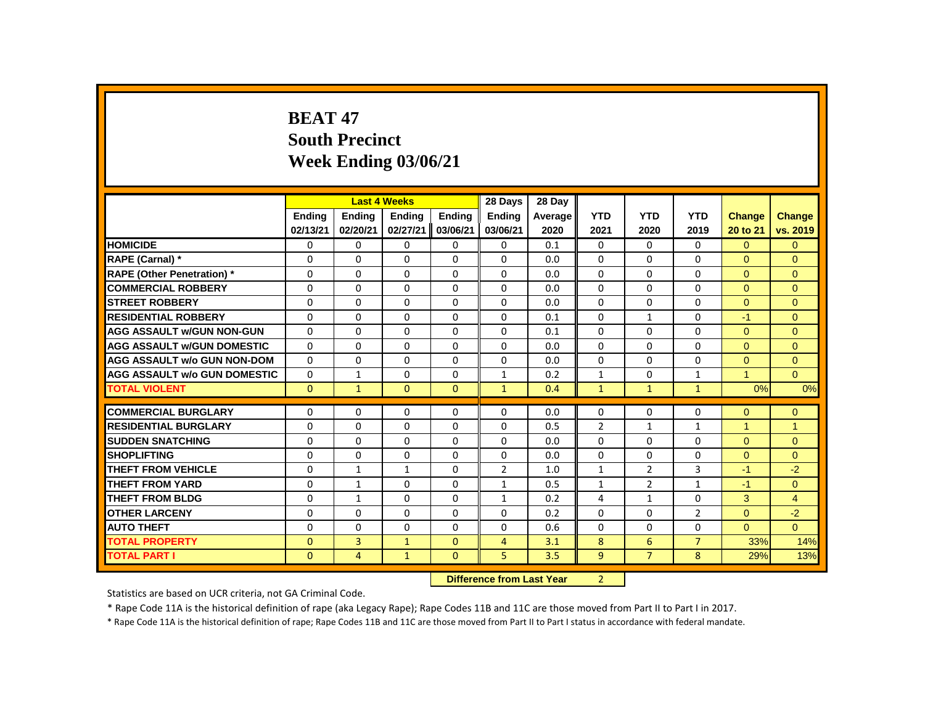# **BEAT 47 South Precinct Week Ending 03/06/21**

|                                     |               |                | <b>Last 4 Weeks</b> |              | 28 Days                   | 28 Day  |                |                |                |                      |                |
|-------------------------------------|---------------|----------------|---------------------|--------------|---------------------------|---------|----------------|----------------|----------------|----------------------|----------------|
|                                     | <b>Ending</b> | <b>Ending</b>  | <b>Ending</b>       | Ending       | Ending                    | Average | <b>YTD</b>     | <b>YTD</b>     | <b>YTD</b>     | <b>Change</b>        | Change         |
|                                     | 02/13/21      | 02/20/21       | 02/27/21            | 03/06/21     | 03/06/21                  | 2020    | 2021           | 2020           | 2019           | 20 to 21             | vs. 2019       |
| <b>HOMICIDE</b>                     | 0             | 0              | $\mathbf{0}$        | 0            | 0                         | 0.1     | $\mathbf{0}$   | $\mathbf{0}$   | $\mathbf{0}$   | $\Omega$             | $\mathbf{0}$   |
| RAPE (Carnal) *                     | 0             | $\Omega$       | $\Omega$            | $\Omega$     | $\Omega$                  | 0.0     | $\Omega$       | $\Omega$       | $\Omega$       | $\Omega$             | $\Omega$       |
| <b>RAPE (Other Penetration) *</b>   | 0             | 0              | 0                   | $\mathbf 0$  | 0                         | 0.0     | 0              | 0              | 0              | $\mathbf{0}$         | $\mathbf{0}$   |
| <b>COMMERCIAL ROBBERY</b>           | $\Omega$      | $\Omega$       | $\Omega$            | $\Omega$     | $\Omega$                  | 0.0     | $\Omega$       | $\Omega$       | $\Omega$       | $\Omega$             | $\Omega$       |
| <b>STREET ROBBERY</b>               | $\Omega$      | $\Omega$       | $\Omega$            | $\Omega$     | $\Omega$                  | 0.0     | $\Omega$       | $\Omega$       | $\Omega$       | $\Omega$             | $\Omega$       |
| <b>RESIDENTIAL ROBBERY</b>          | 0             | 0              | $\Omega$            | 0            | 0                         | 0.1     | 0              | $\mathbf{1}$   | 0              | $-1$                 | $\mathbf{0}$   |
| <b>AGG ASSAULT W/GUN NON-GUN</b>    | $\Omega$      | $\Omega$       | $\Omega$            | $\Omega$     | $\Omega$                  | 0.1     | $\Omega$       | $\Omega$       | $\Omega$       | $\Omega$             | $\mathbf{0}$   |
| <b>AGG ASSAULT w/GUN DOMESTIC</b>   | $\Omega$      | $\Omega$       | $\Omega$            | $\Omega$     | $\Omega$                  | 0.0     | $\Omega$       | $\Omega$       | $\Omega$       | $\Omega$             | $\Omega$       |
| <b>AGG ASSAULT w/o GUN NON-DOM</b>  | $\Omega$      | $\Omega$       | $\Omega$            | $\Omega$     | $\Omega$                  | 0.0     | $\Omega$       | $\Omega$       | $\Omega$       | $\Omega$             | $\mathbf{0}$   |
| <b>AGG ASSAULT W/o GUN DOMESTIC</b> | 0             | $\mathbf{1}$   | 0                   | 0            | $\mathbf{1}$              | 0.2     | $\mathbf{1}$   | 0              | $\mathbf{1}$   | $\blacktriangleleft$ | $\Omega$       |
| <b>TOTAL VIOLENT</b>                | $\mathbf{0}$  | $\mathbf{1}$   | $\mathbf{0}$        | $\mathbf{0}$ | $\mathbf{1}$              | 0.4     | $\mathbf{1}$   | $\mathbf{1}$   | $\mathbf{1}$   | 0%                   | 0%             |
| <b>COMMERCIAL BURGLARY</b>          | 0             | 0              | 0                   | 0            | 0                         | 0.0     | 0              | 0              | 0              | $\overline{0}$       | $\mathbf{0}$   |
| <b>RESIDENTIAL BURGLARY</b>         | 0             | $\Omega$       | $\Omega$            | $\Omega$     | 0                         | 0.5     | $\overline{2}$ | $\mathbf{1}$   | $\mathbf{1}$   | $\overline{1}$       | $\overline{1}$ |
| <b>SUDDEN SNATCHING</b>             | 0             | $\Omega$       | $\Omega$            | $\Omega$     | $\Omega$                  | 0.0     | $\Omega$       | $\Omega$       | $\Omega$       | $\Omega$             | $\mathbf{0}$   |
| <b>SHOPLIFTING</b>                  | $\Omega$      | $\Omega$       | $\Omega$            | $\Omega$     | $\Omega$                  | 0.0     | $\Omega$       | $\Omega$       | $\Omega$       | $\Omega$             | $\Omega$       |
| <b>THEFT FROM VEHICLE</b>           | 0             | $\mathbf{1}$   | $\mathbf{1}$        | $\mathbf{0}$ | $\overline{2}$            | 1.0     | $\mathbf{1}$   | $\overline{2}$ | 3              | $-1$                 | $-2$           |
| <b>THEFT FROM YARD</b>              | $\Omega$      | $\mathbf{1}$   | $\Omega$            | $\Omega$     | $\mathbf{1}$              | 0.5     | $\mathbf{1}$   | $\overline{2}$ | $\mathbf{1}$   | $-1$                 | $\Omega$       |
| <b>THEFT FROM BLDG</b>              | $\Omega$      | $\mathbf{1}$   | $\Omega$            | $\Omega$     | $\mathbf{1}$              | 0.2     | 4              | $\mathbf{1}$   | $\Omega$       | 3                    | $\overline{4}$ |
| <b>OTHER LARCENY</b>                | 0             | 0              | $\Omega$            | $\Omega$     | $\Omega$                  | 0.2     | $\Omega$       | $\Omega$       | $\overline{2}$ | $\overline{0}$       | $-2$           |
| <b>AUTO THEFT</b>                   | $\Omega$      | 0              | $\Omega$            | $\Omega$     | $\Omega$                  | 0.6     | $\Omega$       | $\Omega$       | $\Omega$       | $\overline{0}$       | $\overline{0}$ |
| <b>TOTAL PROPERTY</b>               | $\Omega$      | 3              | $\mathbf{1}$        | $\Omega$     | 4                         | 3.1     | 8              | 6              | $\overline{7}$ | 33%                  | 14%            |
| <b>TOTAL PART I</b>                 | $\Omega$      | $\overline{4}$ | $\mathbf{1}$        | $\Omega$     | 5                         | 3.5     | $\overline{9}$ | $\overline{7}$ | 8              | 29%                  | 13%            |
|                                     |               |                |                     |              | Difference from Last Year |         | $\mathcal{D}$  |                |                |                      |                |

**Difference from Last Year** 2

Statistics are based on UCR criteria, not GA Criminal Code.

\* Rape Code 11A is the historical definition of rape (aka Legacy Rape); Rape Codes 11B and 11C are those moved from Part II to Part I in 2017.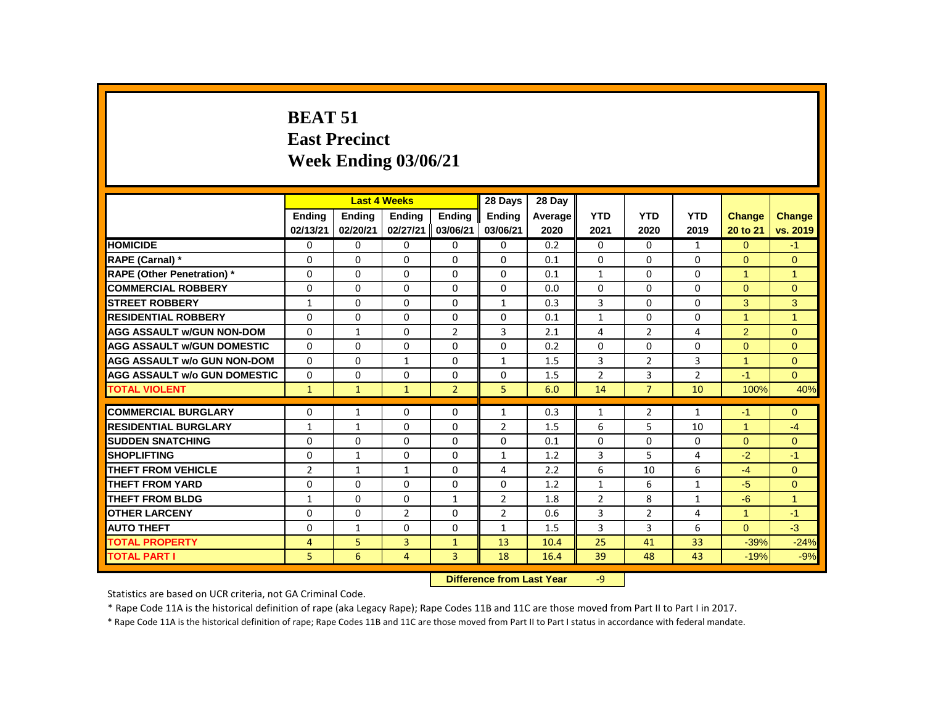# **BEAT 51 East Precinct Week Ending 03/06/21**

| <b>HOMICIDE</b><br>RAPE (Carnal) *<br><b>RAPE (Other Penetration) *</b><br><b>COMMERCIAL ROBBERY</b><br><b>STREET ROBBERY</b> | <b>Endina</b><br>02/13/21<br>0<br>0<br>0<br>$\Omega$ | <b>Ending</b><br>02/20/21<br>0<br>$\Omega$<br>0 | <b>Endina</b><br>02/27/21<br>$\Omega$<br>$\Omega$ | <b>Endina</b><br>03/06/21<br>0 | <b>Endina</b><br>03/06/21<br>$\mathbf{0}$ | Average<br>2020<br>0.2 | <b>YTD</b><br>2021 | <b>YTD</b><br>2020 | <b>YTD</b><br>2019 | <b>Change</b><br>20 to 21 | <b>Change</b><br>vs. 2019 |
|-------------------------------------------------------------------------------------------------------------------------------|------------------------------------------------------|-------------------------------------------------|---------------------------------------------------|--------------------------------|-------------------------------------------|------------------------|--------------------|--------------------|--------------------|---------------------------|---------------------------|
|                                                                                                                               |                                                      |                                                 |                                                   |                                |                                           |                        |                    |                    |                    |                           |                           |
|                                                                                                                               |                                                      |                                                 |                                                   |                                |                                           |                        |                    |                    |                    |                           |                           |
|                                                                                                                               |                                                      |                                                 |                                                   |                                |                                           |                        | 0                  | $\Omega$           | $\mathbf{1}$       | $\Omega$                  | $-1$                      |
|                                                                                                                               |                                                      |                                                 |                                                   | $\Omega$                       | $\Omega$                                  | 0.1                    | $\Omega$           | $\Omega$           | $\Omega$           | $\Omega$                  | $\Omega$                  |
|                                                                                                                               |                                                      |                                                 | $\Omega$                                          | $\mathbf{0}$                   | 0                                         | 0.1                    | $\mathbf{1}$       | 0                  | $\Omega$           | 1                         | $\mathbf{1}$              |
|                                                                                                                               |                                                      | $\Omega$                                        | $\Omega$                                          | $\Omega$                       | $\Omega$                                  | 0.0                    | $\Omega$           | $\Omega$           | $\Omega$           | $\Omega$                  | $\mathbf{0}$              |
|                                                                                                                               | $\mathbf{1}$                                         | $\Omega$                                        | $\Omega$                                          | $\Omega$                       | $\mathbf{1}$                              | 0.3                    | 3                  | $\Omega$           | $\Omega$           | 3                         | 3                         |
| <b>RESIDENTIAL ROBBERY</b>                                                                                                    | $\Omega$                                             | 0                                               | $\Omega$                                          | $\mathbf{0}$                   | $\Omega$                                  | 0.1                    | $\mathbf{1}$       | 0                  | $\Omega$           | 1                         | 1                         |
| <b>AGG ASSAULT w/GUN NON-DOM</b>                                                                                              | $\Omega$                                             | $\mathbf{1}$                                    | $\Omega$                                          | $\overline{2}$                 | 3                                         | 2.1                    | 4                  | $\overline{2}$     | 4                  | $\overline{2}$            | $\mathbf{0}$              |
| <b>AGG ASSAULT W/GUN DOMESTIC</b>                                                                                             | $\Omega$                                             | $\Omega$                                        | $\Omega$                                          | $\Omega$                       | $\Omega$                                  | 0.2                    | $\Omega$           | $\Omega$           | $\Omega$           | $\Omega$                  | $\Omega$                  |
| <b>AGG ASSAULT w/o GUN NON-DOM</b>                                                                                            | $\Omega$                                             | $\mathbf{0}$                                    | $\mathbf{1}$                                      | $\mathbf{0}$                   | $\mathbf{1}$                              | 1.5                    | 3                  | $\overline{2}$     | 3                  | $\mathbf{1}$              | $\Omega$                  |
| <b>AGG ASSAULT w/o GUN DOMESTIC</b>                                                                                           | $\Omega$                                             | 0                                               | $\Omega$                                          | $\mathbf{0}$                   | $\Omega$                                  | 1.5                    | $\overline{2}$     | 3                  | $\overline{2}$     | $-1$                      | $\Omega$                  |
| <b>TOTAL VIOLENT</b>                                                                                                          | $\mathbf{1}$                                         | $\mathbf{1}$                                    | $\mathbf{1}$                                      | $\overline{2}$                 | 5                                         | 6.0                    | 14                 | $\overline{7}$     | 10                 | 100%                      | 40%                       |
| <b>COMMERCIAL BURGLARY</b>                                                                                                    | 0                                                    | $\mathbf{1}$                                    | $\Omega$                                          | $\mathbf{0}$                   | $\mathbf{1}$                              | 0.3                    | $\mathbf{1}$       | $\overline{2}$     | $\mathbf{1}$       | $-1$                      | $\mathbf{0}$              |
| <b>RESIDENTIAL BURGLARY</b>                                                                                                   | $\mathbf{1}$                                         | $\mathbf{1}$                                    | $\Omega$                                          | 0                              | $\overline{2}$                            | 1.5                    | 6                  | 5                  | 10                 | $\mathbf{1}$              | $-4$                      |
| <b>SUDDEN SNATCHING</b>                                                                                                       | 0                                                    | 0                                               | 0                                                 | $\mathbf{0}$                   | 0                                         | 0.1                    | 0                  | 0                  | 0                  | $\overline{0}$            | $\mathbf{0}$              |
| <b>SHOPLIFTING</b>                                                                                                            | 0                                                    | $\mathbf{1}$                                    | $\Omega$                                          | $\mathbf{0}$                   | $\mathbf{1}$                              | 1.2                    | 3                  | 5                  | $\overline{4}$     | $-2$                      | $-1$                      |
| <b>THEFT FROM VEHICLE</b>                                                                                                     | $\overline{2}$                                       | $\mathbf{1}$                                    | $\mathbf{1}$                                      | $\Omega$                       | $\overline{4}$                            | 2.2                    | 6                  | 10                 | 6                  | $-4$                      | $\Omega$                  |
| <b>THEFT FROM YARD</b>                                                                                                        | 0                                                    | $\Omega$                                        | $\Omega$                                          | $\Omega$                       | $\Omega$                                  | 1.2                    | $\mathbf{1}$       | 6                  | $\mathbf{1}$       | $-5$                      | $\Omega$                  |
| <b>THEFT FROM BLDG</b>                                                                                                        | $\mathbf{1}$                                         | $\Omega$                                        | $\Omega$                                          | $\mathbf{1}$                   | $\overline{2}$                            | 1.8                    | $\overline{2}$     | 8                  | $\mathbf{1}$       | $-6$                      | 1                         |
| <b>OTHER LARCENY</b>                                                                                                          | 0                                                    | 0                                               | $\overline{2}$                                    | $\mathbf{0}$                   | $\overline{2}$                            | 0.6                    | 3                  | $\overline{2}$     | 4                  | 1                         | $-1$                      |
| <b>AUTO THEFT</b>                                                                                                             | 0                                                    | $\mathbf{1}$                                    | $\Omega$                                          | $\Omega$                       | $\mathbf{1}$                              | 1.5                    | 3                  | 3                  | 6                  | $\Omega$                  | $-3$                      |
| <b>TOTAL PROPERTY</b>                                                                                                         | 4                                                    | 5                                               | 3                                                 | $\mathbf{1}$                   | 13                                        | 10.4                   | 25                 | 41                 | 33                 | $-39%$                    |                           |
| <b>TOTAL PART I</b>                                                                                                           | 5                                                    | 6                                               | 4                                                 | 3                              | 18                                        | 16.4                   | 39                 | 48                 | 43                 |                           | $-24%$                    |
|                                                                                                                               |                                                      |                                                 |                                                   |                                |                                           |                        |                    |                    |                    | $-19%$                    | $-9%$                     |

**Difference from Last Year** -9

Statistics are based on UCR criteria, not GA Criminal Code.

\* Rape Code 11A is the historical definition of rape (aka Legacy Rape); Rape Codes 11B and 11C are those moved from Part II to Part I in 2017.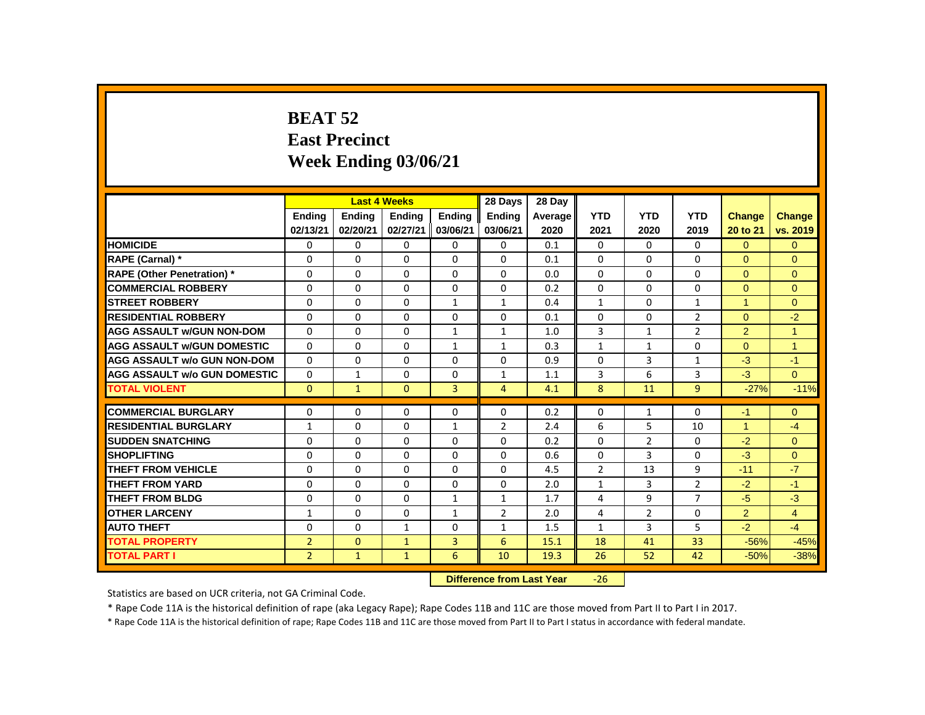# **BEAT 52 East Precinct Week Ending 03/06/21**

|                                     |                |               | <b>Last 4 Weeks</b> |               | 28 Days        | 28 Day                    |                |                |                |               |                |
|-------------------------------------|----------------|---------------|---------------------|---------------|----------------|---------------------------|----------------|----------------|----------------|---------------|----------------|
|                                     | <b>Endina</b>  | <b>Endina</b> | <b>Endina</b>       | <b>Endina</b> | <b>Endina</b>  | Average                   | <b>YTD</b>     | <b>YTD</b>     | <b>YTD</b>     | <b>Change</b> | <b>Change</b>  |
|                                     | 02/13/21       | 02/20/21      | 02/27/21            | 03/06/21      | 03/06/21       | 2020                      | 2021           | 2020           | 2019           | 20 to 21      | vs. 2019       |
| <b>HOMICIDE</b>                     | 0              | 0             | 0                   | $\mathbf{0}$  | 0              | 0.1                       | $\mathbf{0}$   | $\Omega$       | $\mathbf{0}$   | $\Omega$      | $\overline{0}$ |
| RAPE (Carnal) *                     | 0              | 0             | 0                   | $\mathbf{0}$  | 0              | 0.1                       | $\Omega$       | 0              | $\Omega$       | $\Omega$      | $\Omega$       |
| <b>RAPE (Other Penetration)</b> *   | 0              | $\mathbf{0}$  | $\Omega$            | $\Omega$      | 0              | 0.0                       | $\Omega$       | $\mathbf{0}$   | $\Omega$       | $\Omega$      | $\mathbf{0}$   |
| <b>COMMERCIAL ROBBERY</b>           | $\Omega$       | $\mathbf{0}$  | $\Omega$            | $\mathbf{0}$  | $\Omega$       | 0.2                       | $\Omega$       | $\Omega$       | $\Omega$       | $\Omega$      | $\Omega$       |
| <b>STREET ROBBERY</b>               | 0              | $\Omega$      | $\Omega$            | $\mathbf{1}$  | $\mathbf{1}$   | 0.4                       | $\mathbf{1}$   | 0              | $\mathbf{1}$   | $\mathbf{1}$  | $\Omega$       |
| <b>RESIDENTIAL ROBBERY</b>          | 0              | $\Omega$      | $\Omega$            | $\Omega$      | $\Omega$       | 0.1                       | $\Omega$       | $\Omega$       | $\overline{2}$ | $\Omega$      | $-2$           |
| <b>AGG ASSAULT w/GUN NON-DOM</b>    | 0              | $\Omega$      | $\Omega$            | $\mathbf{1}$  | $\mathbf{1}$   | 1.0                       | 3              | $\mathbf{1}$   | $\overline{2}$ | 2             | 1              |
| <b>AGG ASSAULT w/GUN DOMESTIC</b>   | $\Omega$       | $\mathbf{0}$  | $\Omega$            | $\mathbf{1}$  | $\mathbf{1}$   | 0.3                       | $\mathbf{1}$   | $\mathbf{1}$   | $\Omega$       | $\Omega$      | $\mathbf{1}$   |
| <b>AGG ASSAULT w/o GUN NON-DOM</b>  | $\Omega$       | 0             | 0                   | $\mathbf{0}$  | 0              | 0.9                       | $\Omega$       | 3              | $\mathbf{1}$   | $-3$          | $-1$           |
| <b>AGG ASSAULT w/o GUN DOMESTIC</b> | 0              | $\mathbf{1}$  | 0                   | $\Omega$      | 1              | 1.1                       | 3              | 6              | 3              | $-3$          | $\Omega$       |
| <b>TOTAL VIOLENT</b>                | $\Omega$       | $\mathbf{1}$  | $\Omega$            | 3             | 4              | 4.1                       | 8              | 11             | 9              | $-27%$        | $-11%$         |
| <b>COMMERCIAL BURGLARY</b>          | 0              | $\Omega$      | $\Omega$            | $\Omega$      | $\Omega$       | 0.2                       | $\Omega$       | $\mathbf{1}$   | $\Omega$       | $-1$          | $\Omega$       |
| <b>RESIDENTIAL BURGLARY</b>         | $\mathbf{1}$   | 0             | 0                   | $\mathbf{1}$  | $\overline{2}$ | 2.4                       | 6              | 5              | 10             | 1             | $-4$           |
| <b>SUDDEN SNATCHING</b>             | 0              | 0             | $\Omega$            | $\Omega$      | $\Omega$       | 0.2                       | $\Omega$       | $\overline{2}$ | $\Omega$       | $-2$          | $\Omega$       |
| <b>SHOPLIFTING</b>                  | 0              | $\mathbf{0}$  | $\Omega$            | $\mathbf{0}$  | $\mathbf{0}$   | 0.6                       | $\Omega$       | 3              | $\Omega$       | $-3$          | $\mathbf{0}$   |
| <b>THEFT FROM VEHICLE</b>           | $\Omega$       | $\Omega$      | $\Omega$            | $\Omega$      | $\Omega$       | 4.5                       | $\overline{2}$ | 13             | 9              | $-11$         | $-7$           |
| <b>THEFT FROM YARD</b>              | 0              | 0             | 0                   | 0             | 0              | 2.0                       | $\mathbf{1}$   | 3              | $\overline{2}$ | $-2$          | $-1$           |
| <b>THEFT FROM BLDG</b>              | 0              | 0             | 0                   | $\mathbf{1}$  | $\mathbf{1}$   | 1.7                       | 4              | 9              | $\overline{7}$ | $-5$          | $-3$           |
| <b>OTHER LARCENY</b>                | 1              | $\mathbf 0$   | $\Omega$            | $\mathbf{1}$  | $\overline{2}$ | 2.0                       | 4              | $\overline{2}$ | 0              | 2             | $\overline{4}$ |
| <b>AUTO THEFT</b>                   | $\Omega$       | $\Omega$      | $\mathbf{1}$        | $\mathbf{0}$  | $\mathbf{1}$   | 1.5                       | $\mathbf{1}$   | 3              | 5              | $-2$          | $-4$           |
| <b>TOTAL PROPERTY</b>               | $\overline{2}$ | $\mathbf{0}$  | $\mathbf{1}$        | 3             | 6              | 15.1                      | 18             | 41             | 33             | $-56%$        | $-45%$         |
| <b>TOTAL PART I</b>                 | $\overline{2}$ | $\mathbf{1}$  | $\mathbf{1}$        | 6             | 10             | 19.3                      | 26             | 52             | 42             | $-50%$        | $-38%$         |
|                                     |                |               |                     |               |                | Difference from Loot Vear | 2C             |                |                |               |                |

 **Difference from Last Year** -26

Statistics are based on UCR criteria, not GA Criminal Code.

\* Rape Code 11A is the historical definition of rape (aka Legacy Rape); Rape Codes 11B and 11C are those moved from Part II to Part I in 2017.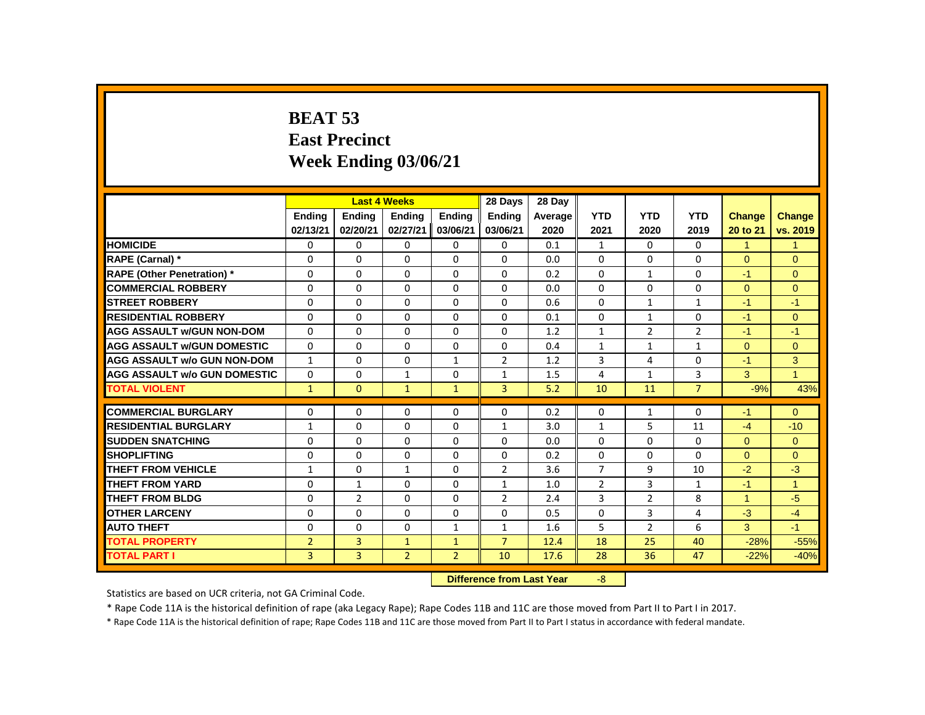# **BEAT 53 East Precinct Week Ending 03/06/21**

|                                     |                |                | <b>Last 4 Weeks</b> |                | 28 Days                   | 28 Dav  |                         |                |                |                      |                      |
|-------------------------------------|----------------|----------------|---------------------|----------------|---------------------------|---------|-------------------------|----------------|----------------|----------------------|----------------------|
|                                     | <b>Endina</b>  | <b>Ending</b>  | <b>Ending</b>       | Endina         | <b>Endina</b>             | Average | <b>YTD</b>              | <b>YTD</b>     | <b>YTD</b>     | <b>Change</b>        | <b>Change</b>        |
|                                     | 02/13/21       | 02/20/21       | 02/27/21            | 03/06/21       | 03/06/21                  | 2020    | 2021                    | 2020           | 2019           | 20 to 21             | vs. 2019             |
| <b>HOMICIDE</b>                     | 0              | $\Omega$       | $\Omega$            | $\mathbf{0}$   | $\Omega$                  | 0.1     | $\mathbf{1}$            | $\mathbf{0}$   | $\mathbf{0}$   | $\mathbf{1}$         | $\mathbf{1}$         |
| RAPE (Carnal) *                     | $\Omega$       | $\Omega$       | $\Omega$            | $\Omega$       | $\Omega$                  | 0.0     | 0                       | $\Omega$       | $\Omega$       | $\Omega$             | $\overline{0}$       |
| <b>RAPE (Other Penetration)</b> *   | $\Omega$       | $\Omega$       | $\Omega$            | $\Omega$       | $\Omega$                  | 0.2     | $\Omega$                | $\mathbf{1}$   | $\Omega$       | $-1$                 | $\Omega$             |
| <b>COMMERCIAL ROBBERY</b>           | $\mathbf{0}$   | $\Omega$       | $\Omega$            | $\Omega$       | $\Omega$                  | 0.0     | $\Omega$                | $\Omega$       | $\Omega$       | $\Omega$             | $\Omega$             |
| <b>STREET ROBBERY</b>               | $\Omega$       | $\Omega$       | $\Omega$            | $\Omega$       | $\Omega$                  | 0.6     | $\Omega$                | $\mathbf{1}$   | $\mathbf{1}$   | $-1$                 | $-1$                 |
| <b>RESIDENTIAL ROBBERY</b>          | 0              | $\Omega$       | $\Omega$            | $\Omega$       | $\Omega$                  | 0.1     | $\Omega$                | $\mathbf{1}$   | $\Omega$       | $-1$                 | $\Omega$             |
| <b>AGG ASSAULT W/GUN NON-DOM</b>    | $\Omega$       | $\Omega$       | $\Omega$            | $\Omega$       | $\Omega$                  | 1.2     | $\mathbf{1}$            | $\overline{2}$ | $\overline{2}$ | $-1$                 | $-1$                 |
| <b>AGG ASSAULT W/GUN DOMESTIC</b>   | $\mathbf 0$    | $\Omega$       | $\Omega$            | $\Omega$       | $\Omega$                  | 0.4     | $\mathbf{1}$            | $\mathbf{1}$   | $\mathbf{1}$   | $\overline{0}$       | $\pmb{0}$            |
| <b>AGG ASSAULT w/o GUN NON-DOM</b>  | $\mathbf{1}$   | $\Omega$       | $\Omega$            | $\mathbf{1}$   | $\overline{2}$            | 1.2     | 3                       | 4              | $\Omega$       | $-1$                 | 3                    |
| <b>AGG ASSAULT W/o GUN DOMESTIC</b> | 0              | 0              | $\mathbf{1}$        | $\Omega$       | $\mathbf{1}$              | 1.5     | 4                       | 1              | 3              | 3                    | $\blacktriangleleft$ |
| <b>TOTAL VIOLENT</b>                | $\mathbf{1}$   | $\Omega$       | $\mathbf{1}$        | $\mathbf{1}$   | $\overline{3}$            | 5.2     | 10                      | 11             | $\overline{7}$ | $-9%$                | 43%                  |
| <b>COMMERCIAL BURGLARY</b>          | 0              | 0              | $\Omega$            | $\Omega$       | $\Omega$                  | 0.2     | 0                       | $\mathbf{1}$   | $\Omega$       | $-1$                 | $\overline{0}$       |
| <b>RESIDENTIAL BURGLARY</b>         | $\mathbf{1}$   | $\Omega$       | $\Omega$            | $\Omega$       | $\mathbf{1}$              | 3.0     | $\mathbf{1}$            | 5              | 11             | $-4$                 | $-10$                |
| <b>SUDDEN SNATCHING</b>             | $\Omega$       | $\Omega$       | $\Omega$            | $\Omega$       | $\Omega$                  | 0.0     | $\Omega$                | $\Omega$       | $\Omega$       | $\Omega$             | $\overline{0}$       |
| <b>SHOPLIFTING</b>                  | $\mathbf{0}$   | $\Omega$       | $\Omega$            | $\Omega$       | $\Omega$                  | 0.2     | $\Omega$                | $\Omega$       | $\Omega$       | $\Omega$             | $\overline{0}$       |
| <b>THEFT FROM VEHICLE</b>           | $\mathbf{1}$   | $\Omega$       | $\mathbf{1}$        | $\Omega$       | $\overline{2}$            | 3.6     | $\overline{7}$          | 9              | 10             | $-2$                 | $-3$                 |
| <b>THEFT FROM YARD</b>              | 0              | $\mathbf{1}$   | 0                   | $\Omega$       | 1                         | 1.0     | $\overline{2}$          | 3              | 1              | $-1$                 | $\blacktriangleleft$ |
| <b>THEFT FROM BLDG</b>              | $\Omega$       | $\overline{2}$ | $\Omega$            | $\Omega$       | $\overline{2}$            | 2.4     | 3                       | $\overline{2}$ | 8              | $\blacktriangleleft$ | $-5$                 |
| <b>OTHER LARCENY</b>                | $\mathbf{0}$   | $\Omega$       | $\Omega$            | $\Omega$       | $\Omega$                  | 0.5     | $\Omega$                | 3              | 4              | $-3$                 | $-4$                 |
| <b>AUTO THEFT</b>                   | $\Omega$       | $\Omega$       | $\Omega$            | 1              | $\mathbf{1}$              | 1.6     | 5                       | $\overline{2}$ | 6              | 3                    | $-1$                 |
| <b>TOTAL PROPERTY</b>               | $\overline{2}$ | 3              | $\mathbf{1}$        | $\mathbf{1}$   | $\overline{7}$            | 12.4    | 18                      | 25             | 40             | $-28%$               | $-55%$               |
| <b>TOTAL PART I</b>                 | $\overline{3}$ | $\overline{3}$ | 2 <sup>2</sup>      | 2 <sup>1</sup> | 10                        | 17.6    | 28                      | 36             | 47             | $-22%$               | $-40%$               |
|                                     |                |                |                     |                | Difference from Last Vear |         | $\overline{\mathbf{R}}$ |                |                |                      |                      |

**Difference from Last Year** -8

Statistics are based on UCR criteria, not GA Criminal Code.

\* Rape Code 11A is the historical definition of rape (aka Legacy Rape); Rape Codes 11B and 11C are those moved from Part II to Part I in 2017.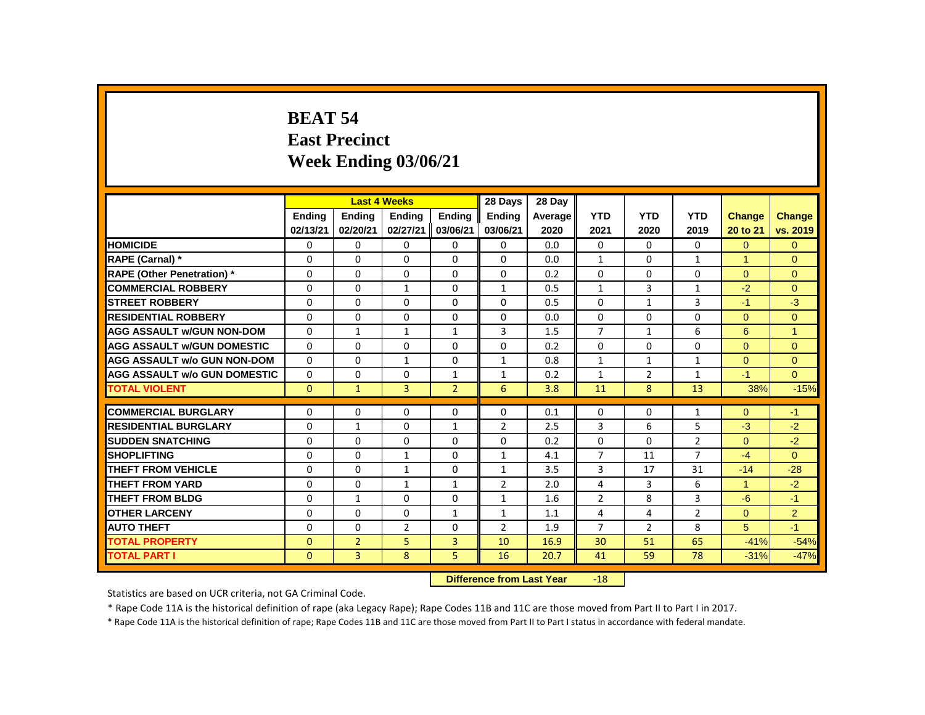# **BEAT 54 East Precinct Week Ending 03/06/21**

|                                     |               |                | <b>Last 4 Weeks</b> |                | 28 Days                   | 28 Day  |                |                |                |                |                |
|-------------------------------------|---------------|----------------|---------------------|----------------|---------------------------|---------|----------------|----------------|----------------|----------------|----------------|
|                                     | <b>Endina</b> | <b>Endina</b>  | <b>Endina</b>       | <b>Endina</b>  | <b>Endina</b>             | Average | <b>YTD</b>     | <b>YTD</b>     | <b>YTD</b>     | <b>Change</b>  | <b>Change</b>  |
|                                     | 02/13/21      | 02/20/21       | 02/27/21            | 03/06/21       | 03/06/21                  | 2020    | 2021           | 2020           | 2019           | 20 to 21       | vs. 2019       |
| <b>HOMICIDE</b>                     | 0             | 0              | 0                   | 0              | 0                         | 0.0     | $\mathbf{0}$   | $\mathbf{0}$   | $\mathbf{0}$   | $\overline{0}$ | $\overline{0}$ |
| RAPE (Carnal) *                     | 0             | $\Omega$       | $\Omega$            | $\mathbf{0}$   | $\Omega$                  | 0.0     | $\mathbf{1}$   | $\Omega$       | $\mathbf{1}$   | 1              | $\Omega$       |
| RAPE (Other Penetration) *          | 0             | $\mathbf 0$    | $\Omega$            | 0              | $\Omega$                  | 0.2     | $\Omega$       | $\Omega$       | 0              | $\Omega$       | $\mathbf{0}$   |
| <b>COMMERCIAL ROBBERY</b>           | $\Omega$      | $\mathbf{0}$   | $\mathbf{1}$        | $\mathbf{0}$   | $\mathbf{1}$              | 0.5     | $\mathbf{1}$   | 3              | $\mathbf{1}$   | $-2$           | $\Omega$       |
| <b>STREET ROBBERY</b>               | 0             | $\Omega$       | $\Omega$            | 0              | $\Omega$                  | 0.5     | $\Omega$       | $\mathbf{1}$   | 3              | $-1$           | $-3$           |
| <b>RESIDENTIAL ROBBERY</b>          | $\Omega$      | $\mathbf{0}$   | 0                   | $\mathbf{0}$   | 0                         | 0.0     | $\mathbf{0}$   | $\mathbf{0}$   | 0              | $\Omega$       | $\mathbf{0}$   |
| <b>AGG ASSAULT w/GUN NON-DOM</b>    | 0             | $\mathbf{1}$   | $\mathbf{1}$        | $\mathbf{1}$   | 3                         | 1.5     | $\overline{7}$ | $\mathbf{1}$   | 6              | 6              | $\overline{1}$ |
| <b>AGG ASSAULT w/GUN DOMESTIC</b>   | $\Omega$      | $\mathbf{0}$   | $\Omega$            | $\Omega$       | $\Omega$                  | 0.2     | 0              | $\Omega$       | $\Omega$       | $\Omega$       | $\mathbf{0}$   |
| <b>AGG ASSAULT w/o GUN NON-DOM</b>  | $\Omega$      | $\Omega$       | $\mathbf{1}$        | $\Omega$       | $\mathbf{1}$              | 0.8     | $\mathbf{1}$   | $\mathbf{1}$   | $\mathbf{1}$   | $\Omega$       | $\Omega$       |
| <b>AGG ASSAULT w/o GUN DOMESTIC</b> | 0             | 0              | 0                   | $\mathbf{1}$   | 1                         | 0.2     | 1              | $\overline{2}$ | $\mathbf{1}$   | $-1$           | $\Omega$       |
| <b>TOTAL VIOLENT</b>                | $\mathbf{0}$  | $\mathbf{1}$   | 3                   | $\overline{2}$ | 6                         | 3.8     | 11             | 8              | 13             | 38%            | $-15%$         |
| <b>COMMERCIAL BURGLARY</b>          | 0             | $\Omega$       | $\Omega$            | 0              | 0                         | 0.1     | $\Omega$       | 0              | $\mathbf{1}$   | $\Omega$       | $-1$           |
| <b>RESIDENTIAL BURGLARY</b>         | 0             | 1              | 0                   | 1              | $\overline{2}$            | 2.5     | 3              | 6              | 5              | $-3$           | $-2$           |
| <b>SUDDEN SNATCHING</b>             | 0             | 0              | 0                   | $\mathbf{0}$   | $\Omega$                  | 0.2     | $\Omega$       | 0              | $\overline{2}$ | $\Omega$       | $-2$           |
| <b>SHOPLIFTING</b>                  | 0             | $\mathbf{0}$   | 1                   | $\mathbf{0}$   | $\mathbf{1}$              | 4.1     | $\overline{7}$ | 11             | $\overline{7}$ | $-4$           | $\Omega$       |
| THEFT FROM VEHICLE                  | 0             | $\Omega$       | $\mathbf{1}$        | $\Omega$       | $\mathbf{1}$              | 3.5     | 3              | 17             | 31             | $-14$          | $-28$          |
| <b>THEFT FROM YARD</b>              | 0             | 0              | $\mathbf{1}$        | $\mathbf{1}$   | $\overline{2}$            | 2.0     | 4              | 3              | 6              | $\mathbf{1}$   | $-2$           |
| <b>THEFT FROM BLDG</b>              | 0             | $\mathbf{1}$   | $\Omega$            | $\mathbf{0}$   | $\mathbf{1}$              | 1.6     | $\overline{2}$ | 8              | 3              | $-6$           | $-1$           |
| <b>OTHER LARCENY</b>                | 0             | $\Omega$       | $\Omega$            | $\mathbf{1}$   | $\mathbf{1}$              | 1.1     | 4              | 4              | $\overline{2}$ | $\Omega$       | 2              |
| <b>AUTO THEFT</b>                   | $\Omega$      | $\Omega$       | $\overline{2}$      | $\mathbf{0}$   | $\overline{2}$            | 1.9     | $\overline{7}$ | $\overline{2}$ | 8              | 5              | $-1$           |
| <b>TOTAL PROPERTY</b>               | $\Omega$      | $\overline{2}$ | 5                   | 3              | 10                        | 16.9    | 30             | 51             | 65             | $-41%$         | $-54%$         |
| <b>TOTAL PART I</b>                 | $\mathbf{0}$  | 3              | 8                   | 5              | 16                        | 20.7    | 41             | 59             | 78             | $-31%$         | $-47%$         |
|                                     |               |                |                     |                | Difference from Loot Vear |         | 10             |                |                |                |                |

**Difference from Last Year** -18

Statistics are based on UCR criteria, not GA Criminal Code.

\* Rape Code 11A is the historical definition of rape (aka Legacy Rape); Rape Codes 11B and 11C are those moved from Part II to Part I in 2017.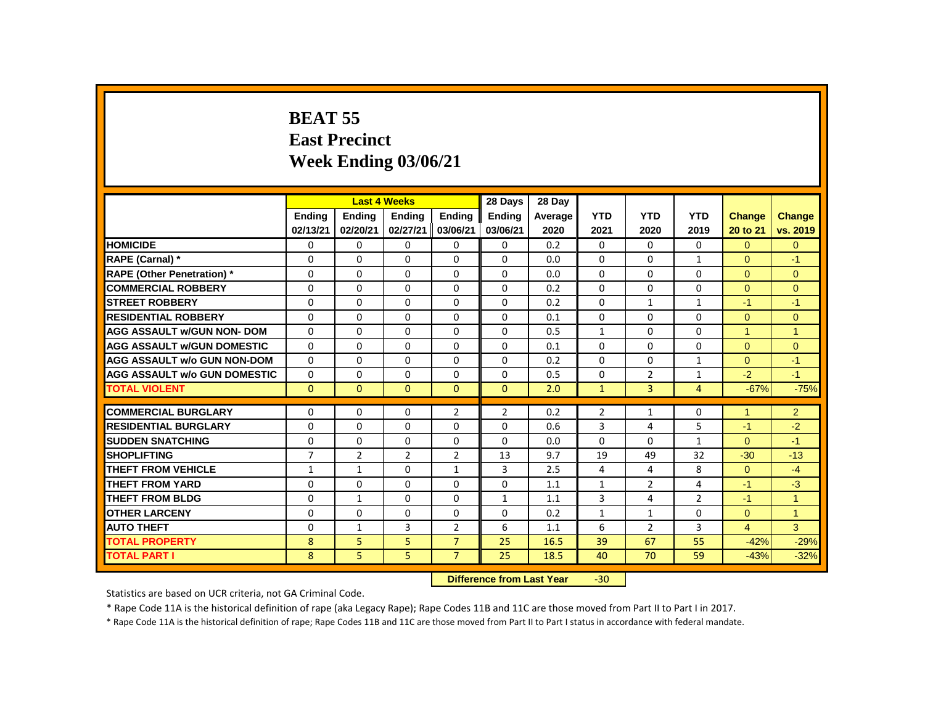# **BEAT 55 East Precinct Week Ending 03/06/21**

|                                     |                |                | <b>Last 4 Weeks</b> |                | 28 Days                   | 28 Day  |                |                |                |                      |                      |
|-------------------------------------|----------------|----------------|---------------------|----------------|---------------------------|---------|----------------|----------------|----------------|----------------------|----------------------|
|                                     | <b>Endina</b>  | <b>Ending</b>  | <b>Ending</b>       | <b>Ending</b>  | <b>Ending</b>             | Average | <b>YTD</b>     | <b>YTD</b>     | <b>YTD</b>     | <b>Change</b>        | Change               |
|                                     | 02/13/21       | 02/20/21       | 02/27/21            | 03/06/21       | 03/06/21                  | 2020    | 2021           | 2020           | 2019           | 20 to 21             | vs. 2019             |
| <b>HOMICIDE</b>                     | 0              | 0              | $\mathbf 0$         | $\mathbf 0$    | 0                         | 0.2     | $\Omega$       | $\Omega$       | $\Omega$       | $\overline{0}$       | $\mathbf{0}$         |
| RAPE (Carnal) *                     | 0              | $\Omega$       | $\Omega$            | $\Omega$       | $\Omega$                  | 0.0     | $\Omega$       | $\Omega$       | $\mathbf{1}$   | $\Omega$             | $-1$                 |
| <b>RAPE (Other Penetration)</b> *   | 0              | $\Omega$       | $\Omega$            | $\Omega$       | $\mathbf{0}$              | 0.0     | $\Omega$       | $\Omega$       | $\Omega$       | $\Omega$             | $\mathbf{0}$         |
| <b>COMMERCIAL ROBBERY</b>           | $\Omega$       | $\Omega$       | $\Omega$            | $\Omega$       | $\Omega$                  | 0.2     | $\Omega$       | $\mathbf{0}$   | $\Omega$       | $\Omega$             | $\Omega$             |
| <b>STREET ROBBERY</b>               | $\Omega$       | $\Omega$       | $\Omega$            | $\Omega$       | $\Omega$                  | 0.2     | $\Omega$       | $\mathbf{1}$   | $\mathbf{1}$   | $-1$                 | $-1$                 |
| <b>RESIDENTIAL ROBBERY</b>          | $\Omega$       | $\Omega$       | $\Omega$            | $\Omega$       | $\Omega$                  | 0.1     | $\Omega$       | $\mathbf{0}$   | 0              | $\Omega$             | $\mathbf{0}$         |
| <b>AGG ASSAULT w/GUN NON- DOM</b>   | $\Omega$       | $\Omega$       | $\Omega$            | $\Omega$       | $\Omega$                  | 0.5     | $\mathbf{1}$   | $\Omega$       | $\Omega$       | 1                    | $\overline{1}$       |
| <b>AGG ASSAULT W/GUN DOMESTIC</b>   | $\Omega$       | 0              | 0                   | 0              | 0                         | 0.1     | $\Omega$       | $\mathbf{0}$   | 0              | $\mathbf{0}$         | $\mathbf{0}$         |
| <b>AGG ASSAULT w/o GUN NON-DOM</b>  | $\Omega$       | $\Omega$       | $\Omega$            | $\Omega$       | $\Omega$                  | 0.2     | $\Omega$       | $\Omega$       | $\mathbf{1}$   | $\Omega$             | $-1$                 |
| <b>AGG ASSAULT W/o GUN DOMESTIC</b> | 0              | 0              | 0                   | $\Omega$       | 0                         | 0.5     | $\mathbf{0}$   | $\overline{2}$ | $\mathbf{1}$   | $-2$                 | $-1$                 |
| <b>TOTAL VIOLENT</b>                | $\mathbf{0}$   | $\overline{0}$ | $\overline{0}$      | $\mathbf{0}$   | $\mathbf{0}$              | 2.0     | $\mathbf{1}$   | $\overline{3}$ | $\overline{4}$ | $-67%$               | $-75%$               |
| <b>COMMERCIAL BURGLARY</b>          | $\Omega$       | $\Omega$       | $\Omega$            | $\overline{2}$ | $\overline{2}$            | 0.2     | $\overline{2}$ | $\mathbf{1}$   | $\Omega$       | $\blacktriangleleft$ | $\overline{2}$       |
| <b>RESIDENTIAL BURGLARY</b>         | $\Omega$       | $\Omega$       | $\Omega$            | $\Omega$       | $\Omega$                  | 0.6     | 3              | 4              | 5              | $-1$                 | $-2$                 |
| <b>SUDDEN SNATCHING</b>             | $\Omega$       | $\Omega$       | $\Omega$            | $\Omega$       | $\Omega$                  | 0.0     | $\Omega$       | $\Omega$       | $\mathbf{1}$   | $\Omega$             | $-1$                 |
| <b>SHOPLIFTING</b>                  | $\overline{7}$ | $\overline{2}$ | $\overline{2}$      | $\overline{2}$ | 13                        | 9.7     | 19             | 49             | 32             | $-30$                | $-13$                |
| <b>THEFT FROM VEHICLE</b>           | $\mathbf{1}$   | $\mathbf{1}$   | $\Omega$            | $\mathbf{1}$   | $\overline{3}$            | 2.5     | 4              | 4              | 8              | $\Omega$             | $-4$                 |
| <b>THEFT FROM YARD</b>              | $\mathbf{0}$   | $\Omega$       | $\Omega$            | $\Omega$       | $\Omega$                  | 1.1     | $\mathbf{1}$   | $\overline{2}$ | 4              | $-1$                 | $-3$                 |
| <b>THEFT FROM BLDG</b>              | 0              | $\mathbf{1}$   | $\Omega$            | $\Omega$       | $\mathbf{1}$              | 1.1     | 3              | 4              | $\overline{2}$ | $-1$                 | $\blacktriangleleft$ |
| <b>OTHER LARCENY</b>                | $\Omega$       | $\Omega$       | $\Omega$            | $\Omega$       | $\Omega$                  | 0.2     | $\mathbf{1}$   | $\mathbf{1}$   | $\Omega$       | $\Omega$             | $\overline{1}$       |
| <b>AUTO THEFT</b>                   | $\Omega$       | $\mathbf{1}$   | 3                   | $\overline{2}$ | 6                         | 1.1     | 6              | $\overline{2}$ | $\overline{3}$ | $\overline{4}$       | $\overline{3}$       |
| <b>TOTAL PROPERTY</b>               | 8              | 5              | 5                   | $\overline{7}$ | 25                        | 16.5    | 39             | 67             | 55             | $-42%$               | $-29%$               |
| <b>TOTAL PART I</b>                 | 8              | 5              | 5                   | $\overline{7}$ | 25                        | 18.5    | 40             | 70             | 59             | $-43%$               | $-32%$               |
|                                     |                |                |                     |                | Difference from Lost Voor |         | 20             |                |                |                      |                      |

**Difference from Last Year** -30

Statistics are based on UCR criteria, not GA Criminal Code.

\* Rape Code 11A is the historical definition of rape (aka Legacy Rape); Rape Codes 11B and 11C are those moved from Part II to Part I in 2017.